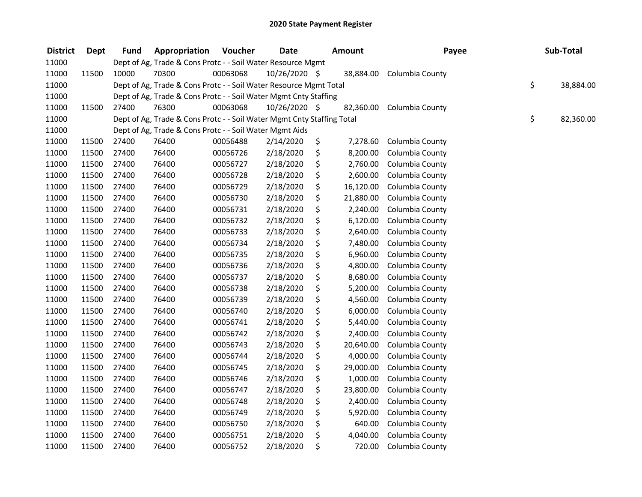| <b>District</b> | <b>Dept</b> | <b>Fund</b> | Appropriation                                                          | Voucher  | <b>Date</b>   | <b>Amount</b>   | Payee           | Sub-Total       |
|-----------------|-------------|-------------|------------------------------------------------------------------------|----------|---------------|-----------------|-----------------|-----------------|
| 11000           |             |             | Dept of Ag, Trade & Cons Protc - - Soil Water Resource Mgmt            |          |               |                 |                 |                 |
| 11000           | 11500       | 10000       | 70300                                                                  | 00063068 | 10/26/2020 \$ | 38,884.00       | Columbia County |                 |
| 11000           |             |             | Dept of Ag, Trade & Cons Protc - - Soil Water Resource Mgmt Total      |          |               |                 |                 | \$<br>38,884.00 |
| 11000           |             |             | Dept of Ag, Trade & Cons Protc - - Soil Water Mgmt Cnty Staffing       |          |               |                 |                 |                 |
| 11000           | 11500       | 27400       | 76300                                                                  | 00063068 | 10/26/2020 \$ | 82,360.00       | Columbia County |                 |
| 11000           |             |             | Dept of Ag, Trade & Cons Protc - - Soil Water Mgmt Cnty Staffing Total |          |               |                 |                 | \$<br>82,360.00 |
| 11000           |             |             | Dept of Ag, Trade & Cons Protc - - Soil Water Mgmt Aids                |          |               |                 |                 |                 |
| 11000           | 11500       | 27400       | 76400                                                                  | 00056488 | 2/14/2020     | \$<br>7,278.60  | Columbia County |                 |
| 11000           | 11500       | 27400       | 76400                                                                  | 00056726 | 2/18/2020     | \$<br>8,200.00  | Columbia County |                 |
| 11000           | 11500       | 27400       | 76400                                                                  | 00056727 | 2/18/2020     | \$<br>2,760.00  | Columbia County |                 |
| 11000           | 11500       | 27400       | 76400                                                                  | 00056728 | 2/18/2020     | \$<br>2,600.00  | Columbia County |                 |
| 11000           | 11500       | 27400       | 76400                                                                  | 00056729 | 2/18/2020     | \$<br>16,120.00 | Columbia County |                 |
| 11000           | 11500       | 27400       | 76400                                                                  | 00056730 | 2/18/2020     | \$<br>21,880.00 | Columbia County |                 |
| 11000           | 11500       | 27400       | 76400                                                                  | 00056731 | 2/18/2020     | \$<br>2,240.00  | Columbia County |                 |
| 11000           | 11500       | 27400       | 76400                                                                  | 00056732 | 2/18/2020     | \$<br>6,120.00  | Columbia County |                 |
| 11000           | 11500       | 27400       | 76400                                                                  | 00056733 | 2/18/2020     | \$<br>2,640.00  | Columbia County |                 |
| 11000           | 11500       | 27400       | 76400                                                                  | 00056734 | 2/18/2020     | \$<br>7,480.00  | Columbia County |                 |
| 11000           | 11500       | 27400       | 76400                                                                  | 00056735 | 2/18/2020     | \$<br>6,960.00  | Columbia County |                 |
| 11000           | 11500       | 27400       | 76400                                                                  | 00056736 | 2/18/2020     | \$<br>4,800.00  | Columbia County |                 |
| 11000           | 11500       | 27400       | 76400                                                                  | 00056737 | 2/18/2020     | \$<br>8,680.00  | Columbia County |                 |
| 11000           | 11500       | 27400       | 76400                                                                  | 00056738 | 2/18/2020     | \$<br>5,200.00  | Columbia County |                 |
| 11000           | 11500       | 27400       | 76400                                                                  | 00056739 | 2/18/2020     | \$<br>4,560.00  | Columbia County |                 |
| 11000           | 11500       | 27400       | 76400                                                                  | 00056740 | 2/18/2020     | \$<br>6,000.00  | Columbia County |                 |
| 11000           | 11500       | 27400       | 76400                                                                  | 00056741 | 2/18/2020     | \$<br>5,440.00  | Columbia County |                 |
| 11000           | 11500       | 27400       | 76400                                                                  | 00056742 | 2/18/2020     | \$<br>2,400.00  | Columbia County |                 |
| 11000           | 11500       | 27400       | 76400                                                                  | 00056743 | 2/18/2020     | \$<br>20,640.00 | Columbia County |                 |
| 11000           | 11500       | 27400       | 76400                                                                  | 00056744 | 2/18/2020     | \$<br>4,000.00  | Columbia County |                 |
| 11000           | 11500       | 27400       | 76400                                                                  | 00056745 | 2/18/2020     | \$<br>29,000.00 | Columbia County |                 |
| 11000           | 11500       | 27400       | 76400                                                                  | 00056746 | 2/18/2020     | \$<br>1,000.00  | Columbia County |                 |
| 11000           | 11500       | 27400       | 76400                                                                  | 00056747 | 2/18/2020     | \$<br>23,800.00 | Columbia County |                 |
| 11000           | 11500       | 27400       | 76400                                                                  | 00056748 | 2/18/2020     | \$<br>2,400.00  | Columbia County |                 |
| 11000           | 11500       | 27400       | 76400                                                                  | 00056749 | 2/18/2020     | \$<br>5,920.00  | Columbia County |                 |
| 11000           | 11500       | 27400       | 76400                                                                  | 00056750 | 2/18/2020     | \$<br>640.00    | Columbia County |                 |
| 11000           | 11500       | 27400       | 76400                                                                  | 00056751 | 2/18/2020     | \$<br>4,040.00  | Columbia County |                 |
| 11000           | 11500       | 27400       | 76400                                                                  | 00056752 | 2/18/2020     | \$<br>720.00    | Columbia County |                 |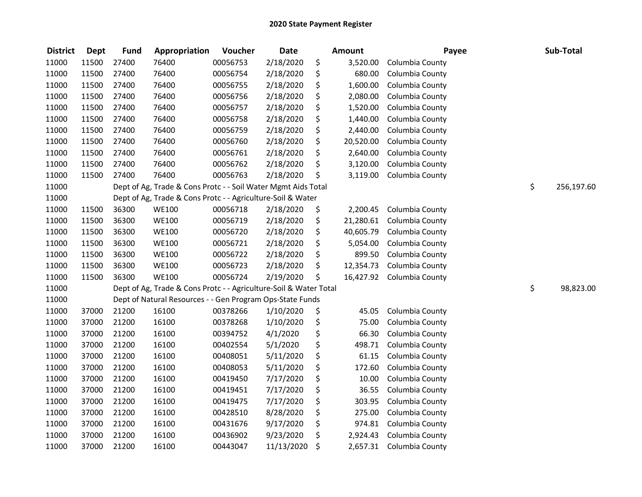| <b>District</b> | <b>Dept</b> | <b>Fund</b> | Appropriation                                                     | Voucher  | Date       | <b>Amount</b>   | Payee           | Sub-Total        |
|-----------------|-------------|-------------|-------------------------------------------------------------------|----------|------------|-----------------|-----------------|------------------|
| 11000           | 11500       | 27400       | 76400                                                             | 00056753 | 2/18/2020  | \$<br>3,520.00  | Columbia County |                  |
| 11000           | 11500       | 27400       | 76400                                                             | 00056754 | 2/18/2020  | \$<br>680.00    | Columbia County |                  |
| 11000           | 11500       | 27400       | 76400                                                             | 00056755 | 2/18/2020  | \$<br>1,600.00  | Columbia County |                  |
| 11000           | 11500       | 27400       | 76400                                                             | 00056756 | 2/18/2020  | \$<br>2,080.00  | Columbia County |                  |
| 11000           | 11500       | 27400       | 76400                                                             | 00056757 | 2/18/2020  | \$<br>1,520.00  | Columbia County |                  |
| 11000           | 11500       | 27400       | 76400                                                             | 00056758 | 2/18/2020  | \$<br>1,440.00  | Columbia County |                  |
| 11000           | 11500       | 27400       | 76400                                                             | 00056759 | 2/18/2020  | \$<br>2,440.00  | Columbia County |                  |
| 11000           | 11500       | 27400       | 76400                                                             | 00056760 | 2/18/2020  | \$<br>20,520.00 | Columbia County |                  |
| 11000           | 11500       | 27400       | 76400                                                             | 00056761 | 2/18/2020  | \$<br>2,640.00  | Columbia County |                  |
| 11000           | 11500       | 27400       | 76400                                                             | 00056762 | 2/18/2020  | \$<br>3,120.00  | Columbia County |                  |
| 11000           | 11500       | 27400       | 76400                                                             | 00056763 | 2/18/2020  | \$<br>3,119.00  | Columbia County |                  |
| 11000           |             |             | Dept of Ag, Trade & Cons Protc - - Soil Water Mgmt Aids Total     |          |            |                 |                 | \$<br>256,197.60 |
| 11000           |             |             | Dept of Ag, Trade & Cons Protc - - Agriculture-Soil & Water       |          |            |                 |                 |                  |
| 11000           | 11500       | 36300       | <b>WE100</b>                                                      | 00056718 | 2/18/2020  | \$<br>2,200.45  | Columbia County |                  |
| 11000           | 11500       | 36300       | <b>WE100</b>                                                      | 00056719 | 2/18/2020  | \$<br>21,280.61 | Columbia County |                  |
| 11000           | 11500       | 36300       | <b>WE100</b>                                                      | 00056720 | 2/18/2020  | \$<br>40,605.79 | Columbia County |                  |
| 11000           | 11500       | 36300       | <b>WE100</b>                                                      | 00056721 | 2/18/2020  | \$<br>5,054.00  | Columbia County |                  |
| 11000           | 11500       | 36300       | <b>WE100</b>                                                      | 00056722 | 2/18/2020  | \$<br>899.50    | Columbia County |                  |
| 11000           | 11500       | 36300       | <b>WE100</b>                                                      | 00056723 | 2/18/2020  | \$<br>12,354.73 | Columbia County |                  |
| 11000           | 11500       | 36300       | <b>WE100</b>                                                      | 00056724 | 2/19/2020  | \$<br>16,427.92 | Columbia County |                  |
| 11000           |             |             | Dept of Ag, Trade & Cons Protc - - Agriculture-Soil & Water Total |          |            |                 |                 | \$<br>98,823.00  |
| 11000           |             |             | Dept of Natural Resources - - Gen Program Ops-State Funds         |          |            |                 |                 |                  |
| 11000           | 37000       | 21200       | 16100                                                             | 00378266 | 1/10/2020  | \$<br>45.05     | Columbia County |                  |
| 11000           | 37000       | 21200       | 16100                                                             | 00378268 | 1/10/2020  | \$<br>75.00     | Columbia County |                  |
| 11000           | 37000       | 21200       | 16100                                                             | 00394752 | 4/1/2020   | \$<br>66.30     | Columbia County |                  |
| 11000           | 37000       | 21200       | 16100                                                             | 00402554 | 5/1/2020   | \$<br>498.71    | Columbia County |                  |
| 11000           | 37000       | 21200       | 16100                                                             | 00408051 | 5/11/2020  | \$<br>61.15     | Columbia County |                  |
| 11000           | 37000       | 21200       | 16100                                                             | 00408053 | 5/11/2020  | \$<br>172.60    | Columbia County |                  |
| 11000           | 37000       | 21200       | 16100                                                             | 00419450 | 7/17/2020  | \$<br>10.00     | Columbia County |                  |
| 11000           | 37000       | 21200       | 16100                                                             | 00419451 | 7/17/2020  | \$<br>36.55     | Columbia County |                  |
| 11000           | 37000       | 21200       | 16100                                                             | 00419475 | 7/17/2020  | \$<br>303.95    | Columbia County |                  |
| 11000           | 37000       | 21200       | 16100                                                             | 00428510 | 8/28/2020  | \$<br>275.00    | Columbia County |                  |
| 11000           | 37000       | 21200       | 16100                                                             | 00431676 | 9/17/2020  | \$<br>974.81    | Columbia County |                  |
| 11000           | 37000       | 21200       | 16100                                                             | 00436902 | 9/23/2020  | \$<br>2,924.43  | Columbia County |                  |
| 11000           | 37000       | 21200       | 16100                                                             | 00443047 | 11/13/2020 | \$<br>2,657.31  | Columbia County |                  |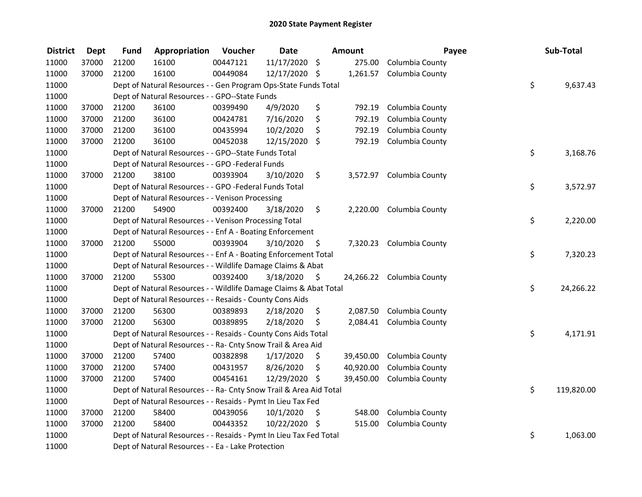| <b>District</b> | <b>Dept</b> | <b>Fund</b> | Appropriation                                                      | Voucher  | <b>Date</b>   |      | Amount    | Payee                     | Sub-Total        |
|-----------------|-------------|-------------|--------------------------------------------------------------------|----------|---------------|------|-----------|---------------------------|------------------|
| 11000           | 37000       | 21200       | 16100                                                              | 00447121 | 11/17/2020    | \$   | 275.00    | Columbia County           |                  |
| 11000           | 37000       | 21200       | 16100                                                              | 00449084 | 12/17/2020 \$ |      |           | 1,261.57 Columbia County  |                  |
| 11000           |             |             | Dept of Natural Resources - - Gen Program Ops-State Funds Total    |          |               |      |           |                           | \$<br>9,637.43   |
| 11000           |             |             | Dept of Natural Resources - - GPO--State Funds                     |          |               |      |           |                           |                  |
| 11000           | 37000       | 21200       | 36100                                                              | 00399490 | 4/9/2020      | \$   | 792.19    | Columbia County           |                  |
| 11000           | 37000       | 21200       | 36100                                                              | 00424781 | 7/16/2020     | \$   | 792.19    | Columbia County           |                  |
| 11000           | 37000       | 21200       | 36100                                                              | 00435994 | 10/2/2020     | \$   | 792.19    | Columbia County           |                  |
| 11000           | 37000       | 21200       | 36100                                                              | 00452038 | 12/15/2020    | \$   | 792.19    | Columbia County           |                  |
| 11000           |             |             | Dept of Natural Resources - - GPO--State Funds Total               |          |               |      |           |                           | \$<br>3,168.76   |
| 11000           |             |             | Dept of Natural Resources - - GPO -Federal Funds                   |          |               |      |           |                           |                  |
| 11000           | 37000       | 21200       | 38100                                                              | 00393904 | 3/10/2020     | \$   |           | 3,572.97 Columbia County  |                  |
| 11000           |             |             | Dept of Natural Resources - - GPO -Federal Funds Total             |          |               |      |           |                           | \$<br>3,572.97   |
| 11000           |             |             | Dept of Natural Resources - - Venison Processing                   |          |               |      |           |                           |                  |
| 11000           | 37000       | 21200       | 54900                                                              | 00392400 | 3/18/2020     | \$   | 2,220.00  | Columbia County           |                  |
| 11000           |             |             | Dept of Natural Resources - - Venison Processing Total             |          |               |      |           |                           | \$<br>2,220.00   |
| 11000           |             |             | Dept of Natural Resources - - Enf A - Boating Enforcement          |          |               |      |           |                           |                  |
| 11000           | 37000       | 21200       | 55000                                                              | 00393904 | 3/10/2020     | \$   | 7,320.23  | Columbia County           |                  |
| 11000           |             |             | Dept of Natural Resources - - Enf A - Boating Enforcement Total    |          |               |      |           |                           | \$<br>7,320.23   |
| 11000           |             |             | Dept of Natural Resources - - Wildlife Damage Claims & Abat        |          |               |      |           |                           |                  |
| 11000           | 37000       | 21200       | 55300                                                              | 00392400 | 3/18/2020     | - \$ |           | 24,266.22 Columbia County |                  |
| 11000           |             |             | Dept of Natural Resources - - Wildlife Damage Claims & Abat Total  |          |               |      |           |                           | \$<br>24,266.22  |
| 11000           |             |             | Dept of Natural Resources - - Resaids - County Cons Aids           |          |               |      |           |                           |                  |
| 11000           | 37000       | 21200       | 56300                                                              | 00389893 | 2/18/2020     | \$   | 2,087.50  | Columbia County           |                  |
| 11000           | 37000       | 21200       | 56300                                                              | 00389895 | 2/18/2020     | \$   | 2,084.41  | Columbia County           |                  |
| 11000           |             |             | Dept of Natural Resources - - Resaids - County Cons Aids Total     |          |               |      |           |                           | \$<br>4,171.91   |
| 11000           |             |             | Dept of Natural Resources - - Ra- Cnty Snow Trail & Area Aid       |          |               |      |           |                           |                  |
| 11000           | 37000       | 21200       | 57400                                                              | 00382898 | 1/17/2020     | \$   | 39,450.00 | Columbia County           |                  |
| 11000           | 37000       | 21200       | 57400                                                              | 00431957 | 8/26/2020     | \$   | 40,920.00 | Columbia County           |                  |
| 11000           | 37000       | 21200       | 57400                                                              | 00454161 | 12/29/2020 \$ |      | 39,450.00 | Columbia County           |                  |
| 11000           |             |             | Dept of Natural Resources - - Ra- Cnty Snow Trail & Area Aid Total |          |               |      |           |                           | \$<br>119,820.00 |
| 11000           |             |             | Dept of Natural Resources - - Resaids - Pymt In Lieu Tax Fed       |          |               |      |           |                           |                  |
| 11000           | 37000       | 21200       | 58400                                                              | 00439056 | 10/1/2020     | \$   | 548.00    | Columbia County           |                  |
| 11000           | 37000       | 21200       | 58400                                                              | 00443352 | 10/22/2020 \$ |      | 515.00    | Columbia County           |                  |
| 11000           |             |             | Dept of Natural Resources - - Resaids - Pymt In Lieu Tax Fed Total |          |               |      |           |                           | \$<br>1,063.00   |
| 11000           |             |             | Dept of Natural Resources - - Ea - Lake Protection                 |          |               |      |           |                           |                  |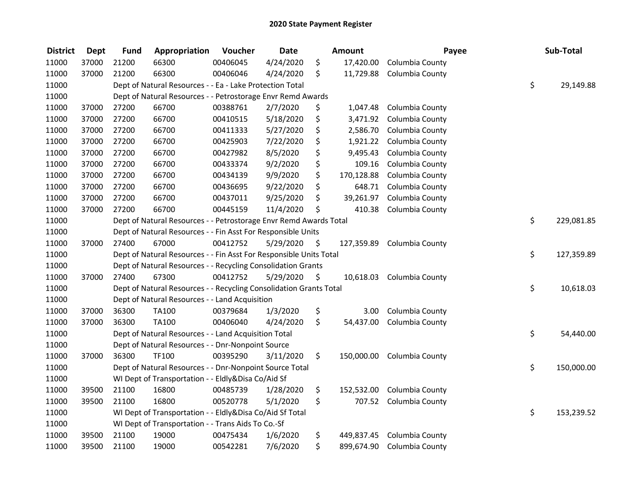| <b>District</b> | <b>Dept</b> | <b>Fund</b> | Appropriation                                                      | Voucher  | <b>Date</b> |      | <b>Amount</b> | Payee                      | Sub-Total        |
|-----------------|-------------|-------------|--------------------------------------------------------------------|----------|-------------|------|---------------|----------------------------|------------------|
| 11000           | 37000       | 21200       | 66300                                                              | 00406045 | 4/24/2020   | \$   | 17,420.00     | Columbia County            |                  |
| 11000           | 37000       | 21200       | 66300                                                              | 00406046 | 4/24/2020   | \$   | 11,729.88     | Columbia County            |                  |
| 11000           |             |             | Dept of Natural Resources - - Ea - Lake Protection Total           |          |             |      |               |                            | \$<br>29,149.88  |
| 11000           |             |             | Dept of Natural Resources - - Petrostorage Envr Remd Awards        |          |             |      |               |                            |                  |
| 11000           | 37000       | 27200       | 66700                                                              | 00388761 | 2/7/2020    | \$   | 1,047.48      | Columbia County            |                  |
| 11000           | 37000       | 27200       | 66700                                                              | 00410515 | 5/18/2020   | \$   | 3,471.92      | Columbia County            |                  |
| 11000           | 37000       | 27200       | 66700                                                              | 00411333 | 5/27/2020   | \$   | 2,586.70      | Columbia County            |                  |
| 11000           | 37000       | 27200       | 66700                                                              | 00425903 | 7/22/2020   | \$   | 1,921.22      | Columbia County            |                  |
| 11000           | 37000       | 27200       | 66700                                                              | 00427982 | 8/5/2020    | \$   | 9,495.43      | Columbia County            |                  |
| 11000           | 37000       | 27200       | 66700                                                              | 00433374 | 9/2/2020    | \$   | 109.16        | Columbia County            |                  |
| 11000           | 37000       | 27200       | 66700                                                              | 00434139 | 9/9/2020    | \$   | 170,128.88    | Columbia County            |                  |
| 11000           | 37000       | 27200       | 66700                                                              | 00436695 | 9/22/2020   | \$   | 648.71        | Columbia County            |                  |
| 11000           | 37000       | 27200       | 66700                                                              | 00437011 | 9/25/2020   | \$   | 39,261.97     | Columbia County            |                  |
| 11000           | 37000       | 27200       | 66700                                                              | 00445159 | 11/4/2020   | \$   | 410.38        | Columbia County            |                  |
| 11000           |             |             | Dept of Natural Resources - - Petrostorage Envr Remd Awards Total  |          |             |      |               |                            | \$<br>229,081.85 |
| 11000           |             |             | Dept of Natural Resources - - Fin Asst For Responsible Units       |          |             |      |               |                            |                  |
| 11000           | 37000       | 27400       | 67000                                                              | 00412752 | 5/29/2020   | \$   | 127,359.89    | Columbia County            |                  |
| 11000           |             |             | Dept of Natural Resources - - Fin Asst For Responsible Units Total |          |             |      |               |                            | \$<br>127,359.89 |
| 11000           |             |             | Dept of Natural Resources - - Recycling Consolidation Grants       |          |             |      |               |                            |                  |
| 11000           | 37000       | 27400       | 67300                                                              | 00412752 | 5/29/2020   | - \$ |               | 10,618.03 Columbia County  |                  |
| 11000           |             |             | Dept of Natural Resources - - Recycling Consolidation Grants Total |          |             |      |               |                            | \$<br>10,618.03  |
| 11000           |             |             | Dept of Natural Resources - - Land Acquisition                     |          |             |      |               |                            |                  |
| 11000           | 37000       | 36300       | TA100                                                              | 00379684 | 1/3/2020    | \$   | 3.00          | Columbia County            |                  |
| 11000           | 37000       | 36300       | TA100                                                              | 00406040 | 4/24/2020   | \$   | 54,437.00     | Columbia County            |                  |
| 11000           |             |             | Dept of Natural Resources - - Land Acquisition Total               |          |             |      |               |                            | \$<br>54,440.00  |
| 11000           |             |             | Dept of Natural Resources - - Dnr-Nonpoint Source                  |          |             |      |               |                            |                  |
| 11000           | 37000       | 36300       | <b>TF100</b>                                                       | 00395290 | 3/11/2020   | \$   |               | 150,000.00 Columbia County |                  |
| 11000           |             |             | Dept of Natural Resources - - Dnr-Nonpoint Source Total            |          |             |      |               |                            | \$<br>150,000.00 |
| 11000           |             |             | WI Dept of Transportation - - Eldly&Disa Co/Aid Sf                 |          |             |      |               |                            |                  |
| 11000           | 39500       | 21100       | 16800                                                              | 00485739 | 1/28/2020   | \$   | 152,532.00    | Columbia County            |                  |
| 11000           | 39500       | 21100       | 16800                                                              | 00520778 | 5/1/2020    | \$   | 707.52        | Columbia County            |                  |
| 11000           |             |             | WI Dept of Transportation - - Eldly&Disa Co/Aid Sf Total           |          |             |      |               |                            | \$<br>153,239.52 |
| 11000           |             |             | WI Dept of Transportation - - Trans Aids To Co.-Sf                 |          |             |      |               |                            |                  |
| 11000           | 39500       | 21100       | 19000                                                              | 00475434 | 1/6/2020    | \$   | 449,837.45    | Columbia County            |                  |
| 11000           | 39500       | 21100       | 19000                                                              | 00542281 | 7/6/2020    | \$   | 899,674.90    | Columbia County            |                  |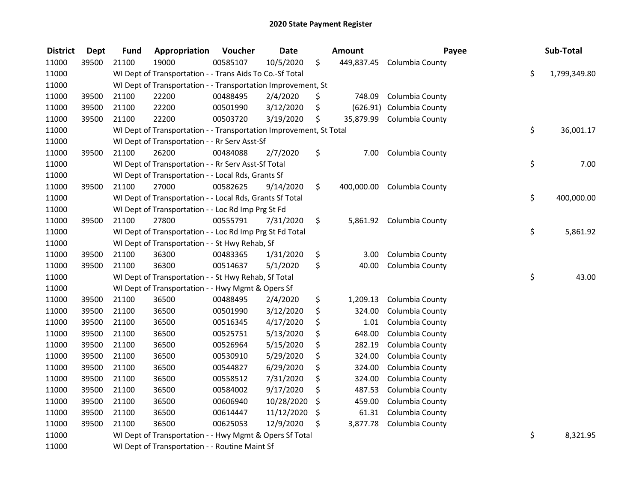| <b>District</b> | <b>Dept</b> | <b>Fund</b> | Appropriation                                                      | Voucher  | <b>Date</b> | <b>Amount</b>    | Payee                    | Sub-Total          |
|-----------------|-------------|-------------|--------------------------------------------------------------------|----------|-------------|------------------|--------------------------|--------------------|
| 11000           | 39500       | 21100       | 19000                                                              | 00585107 | 10/5/2020   | \$<br>449,837.45 | Columbia County          |                    |
| 11000           |             |             | WI Dept of Transportation - - Trans Aids To Co.-Sf Total           |          |             |                  |                          | \$<br>1,799,349.80 |
| 11000           |             |             | WI Dept of Transportation - - Transportation Improvement, St       |          |             |                  |                          |                    |
| 11000           | 39500       | 21100       | 22200                                                              | 00488495 | 2/4/2020    | \$<br>748.09     | Columbia County          |                    |
| 11000           | 39500       | 21100       | 22200                                                              | 00501990 | 3/12/2020   | \$<br>(626.91)   | Columbia County          |                    |
| 11000           | 39500       | 21100       | 22200                                                              | 00503720 | 3/19/2020   | \$<br>35,879.99  | Columbia County          |                    |
| 11000           |             |             | WI Dept of Transportation - - Transportation Improvement, St Total |          |             |                  |                          | \$<br>36,001.17    |
| 11000           |             |             | WI Dept of Transportation - - Rr Serv Asst-Sf                      |          |             |                  |                          |                    |
| 11000           | 39500       | 21100       | 26200                                                              | 00484088 | 2/7/2020    | \$<br>7.00       | Columbia County          |                    |
| 11000           |             |             | WI Dept of Transportation - - Rr Serv Asst-Sf Total                |          |             |                  |                          | \$<br>7.00         |
| 11000           |             |             | WI Dept of Transportation - - Local Rds, Grants Sf                 |          |             |                  |                          |                    |
| 11000           | 39500       | 21100       | 27000                                                              | 00582625 | 9/14/2020   | \$<br>400,000.00 | Columbia County          |                    |
| 11000           |             |             | WI Dept of Transportation - - Local Rds, Grants Sf Total           |          |             |                  |                          | \$<br>400,000.00   |
| 11000           |             |             | WI Dept of Transportation - - Loc Rd Imp Prg St Fd                 |          |             |                  |                          |                    |
| 11000           | 39500       | 21100       | 27800                                                              | 00555791 | 7/31/2020   | \$               | 5,861.92 Columbia County |                    |
| 11000           |             |             | WI Dept of Transportation - - Loc Rd Imp Prg St Fd Total           |          |             |                  |                          | \$<br>5,861.92     |
| 11000           |             |             | WI Dept of Transportation - - St Hwy Rehab, Sf                     |          |             |                  |                          |                    |
| 11000           | 39500       | 21100       | 36300                                                              | 00483365 | 1/31/2020   | \$<br>3.00       | Columbia County          |                    |
| 11000           | 39500       | 21100       | 36300                                                              | 00514637 | 5/1/2020    | \$<br>40.00      | Columbia County          |                    |
| 11000           |             |             | WI Dept of Transportation - - St Hwy Rehab, Sf Total               |          |             |                  |                          | \$<br>43.00        |
| 11000           |             |             | WI Dept of Transportation - - Hwy Mgmt & Opers Sf                  |          |             |                  |                          |                    |
| 11000           | 39500       | 21100       | 36500                                                              | 00488495 | 2/4/2020    | \$<br>1,209.13   | Columbia County          |                    |
| 11000           | 39500       | 21100       | 36500                                                              | 00501990 | 3/12/2020   | \$<br>324.00     | Columbia County          |                    |
| 11000           | 39500       | 21100       | 36500                                                              | 00516345 | 4/17/2020   | \$<br>1.01       | Columbia County          |                    |
| 11000           | 39500       | 21100       | 36500                                                              | 00525751 | 5/13/2020   | \$<br>648.00     | Columbia County          |                    |
| 11000           | 39500       | 21100       | 36500                                                              | 00526964 | 5/15/2020   | \$<br>282.19     | Columbia County          |                    |
| 11000           | 39500       | 21100       | 36500                                                              | 00530910 | 5/29/2020   | \$<br>324.00     | Columbia County          |                    |
| 11000           | 39500       | 21100       | 36500                                                              | 00544827 | 6/29/2020   | \$<br>324.00     | Columbia County          |                    |
| 11000           | 39500       | 21100       | 36500                                                              | 00558512 | 7/31/2020   | \$<br>324.00     | Columbia County          |                    |
| 11000           | 39500       | 21100       | 36500                                                              | 00584002 | 9/17/2020   | \$<br>487.53     | Columbia County          |                    |
| 11000           | 39500       | 21100       | 36500                                                              | 00606940 | 10/28/2020  | \$<br>459.00     | Columbia County          |                    |
| 11000           | 39500       | 21100       | 36500                                                              | 00614447 | 11/12/2020  | \$<br>61.31      | Columbia County          |                    |
| 11000           | 39500       | 21100       | 36500                                                              | 00625053 | 12/9/2020   | \$<br>3,877.78   | Columbia County          |                    |
| 11000           |             |             | WI Dept of Transportation - - Hwy Mgmt & Opers Sf Total            |          |             |                  |                          | \$<br>8,321.95     |
| 11000           |             |             | WI Dept of Transportation - - Routine Maint Sf                     |          |             |                  |                          |                    |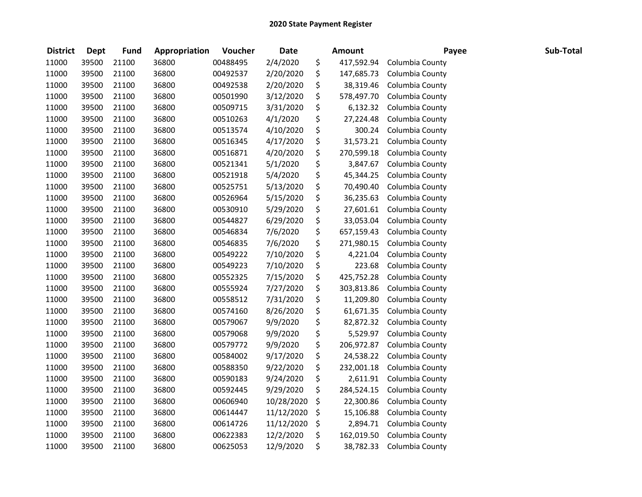| <b>District</b> | <b>Dept</b> | <b>Fund</b> | Appropriation | Voucher  | <b>Date</b> | Amount           | Payee           | Sub-Total |
|-----------------|-------------|-------------|---------------|----------|-------------|------------------|-----------------|-----------|
| 11000           | 39500       | 21100       | 36800         | 00488495 | 2/4/2020    | \$<br>417,592.94 | Columbia County |           |
| 11000           | 39500       | 21100       | 36800         | 00492537 | 2/20/2020   | \$<br>147,685.73 | Columbia County |           |
| 11000           | 39500       | 21100       | 36800         | 00492538 | 2/20/2020   | \$<br>38,319.46  | Columbia County |           |
| 11000           | 39500       | 21100       | 36800         | 00501990 | 3/12/2020   | \$<br>578,497.70 | Columbia County |           |
| 11000           | 39500       | 21100       | 36800         | 00509715 | 3/31/2020   | \$<br>6,132.32   | Columbia County |           |
| 11000           | 39500       | 21100       | 36800         | 00510263 | 4/1/2020    | \$<br>27,224.48  | Columbia County |           |
| 11000           | 39500       | 21100       | 36800         | 00513574 | 4/10/2020   | \$<br>300.24     | Columbia County |           |
| 11000           | 39500       | 21100       | 36800         | 00516345 | 4/17/2020   | \$<br>31,573.21  | Columbia County |           |
| 11000           | 39500       | 21100       | 36800         | 00516871 | 4/20/2020   | \$<br>270,599.18 | Columbia County |           |
| 11000           | 39500       | 21100       | 36800         | 00521341 | 5/1/2020    | \$<br>3,847.67   | Columbia County |           |
| 11000           | 39500       | 21100       | 36800         | 00521918 | 5/4/2020    | \$<br>45,344.25  | Columbia County |           |
| 11000           | 39500       | 21100       | 36800         | 00525751 | 5/13/2020   | \$<br>70,490.40  | Columbia County |           |
| 11000           | 39500       | 21100       | 36800         | 00526964 | 5/15/2020   | \$<br>36,235.63  | Columbia County |           |
| 11000           | 39500       | 21100       | 36800         | 00530910 | 5/29/2020   | \$<br>27,601.61  | Columbia County |           |
| 11000           | 39500       | 21100       | 36800         | 00544827 | 6/29/2020   | \$<br>33,053.04  | Columbia County |           |
| 11000           | 39500       | 21100       | 36800         | 00546834 | 7/6/2020    | \$<br>657,159.43 | Columbia County |           |
| 11000           | 39500       | 21100       | 36800         | 00546835 | 7/6/2020    | \$<br>271,980.15 | Columbia County |           |
| 11000           | 39500       | 21100       | 36800         | 00549222 | 7/10/2020   | \$<br>4,221.04   | Columbia County |           |
| 11000           | 39500       | 21100       | 36800         | 00549223 | 7/10/2020   | \$<br>223.68     | Columbia County |           |
| 11000           | 39500       | 21100       | 36800         | 00552325 | 7/15/2020   | \$<br>425,752.28 | Columbia County |           |
| 11000           | 39500       | 21100       | 36800         | 00555924 | 7/27/2020   | \$<br>303,813.86 | Columbia County |           |
| 11000           | 39500       | 21100       | 36800         | 00558512 | 7/31/2020   | \$<br>11,209.80  | Columbia County |           |
| 11000           | 39500       | 21100       | 36800         | 00574160 | 8/26/2020   | \$<br>61,671.35  | Columbia County |           |
| 11000           | 39500       | 21100       | 36800         | 00579067 | 9/9/2020    | \$<br>82,872.32  | Columbia County |           |
| 11000           | 39500       | 21100       | 36800         | 00579068 | 9/9/2020    | \$<br>5,529.97   | Columbia County |           |
| 11000           | 39500       | 21100       | 36800         | 00579772 | 9/9/2020    | \$<br>206,972.87 | Columbia County |           |
| 11000           | 39500       | 21100       | 36800         | 00584002 | 9/17/2020   | \$<br>24,538.22  | Columbia County |           |
| 11000           | 39500       | 21100       | 36800         | 00588350 | 9/22/2020   | \$<br>232,001.18 | Columbia County |           |
| 11000           | 39500       | 21100       | 36800         | 00590183 | 9/24/2020   | \$<br>2,611.91   | Columbia County |           |
| 11000           | 39500       | 21100       | 36800         | 00592445 | 9/29/2020   | \$<br>284,524.15 | Columbia County |           |
| 11000           | 39500       | 21100       | 36800         | 00606940 | 10/28/2020  | \$<br>22,300.86  | Columbia County |           |
| 11000           | 39500       | 21100       | 36800         | 00614447 | 11/12/2020  | \$<br>15,106.88  | Columbia County |           |
| 11000           | 39500       | 21100       | 36800         | 00614726 | 11/12/2020  | \$<br>2,894.71   | Columbia County |           |
| 11000           | 39500       | 21100       | 36800         | 00622383 | 12/2/2020   | \$<br>162,019.50 | Columbia County |           |
| 11000           | 39500       | 21100       | 36800         | 00625053 | 12/9/2020   | \$<br>38,782.33  | Columbia County |           |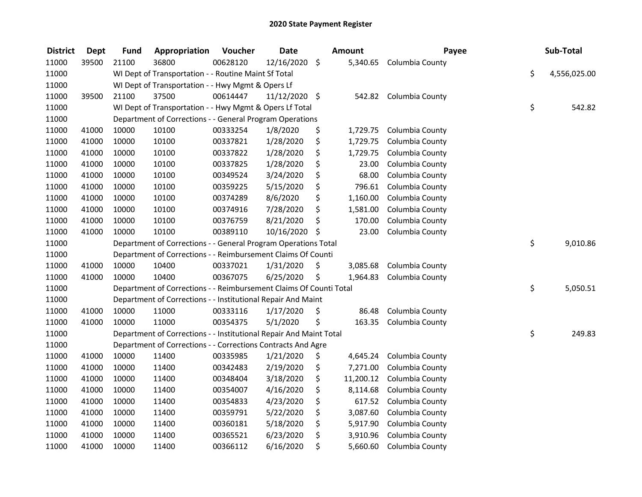| <b>District</b> | <b>Dept</b> | <b>Fund</b> | Appropriation                                                      | Voucher  | <b>Date</b>   | Amount          | Payee           | Sub-Total          |
|-----------------|-------------|-------------|--------------------------------------------------------------------|----------|---------------|-----------------|-----------------|--------------------|
| 11000           | 39500       | 21100       | 36800                                                              | 00628120 | 12/16/2020    | \$<br>5,340.65  | Columbia County |                    |
| 11000           |             |             | WI Dept of Transportation - - Routine Maint Sf Total               |          |               |                 |                 | \$<br>4,556,025.00 |
| 11000           |             |             | WI Dept of Transportation - - Hwy Mgmt & Opers Lf                  |          |               |                 |                 |                    |
| 11000           | 39500       | 21100       | 37500                                                              | 00614447 | 11/12/2020 \$ | 542.82          | Columbia County |                    |
| 11000           |             |             | WI Dept of Transportation - - Hwy Mgmt & Opers Lf Total            |          |               |                 |                 | \$<br>542.82       |
| 11000           |             |             | Department of Corrections - - General Program Operations           |          |               |                 |                 |                    |
| 11000           | 41000       | 10000       | 10100                                                              | 00333254 | 1/8/2020      | \$<br>1,729.75  | Columbia County |                    |
| 11000           | 41000       | 10000       | 10100                                                              | 00337821 | 1/28/2020     | \$<br>1,729.75  | Columbia County |                    |
| 11000           | 41000       | 10000       | 10100                                                              | 00337822 | 1/28/2020     | \$<br>1,729.75  | Columbia County |                    |
| 11000           | 41000       | 10000       | 10100                                                              | 00337825 | 1/28/2020     | \$<br>23.00     | Columbia County |                    |
| 11000           | 41000       | 10000       | 10100                                                              | 00349524 | 3/24/2020     | \$<br>68.00     | Columbia County |                    |
| 11000           | 41000       | 10000       | 10100                                                              | 00359225 | 5/15/2020     | \$<br>796.61    | Columbia County |                    |
| 11000           | 41000       | 10000       | 10100                                                              | 00374289 | 8/6/2020      | \$<br>1,160.00  | Columbia County |                    |
| 11000           | 41000       | 10000       | 10100                                                              | 00374916 | 7/28/2020     | \$<br>1,581.00  | Columbia County |                    |
| 11000           | 41000       | 10000       | 10100                                                              | 00376759 | 8/21/2020     | \$<br>170.00    | Columbia County |                    |
| 11000           | 41000       | 10000       | 10100                                                              | 00389110 | 10/16/2020    | \$<br>23.00     | Columbia County |                    |
| 11000           |             |             | Department of Corrections - - General Program Operations Total     |          |               |                 |                 | \$<br>9,010.86     |
| 11000           |             |             | Department of Corrections - - Reimbursement Claims Of Counti       |          |               |                 |                 |                    |
| 11000           | 41000       | 10000       | 10400                                                              | 00337021 | 1/31/2020     | \$<br>3,085.68  | Columbia County |                    |
| 11000           | 41000       | 10000       | 10400                                                              | 00367075 | 6/25/2020     | \$<br>1,964.83  | Columbia County |                    |
| 11000           |             |             | Department of Corrections - - Reimbursement Claims Of Counti Total |          |               |                 |                 | \$<br>5,050.51     |
| 11000           |             |             | Department of Corrections - - Institutional Repair And Maint       |          |               |                 |                 |                    |
| 11000           | 41000       | 10000       | 11000                                                              | 00333116 | 1/17/2020     | \$<br>86.48     | Columbia County |                    |
| 11000           | 41000       | 10000       | 11000                                                              | 00354375 | 5/1/2020      | \$<br>163.35    | Columbia County |                    |
| 11000           |             |             | Department of Corrections - - Institutional Repair And Maint Total |          |               |                 |                 | \$<br>249.83       |
| 11000           |             |             | Department of Corrections - - Corrections Contracts And Agre       |          |               |                 |                 |                    |
| 11000           | 41000       | 10000       | 11400                                                              | 00335985 | 1/21/2020     | \$<br>4,645.24  | Columbia County |                    |
| 11000           | 41000       | 10000       | 11400                                                              | 00342483 | 2/19/2020     | \$<br>7,271.00  | Columbia County |                    |
| 11000           | 41000       | 10000       | 11400                                                              | 00348404 | 3/18/2020     | \$<br>11,200.12 | Columbia County |                    |
| 11000           | 41000       | 10000       | 11400                                                              | 00354007 | 4/16/2020     | \$<br>8,114.68  | Columbia County |                    |
| 11000           | 41000       | 10000       | 11400                                                              | 00354833 | 4/23/2020     | \$<br>617.52    | Columbia County |                    |
| 11000           | 41000       | 10000       | 11400                                                              | 00359791 | 5/22/2020     | \$<br>3,087.60  | Columbia County |                    |
| 11000           | 41000       | 10000       | 11400                                                              | 00360181 | 5/18/2020     | \$<br>5,917.90  | Columbia County |                    |
| 11000           | 41000       | 10000       | 11400                                                              | 00365521 | 6/23/2020     | \$<br>3,910.96  | Columbia County |                    |
| 11000           | 41000       | 10000       | 11400                                                              | 00366112 | 6/16/2020     | \$<br>5,660.60  | Columbia County |                    |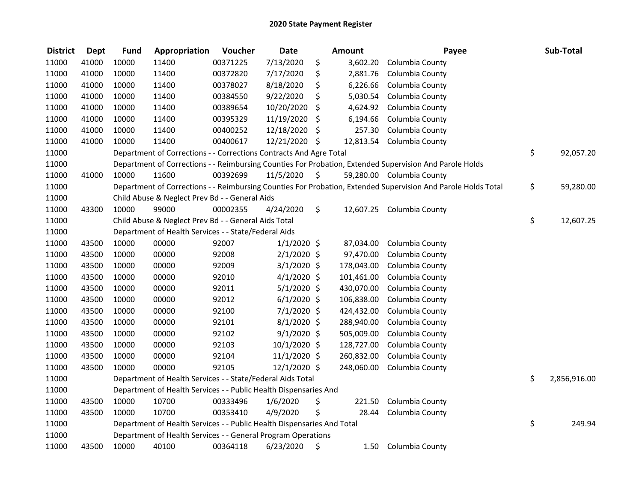| <b>District</b> | <b>Dept</b> | <b>Fund</b> | Appropriation                                                          | Voucher  | <b>Date</b>   |                     | Amount     | Payee                                                                                                         | Sub-Total          |
|-----------------|-------------|-------------|------------------------------------------------------------------------|----------|---------------|---------------------|------------|---------------------------------------------------------------------------------------------------------------|--------------------|
| 11000           | 41000       | 10000       | 11400                                                                  | 00371225 | 7/13/2020     | \$                  | 3,602.20   | Columbia County                                                                                               |                    |
| 11000           | 41000       | 10000       | 11400                                                                  | 00372820 | 7/17/2020     | \$                  | 2,881.76   | Columbia County                                                                                               |                    |
| 11000           | 41000       | 10000       | 11400                                                                  | 00378027 | 8/18/2020     | \$                  | 6,226.66   | Columbia County                                                                                               |                    |
| 11000           | 41000       | 10000       | 11400                                                                  | 00384550 | 9/22/2020     | \$                  | 5,030.54   | Columbia County                                                                                               |                    |
| 11000           | 41000       | 10000       | 11400                                                                  | 00389654 | 10/20/2020    | \$                  | 4,624.92   | Columbia County                                                                                               |                    |
| 11000           | 41000       | 10000       | 11400                                                                  | 00395329 | 11/19/2020    | \$                  | 6,194.66   | Columbia County                                                                                               |                    |
| 11000           | 41000       | 10000       | 11400                                                                  | 00400252 | 12/18/2020    | \$                  | 257.30     | Columbia County                                                                                               |                    |
| 11000           | 41000       | 10000       | 11400                                                                  | 00400617 | 12/21/2020 \$ |                     | 12,813.54  | Columbia County                                                                                               |                    |
| 11000           |             |             | Department of Corrections - - Corrections Contracts And Agre Total     |          |               |                     |            |                                                                                                               | \$<br>92,057.20    |
| 11000           |             |             |                                                                        |          |               |                     |            | Department of Corrections - - Reimbursing Counties For Probation, Extended Supervision And Parole Holds       |                    |
| 11000           | 41000       | 10000       | 11600                                                                  | 00392699 | 11/5/2020     | $\ddot{\mathsf{S}}$ |            | 59,280.00 Columbia County                                                                                     |                    |
| 11000           |             |             |                                                                        |          |               |                     |            | Department of Corrections - - Reimbursing Counties For Probation, Extended Supervision And Parole Holds Total | \$<br>59,280.00    |
| 11000           |             |             | Child Abuse & Neglect Prev Bd - - General Aids                         |          |               |                     |            |                                                                                                               |                    |
| 11000           | 43300       | 10000       | 99000                                                                  | 00002355 | 4/24/2020     | \$                  |            | 12,607.25 Columbia County                                                                                     |                    |
| 11000           |             |             | Child Abuse & Neglect Prev Bd - - General Aids Total                   |          |               |                     |            |                                                                                                               | \$<br>12,607.25    |
| 11000           |             |             | Department of Health Services - - State/Federal Aids                   |          |               |                     |            |                                                                                                               |                    |
| 11000           | 43500       | 10000       | 00000                                                                  | 92007    | $1/1/2020$ \$ |                     | 87,034.00  | Columbia County                                                                                               |                    |
| 11000           | 43500       | 10000       | 00000                                                                  | 92008    | $2/1/2020$ \$ |                     | 97,470.00  | Columbia County                                                                                               |                    |
| 11000           | 43500       | 10000       | 00000                                                                  | 92009    | $3/1/2020$ \$ |                     | 178,043.00 | Columbia County                                                                                               |                    |
| 11000           | 43500       | 10000       | 00000                                                                  | 92010    | $4/1/2020$ \$ |                     | 101,461.00 | Columbia County                                                                                               |                    |
| 11000           | 43500       | 10000       | 00000                                                                  | 92011    | $5/1/2020$ \$ |                     | 430,070.00 | Columbia County                                                                                               |                    |
| 11000           | 43500       | 10000       | 00000                                                                  | 92012    | $6/1/2020$ \$ |                     | 106,838.00 | Columbia County                                                                                               |                    |
| 11000           | 43500       | 10000       | 00000                                                                  | 92100    | 7/1/2020 \$   |                     | 424,432.00 | Columbia County                                                                                               |                    |
| 11000           | 43500       | 10000       | 00000                                                                  | 92101    | $8/1/2020$ \$ |                     | 288,940.00 | Columbia County                                                                                               |                    |
| 11000           | 43500       | 10000       | 00000                                                                  | 92102    | $9/1/2020$ \$ |                     | 505,009.00 | Columbia County                                                                                               |                    |
| 11000           | 43500       | 10000       | 00000                                                                  | 92103    | 10/1/2020 \$  |                     | 128,727.00 | Columbia County                                                                                               |                    |
| 11000           | 43500       | 10000       | 00000                                                                  | 92104    | 11/1/2020 \$  |                     | 260,832.00 | Columbia County                                                                                               |                    |
| 11000           | 43500       | 10000       | 00000                                                                  | 92105    | 12/1/2020 \$  |                     | 248,060.00 | Columbia County                                                                                               |                    |
| 11000           |             |             | Department of Health Services - - State/Federal Aids Total             |          |               |                     |            |                                                                                                               | \$<br>2,856,916.00 |
| 11000           |             |             | Department of Health Services - - Public Health Dispensaries And       |          |               |                     |            |                                                                                                               |                    |
| 11000           | 43500       | 10000       | 10700                                                                  | 00333496 | 1/6/2020      | \$                  | 221.50     | Columbia County                                                                                               |                    |
| 11000           | 43500       | 10000       | 10700                                                                  | 00353410 | 4/9/2020      | \$                  | 28.44      | Columbia County                                                                                               |                    |
| 11000           |             |             | Department of Health Services - - Public Health Dispensaries And Total |          |               |                     |            |                                                                                                               | \$<br>249.94       |
| 11000           |             |             | Department of Health Services - - General Program Operations           |          |               |                     |            |                                                                                                               |                    |
| 11000           | 43500       | 10000       | 40100                                                                  | 00364118 | 6/23/2020     | \$                  | 1.50       | Columbia County                                                                                               |                    |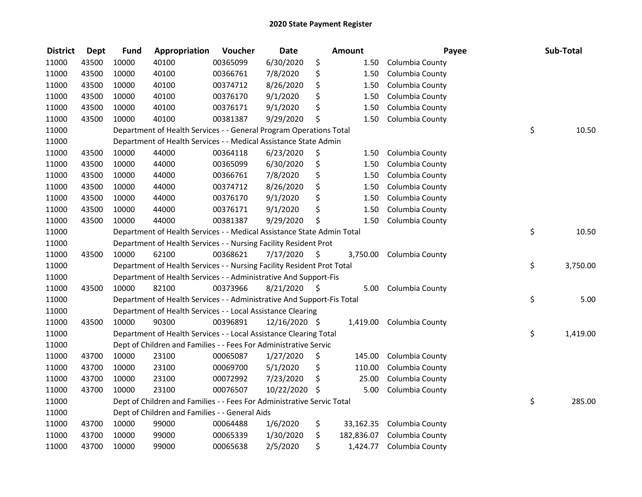| <b>District</b> | Dept  | <b>Fund</b> | Appropriation                                                          | Voucher  | <b>Date</b>   |      | <b>Amount</b> | Payee                    | Sub-Total      |
|-----------------|-------|-------------|------------------------------------------------------------------------|----------|---------------|------|---------------|--------------------------|----------------|
| 11000           | 43500 | 10000       | 40100                                                                  | 00365099 | 6/30/2020     | \$   | 1.50          | Columbia County          |                |
| 11000           | 43500 | 10000       | 40100                                                                  | 00366761 | 7/8/2020      | \$   | 1.50          | Columbia County          |                |
| 11000           | 43500 | 10000       | 40100                                                                  | 00374712 | 8/26/2020     | \$   | 1.50          | Columbia County          |                |
| 11000           | 43500 | 10000       | 40100                                                                  | 00376170 | 9/1/2020      | \$   | 1.50          | Columbia County          |                |
| 11000           | 43500 | 10000       | 40100                                                                  | 00376171 | 9/1/2020      | \$   | 1.50          | Columbia County          |                |
| 11000           | 43500 | 10000       | 40100                                                                  | 00381387 | 9/29/2020     | \$   | 1.50          | Columbia County          |                |
| 11000           |       |             | Department of Health Services - - General Program Operations Total     |          |               |      |               |                          | \$<br>10.50    |
| 11000           |       |             | Department of Health Services - - Medical Assistance State Admin       |          |               |      |               |                          |                |
| 11000           | 43500 | 10000       | 44000                                                                  | 00364118 | 6/23/2020     | \$   | 1.50          | Columbia County          |                |
| 11000           | 43500 | 10000       | 44000                                                                  | 00365099 | 6/30/2020     | \$   | 1.50          | Columbia County          |                |
| 11000           | 43500 | 10000       | 44000                                                                  | 00366761 | 7/8/2020      | \$   | 1.50          | Columbia County          |                |
| 11000           | 43500 | 10000       | 44000                                                                  | 00374712 | 8/26/2020     | \$   | 1.50          | Columbia County          |                |
| 11000           | 43500 | 10000       | 44000                                                                  | 00376170 | 9/1/2020      | \$   | 1.50          | Columbia County          |                |
| 11000           | 43500 | 10000       | 44000                                                                  | 00376171 | 9/1/2020      | \$   | 1.50          | Columbia County          |                |
| 11000           | 43500 | 10000       | 44000                                                                  | 00381387 | 9/29/2020     | \$   | 1.50          | Columbia County          |                |
| 11000           |       |             | Department of Health Services - - Medical Assistance State Admin Total |          |               |      |               |                          | \$<br>10.50    |
| 11000           |       |             | Department of Health Services - - Nursing Facility Resident Prot       |          |               |      |               |                          |                |
| 11000           | 43500 | 10000       | 62100                                                                  | 00368621 | 7/17/2020     | \$   | 3,750.00      | Columbia County          |                |
| 11000           |       |             | Department of Health Services - - Nursing Facility Resident Prot Total |          |               |      |               |                          | \$<br>3,750.00 |
| 11000           |       |             | Department of Health Services - - Administrative And Support-Fis       |          |               |      |               |                          |                |
| 11000           | 43500 | 10000       | 82100                                                                  | 00373966 | 8/21/2020     | - \$ | 5.00          | Columbia County          |                |
| 11000           |       |             | Department of Health Services - - Administrative And Support-Fis Total |          |               |      |               |                          | \$<br>5.00     |
| 11000           |       |             | Department of Health Services - - Local Assistance Clearing            |          |               |      |               |                          |                |
| 11000           | 43500 | 10000       | 90300                                                                  | 00396891 | 12/16/2020 \$ |      |               | 1,419.00 Columbia County |                |
| 11000           |       |             | Department of Health Services - - Local Assistance Clearing Total      |          |               |      |               |                          | \$<br>1,419.00 |
| 11000           |       |             | Dept of Children and Families - - Fees For Administrative Servic       |          |               |      |               |                          |                |
| 11000           | 43700 | 10000       | 23100                                                                  | 00065087 | 1/27/2020     | \$   | 145.00        | Columbia County          |                |
| 11000           | 43700 | 10000       | 23100                                                                  | 00069700 | 5/1/2020      | \$   | 110.00        | Columbia County          |                |
| 11000           | 43700 | 10000       | 23100                                                                  | 00072992 | 7/23/2020     | \$   | 25.00         | Columbia County          |                |
| 11000           | 43700 | 10000       | 23100                                                                  | 00076507 | 10/22/2020    | \$   | 5.00          | Columbia County          |                |
| 11000           |       |             | Dept of Children and Families - - Fees For Administrative Servic Total |          |               |      |               |                          | \$<br>285.00   |
| 11000           |       |             | Dept of Children and Families - - General Aids                         |          |               |      |               |                          |                |
| 11000           | 43700 | 10000       | 99000                                                                  | 00064488 | 1/6/2020      | \$   | 33,162.35     | Columbia County          |                |
| 11000           | 43700 | 10000       | 99000                                                                  | 00065339 | 1/30/2020     | \$   | 182,836.07    | Columbia County          |                |
| 11000           | 43700 | 10000       | 99000                                                                  | 00065638 | 2/5/2020      | \$   | 1,424.77      | Columbia County          |                |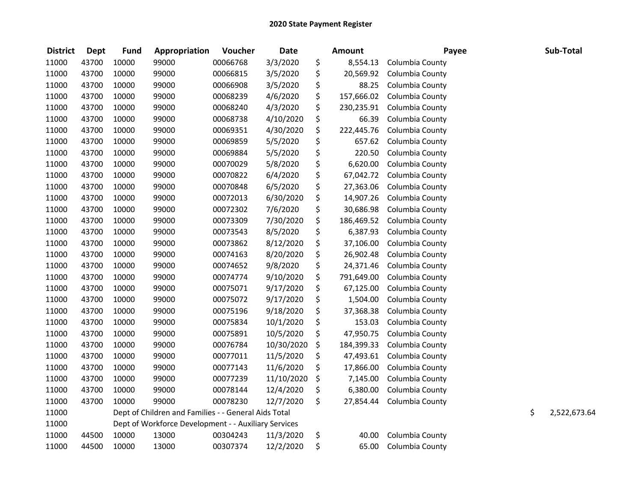| <b>District</b> | <b>Dept</b> | <b>Fund</b> | Appropriation                                        | Voucher  | Date       | <b>Amount</b>    | Payee           | Sub-Total          |
|-----------------|-------------|-------------|------------------------------------------------------|----------|------------|------------------|-----------------|--------------------|
| 11000           | 43700       | 10000       | 99000                                                | 00066768 | 3/3/2020   | \$<br>8,554.13   | Columbia County |                    |
| 11000           | 43700       | 10000       | 99000                                                | 00066815 | 3/5/2020   | \$<br>20,569.92  | Columbia County |                    |
| 11000           | 43700       | 10000       | 99000                                                | 00066908 | 3/5/2020   | \$<br>88.25      | Columbia County |                    |
| 11000           | 43700       | 10000       | 99000                                                | 00068239 | 4/6/2020   | \$<br>157,666.02 | Columbia County |                    |
| 11000           | 43700       | 10000       | 99000                                                | 00068240 | 4/3/2020   | \$<br>230,235.91 | Columbia County |                    |
| 11000           | 43700       | 10000       | 99000                                                | 00068738 | 4/10/2020  | \$<br>66.39      | Columbia County |                    |
| 11000           | 43700       | 10000       | 99000                                                | 00069351 | 4/30/2020  | \$<br>222,445.76 | Columbia County |                    |
| 11000           | 43700       | 10000       | 99000                                                | 00069859 | 5/5/2020   | \$<br>657.62     | Columbia County |                    |
| 11000           | 43700       | 10000       | 99000                                                | 00069884 | 5/5/2020   | \$<br>220.50     | Columbia County |                    |
| 11000           | 43700       | 10000       | 99000                                                | 00070029 | 5/8/2020   | \$<br>6,620.00   | Columbia County |                    |
| 11000           | 43700       | 10000       | 99000                                                | 00070822 | 6/4/2020   | \$<br>67,042.72  | Columbia County |                    |
| 11000           | 43700       | 10000       | 99000                                                | 00070848 | 6/5/2020   | \$<br>27,363.06  | Columbia County |                    |
| 11000           | 43700       | 10000       | 99000                                                | 00072013 | 6/30/2020  | \$<br>14,907.26  | Columbia County |                    |
| 11000           | 43700       | 10000       | 99000                                                | 00072302 | 7/6/2020   | \$<br>30,686.98  | Columbia County |                    |
| 11000           | 43700       | 10000       | 99000                                                | 00073309 | 7/30/2020  | \$<br>186,469.52 | Columbia County |                    |
| 11000           | 43700       | 10000       | 99000                                                | 00073543 | 8/5/2020   | \$<br>6,387.93   | Columbia County |                    |
| 11000           | 43700       | 10000       | 99000                                                | 00073862 | 8/12/2020  | \$<br>37,106.00  | Columbia County |                    |
| 11000           | 43700       | 10000       | 99000                                                | 00074163 | 8/20/2020  | \$<br>26,902.48  | Columbia County |                    |
| 11000           | 43700       | 10000       | 99000                                                | 00074652 | 9/8/2020   | \$<br>24,371.46  | Columbia County |                    |
| 11000           | 43700       | 10000       | 99000                                                | 00074774 | 9/10/2020  | \$<br>791,649.00 | Columbia County |                    |
| 11000           | 43700       | 10000       | 99000                                                | 00075071 | 9/17/2020  | \$<br>67,125.00  | Columbia County |                    |
| 11000           | 43700       | 10000       | 99000                                                | 00075072 | 9/17/2020  | \$<br>1,504.00   | Columbia County |                    |
| 11000           | 43700       | 10000       | 99000                                                | 00075196 | 9/18/2020  | \$<br>37,368.38  | Columbia County |                    |
| 11000           | 43700       | 10000       | 99000                                                | 00075834 | 10/1/2020  | \$<br>153.03     | Columbia County |                    |
| 11000           | 43700       | 10000       | 99000                                                | 00075891 | 10/5/2020  | \$<br>47,950.75  | Columbia County |                    |
| 11000           | 43700       | 10000       | 99000                                                | 00076784 | 10/30/2020 | \$<br>184,399.33 | Columbia County |                    |
| 11000           | 43700       | 10000       | 99000                                                | 00077011 | 11/5/2020  | \$<br>47,493.61  | Columbia County |                    |
| 11000           | 43700       | 10000       | 99000                                                | 00077143 | 11/6/2020  | \$<br>17,866.00  | Columbia County |                    |
| 11000           | 43700       | 10000       | 99000                                                | 00077239 | 11/10/2020 | \$<br>7,145.00   | Columbia County |                    |
| 11000           | 43700       | 10000       | 99000                                                | 00078144 | 12/4/2020  | \$<br>6,380.00   | Columbia County |                    |
| 11000           | 43700       | 10000       | 99000                                                | 00078230 | 12/7/2020  | \$<br>27,854.44  | Columbia County |                    |
| 11000           |             |             | Dept of Children and Families - - General Aids Total |          |            |                  |                 | \$<br>2,522,673.64 |
| 11000           |             |             | Dept of Workforce Development - - Auxiliary Services |          |            |                  |                 |                    |
| 11000           | 44500       | 10000       | 13000                                                | 00304243 | 11/3/2020  | \$<br>40.00      | Columbia County |                    |
| 11000           | 44500       | 10000       | 13000                                                | 00307374 | 12/2/2020  | \$<br>65.00      | Columbia County |                    |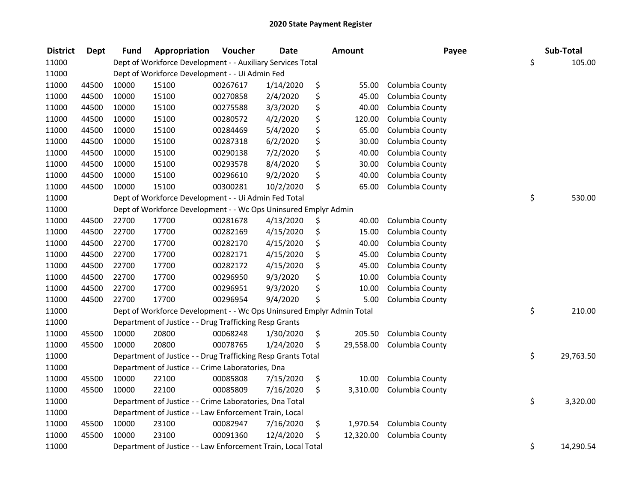| <b>District</b> | <b>Dept</b> | <b>Fund</b> | Appropriation                                                         | Voucher  | <b>Date</b> | <b>Amount</b>   | Payee           | Sub-Total       |
|-----------------|-------------|-------------|-----------------------------------------------------------------------|----------|-------------|-----------------|-----------------|-----------------|
| 11000           |             |             | Dept of Workforce Development - - Auxiliary Services Total            |          |             |                 |                 | \$<br>105.00    |
| 11000           |             |             | Dept of Workforce Development - - Ui Admin Fed                        |          |             |                 |                 |                 |
| 11000           | 44500       | 10000       | 15100                                                                 | 00267617 | 1/14/2020   | \$<br>55.00     | Columbia County |                 |
| 11000           | 44500       | 10000       | 15100                                                                 | 00270858 | 2/4/2020    | \$<br>45.00     | Columbia County |                 |
| 11000           | 44500       | 10000       | 15100                                                                 | 00275588 | 3/3/2020    | \$<br>40.00     | Columbia County |                 |
| 11000           | 44500       | 10000       | 15100                                                                 | 00280572 | 4/2/2020    | \$<br>120.00    | Columbia County |                 |
| 11000           | 44500       | 10000       | 15100                                                                 | 00284469 | 5/4/2020    | \$<br>65.00     | Columbia County |                 |
| 11000           | 44500       | 10000       | 15100                                                                 | 00287318 | 6/2/2020    | \$<br>30.00     | Columbia County |                 |
| 11000           | 44500       | 10000       | 15100                                                                 | 00290138 | 7/2/2020    | \$<br>40.00     | Columbia County |                 |
| 11000           | 44500       | 10000       | 15100                                                                 | 00293578 | 8/4/2020    | \$<br>30.00     | Columbia County |                 |
| 11000           | 44500       | 10000       | 15100                                                                 | 00296610 | 9/2/2020    | \$<br>40.00     | Columbia County |                 |
| 11000           | 44500       | 10000       | 15100                                                                 | 00300281 | 10/2/2020   | \$<br>65.00     | Columbia County |                 |
| 11000           |             |             | Dept of Workforce Development - - Ui Admin Fed Total                  |          |             |                 |                 | \$<br>530.00    |
| 11000           |             |             | Dept of Workforce Development - - Wc Ops Uninsured Emplyr Admin       |          |             |                 |                 |                 |
| 11000           | 44500       | 22700       | 17700                                                                 | 00281678 | 4/13/2020   | \$<br>40.00     | Columbia County |                 |
| 11000           | 44500       | 22700       | 17700                                                                 | 00282169 | 4/15/2020   | \$<br>15.00     | Columbia County |                 |
| 11000           | 44500       | 22700       | 17700                                                                 | 00282170 | 4/15/2020   | \$<br>40.00     | Columbia County |                 |
| 11000           | 44500       | 22700       | 17700                                                                 | 00282171 | 4/15/2020   | \$<br>45.00     | Columbia County |                 |
| 11000           | 44500       | 22700       | 17700                                                                 | 00282172 | 4/15/2020   | \$<br>45.00     | Columbia County |                 |
| 11000           | 44500       | 22700       | 17700                                                                 | 00296950 | 9/3/2020    | \$<br>10.00     | Columbia County |                 |
| 11000           | 44500       | 22700       | 17700                                                                 | 00296951 | 9/3/2020    | \$<br>10.00     | Columbia County |                 |
| 11000           | 44500       | 22700       | 17700                                                                 | 00296954 | 9/4/2020    | \$<br>5.00      | Columbia County |                 |
| 11000           |             |             | Dept of Workforce Development - - Wc Ops Uninsured Emplyr Admin Total |          |             |                 |                 | \$<br>210.00    |
| 11000           |             |             | Department of Justice - - Drug Trafficking Resp Grants                |          |             |                 |                 |                 |
| 11000           | 45500       | 10000       | 20800                                                                 | 00068248 | 1/30/2020   | \$<br>205.50    | Columbia County |                 |
| 11000           | 45500       | 10000       | 20800                                                                 | 00078765 | 1/24/2020   | \$<br>29,558.00 | Columbia County |                 |
| 11000           |             |             | Department of Justice - - Drug Trafficking Resp Grants Total          |          |             |                 |                 | \$<br>29,763.50 |
| 11000           |             |             | Department of Justice - - Crime Laboratories, Dna                     |          |             |                 |                 |                 |
| 11000           | 45500       | 10000       | 22100                                                                 | 00085808 | 7/15/2020   | \$<br>10.00     | Columbia County |                 |
| 11000           | 45500       | 10000       | 22100                                                                 | 00085809 | 7/16/2020   | \$<br>3,310.00  | Columbia County |                 |
| 11000           |             |             | Department of Justice - - Crime Laboratories, Dna Total               |          |             |                 |                 | \$<br>3,320.00  |
| 11000           |             |             | Department of Justice - - Law Enforcement Train, Local                |          |             |                 |                 |                 |
| 11000           | 45500       | 10000       | 23100                                                                 | 00082947 | 7/16/2020   | \$<br>1,970.54  | Columbia County |                 |
| 11000           | 45500       | 10000       | 23100                                                                 | 00091360 | 12/4/2020   | \$<br>12,320.00 | Columbia County |                 |
| 11000           |             |             | Department of Justice - - Law Enforcement Train, Local Total          |          |             |                 |                 | \$<br>14,290.54 |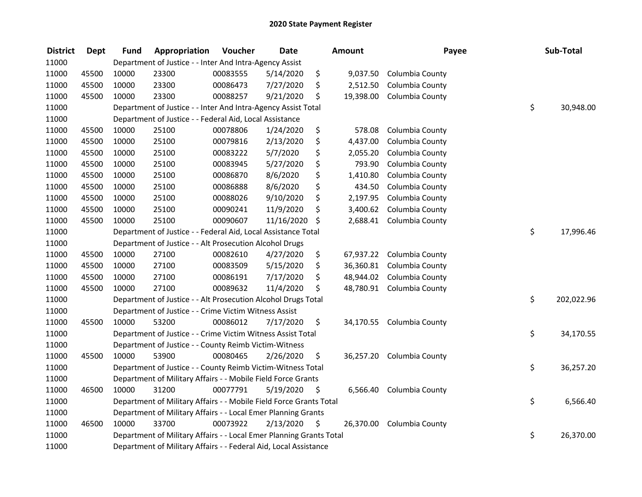| <b>District</b> | <b>Dept</b> | <b>Fund</b> | Appropriation                                                       | Voucher  | <b>Date</b> | <b>Amount</b>   | Payee                     | Sub-Total        |
|-----------------|-------------|-------------|---------------------------------------------------------------------|----------|-------------|-----------------|---------------------------|------------------|
| 11000           |             |             | Department of Justice - - Inter And Intra-Agency Assist             |          |             |                 |                           |                  |
| 11000           | 45500       | 10000       | 23300                                                               | 00083555 | 5/14/2020   | \$<br>9,037.50  | Columbia County           |                  |
| 11000           | 45500       | 10000       | 23300                                                               | 00086473 | 7/27/2020   | \$<br>2,512.50  | Columbia County           |                  |
| 11000           | 45500       | 10000       | 23300                                                               | 00088257 | 9/21/2020   | \$<br>19,398.00 | Columbia County           |                  |
| 11000           |             |             | Department of Justice - - Inter And Intra-Agency Assist Total       |          |             |                 |                           | \$<br>30,948.00  |
| 11000           |             |             | Department of Justice - - Federal Aid, Local Assistance             |          |             |                 |                           |                  |
| 11000           | 45500       | 10000       | 25100                                                               | 00078806 | 1/24/2020   | \$<br>578.08    | Columbia County           |                  |
| 11000           | 45500       | 10000       | 25100                                                               | 00079816 | 2/13/2020   | \$<br>4,437.00  | Columbia County           |                  |
| 11000           | 45500       | 10000       | 25100                                                               | 00083222 | 5/7/2020    | \$<br>2,055.20  | Columbia County           |                  |
| 11000           | 45500       | 10000       | 25100                                                               | 00083945 | 5/27/2020   | \$<br>793.90    | Columbia County           |                  |
| 11000           | 45500       | 10000       | 25100                                                               | 00086870 | 8/6/2020    | \$<br>1,410.80  | Columbia County           |                  |
| 11000           | 45500       | 10000       | 25100                                                               | 00086888 | 8/6/2020    | \$<br>434.50    | Columbia County           |                  |
| 11000           | 45500       | 10000       | 25100                                                               | 00088026 | 9/10/2020   | \$<br>2,197.95  | Columbia County           |                  |
| 11000           | 45500       | 10000       | 25100                                                               | 00090241 | 11/9/2020   | \$<br>3,400.62  | Columbia County           |                  |
| 11000           | 45500       | 10000       | 25100                                                               | 00090607 | 11/16/2020  | \$<br>2,688.41  | Columbia County           |                  |
| 11000           |             |             | Department of Justice - - Federal Aid, Local Assistance Total       |          |             |                 |                           | \$<br>17,996.46  |
| 11000           |             |             | Department of Justice - - Alt Prosecution Alcohol Drugs             |          |             |                 |                           |                  |
| 11000           | 45500       | 10000       | 27100                                                               | 00082610 | 4/27/2020   | \$<br>67,937.22 | Columbia County           |                  |
| 11000           | 45500       | 10000       | 27100                                                               | 00083509 | 5/15/2020   | \$<br>36,360.81 | Columbia County           |                  |
| 11000           | 45500       | 10000       | 27100                                                               | 00086191 | 7/17/2020   | \$<br>48,944.02 | Columbia County           |                  |
| 11000           | 45500       | 10000       | 27100                                                               | 00089632 | 11/4/2020   | \$              | 48,780.91 Columbia County |                  |
| 11000           |             |             | Department of Justice - - Alt Prosecution Alcohol Drugs Total       |          |             |                 |                           | \$<br>202,022.96 |
| 11000           |             |             | Department of Justice - - Crime Victim Witness Assist               |          |             |                 |                           |                  |
| 11000           | 45500       | 10000       | 53200                                                               | 00086012 | 7/17/2020   | \$<br>34,170.55 | Columbia County           |                  |
| 11000           |             |             | Department of Justice - - Crime Victim Witness Assist Total         |          |             |                 |                           | \$<br>34,170.55  |
| 11000           |             |             | Department of Justice - - County Reimb Victim-Witness               |          |             |                 |                           |                  |
| 11000           | 45500       | 10000       | 53900                                                               | 00080465 | 2/26/2020   | \$              | 36,257.20 Columbia County |                  |
| 11000           |             |             | Department of Justice - - County Reimb Victim-Witness Total         |          |             |                 |                           | \$<br>36,257.20  |
| 11000           |             |             | Department of Military Affairs - - Mobile Field Force Grants        |          |             |                 |                           |                  |
| 11000           | 46500       | 10000       | 31200                                                               | 00077791 | 5/19/2020   | \$<br>6,566.40  | Columbia County           |                  |
| 11000           |             |             | Department of Military Affairs - - Mobile Field Force Grants Total  |          |             |                 |                           | \$<br>6,566.40   |
| 11000           |             |             | Department of Military Affairs - - Local Emer Planning Grants       |          |             |                 |                           |                  |
| 11000           | 46500       | 10000       | 33700                                                               | 00073922 | 2/13/2020   | \$<br>26,370.00 | Columbia County           |                  |
| 11000           |             |             | Department of Military Affairs - - Local Emer Planning Grants Total |          |             |                 |                           | \$<br>26,370.00  |
| 11000           |             |             | Department of Military Affairs - - Federal Aid, Local Assistance    |          |             |                 |                           |                  |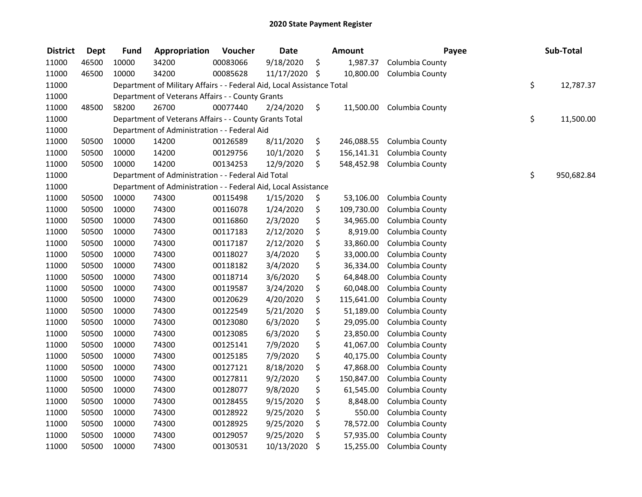| <b>District</b> | <b>Dept</b> | <b>Fund</b> | Appropriation                                                          | Voucher  | <b>Date</b>   | <b>Amount</b>    | Payee           | Sub-Total        |
|-----------------|-------------|-------------|------------------------------------------------------------------------|----------|---------------|------------------|-----------------|------------------|
| 11000           | 46500       | 10000       | 34200                                                                  | 00083066 | 9/18/2020     | \$<br>1,987.37   | Columbia County |                  |
| 11000           | 46500       | 10000       | 34200                                                                  | 00085628 | 11/17/2020 \$ | 10,800.00        | Columbia County |                  |
| 11000           |             |             | Department of Military Affairs - - Federal Aid, Local Assistance Total |          |               |                  |                 | \$<br>12,787.37  |
| 11000           |             |             | Department of Veterans Affairs - - County Grants                       |          |               |                  |                 |                  |
| 11000           | 48500       | 58200       | 26700                                                                  | 00077440 | 2/24/2020     | \$<br>11,500.00  | Columbia County |                  |
| 11000           |             |             | Department of Veterans Affairs - - County Grants Total                 |          |               |                  |                 | \$<br>11,500.00  |
| 11000           |             |             | Department of Administration - - Federal Aid                           |          |               |                  |                 |                  |
| 11000           | 50500       | 10000       | 14200                                                                  | 00126589 | 8/11/2020     | \$<br>246,088.55 | Columbia County |                  |
| 11000           | 50500       | 10000       | 14200                                                                  | 00129756 | 10/1/2020     | \$<br>156,141.31 | Columbia County |                  |
| 11000           | 50500       | 10000       | 14200                                                                  | 00134253 | 12/9/2020     | \$<br>548,452.98 | Columbia County |                  |
| 11000           |             |             | Department of Administration - - Federal Aid Total                     |          |               |                  |                 | \$<br>950,682.84 |
| 11000           |             |             | Department of Administration - - Federal Aid, Local Assistance         |          |               |                  |                 |                  |
| 11000           | 50500       | 10000       | 74300                                                                  | 00115498 | 1/15/2020     | \$<br>53,106.00  | Columbia County |                  |
| 11000           | 50500       | 10000       | 74300                                                                  | 00116078 | 1/24/2020     | \$<br>109,730.00 | Columbia County |                  |
| 11000           | 50500       | 10000       | 74300                                                                  | 00116860 | 2/3/2020      | \$<br>34,965.00  | Columbia County |                  |
| 11000           | 50500       | 10000       | 74300                                                                  | 00117183 | 2/12/2020     | \$<br>8,919.00   | Columbia County |                  |
| 11000           | 50500       | 10000       | 74300                                                                  | 00117187 | 2/12/2020     | \$<br>33,860.00  | Columbia County |                  |
| 11000           | 50500       | 10000       | 74300                                                                  | 00118027 | 3/4/2020      | \$<br>33,000.00  | Columbia County |                  |
| 11000           | 50500       | 10000       | 74300                                                                  | 00118182 | 3/4/2020      | \$<br>36,334.00  | Columbia County |                  |
| 11000           | 50500       | 10000       | 74300                                                                  | 00118714 | 3/6/2020      | \$<br>64,848.00  | Columbia County |                  |
| 11000           | 50500       | 10000       | 74300                                                                  | 00119587 | 3/24/2020     | \$<br>60,048.00  | Columbia County |                  |
| 11000           | 50500       | 10000       | 74300                                                                  | 00120629 | 4/20/2020     | \$<br>115,641.00 | Columbia County |                  |
| 11000           | 50500       | 10000       | 74300                                                                  | 00122549 | 5/21/2020     | \$<br>51,189.00  | Columbia County |                  |
| 11000           | 50500       | 10000       | 74300                                                                  | 00123080 | 6/3/2020      | \$<br>29,095.00  | Columbia County |                  |
| 11000           | 50500       | 10000       | 74300                                                                  | 00123085 | 6/3/2020      | \$<br>23,850.00  | Columbia County |                  |
| 11000           | 50500       | 10000       | 74300                                                                  | 00125141 | 7/9/2020      | \$<br>41,067.00  | Columbia County |                  |
| 11000           | 50500       | 10000       | 74300                                                                  | 00125185 | 7/9/2020      | \$<br>40,175.00  | Columbia County |                  |
| 11000           | 50500       | 10000       | 74300                                                                  | 00127121 | 8/18/2020     | \$<br>47,868.00  | Columbia County |                  |
| 11000           | 50500       | 10000       | 74300                                                                  | 00127811 | 9/2/2020      | \$<br>150,847.00 | Columbia County |                  |
| 11000           | 50500       | 10000       | 74300                                                                  | 00128077 | 9/8/2020      | \$<br>61,545.00  | Columbia County |                  |
| 11000           | 50500       | 10000       | 74300                                                                  | 00128455 | 9/15/2020     | \$<br>8,848.00   | Columbia County |                  |
| 11000           | 50500       | 10000       | 74300                                                                  | 00128922 | 9/25/2020     | \$<br>550.00     | Columbia County |                  |
| 11000           | 50500       | 10000       | 74300                                                                  | 00128925 | 9/25/2020     | \$<br>78,572.00  | Columbia County |                  |
| 11000           | 50500       | 10000       | 74300                                                                  | 00129057 | 9/25/2020     | \$<br>57,935.00  | Columbia County |                  |
| 11000           | 50500       | 10000       | 74300                                                                  | 00130531 | 10/13/2020    | \$<br>15,255.00  | Columbia County |                  |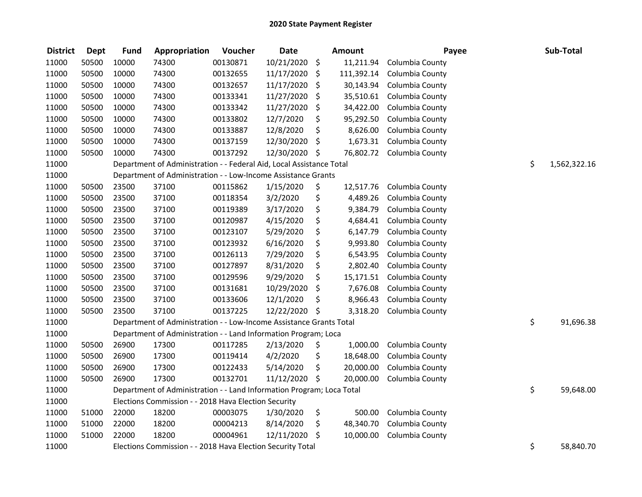| <b>District</b> | <b>Dept</b> | <b>Fund</b> | Appropriation                                                         | Voucher  | <b>Date</b>   | <b>Amount</b>    | Payee                     | Sub-Total          |
|-----------------|-------------|-------------|-----------------------------------------------------------------------|----------|---------------|------------------|---------------------------|--------------------|
| 11000           | 50500       | 10000       | 74300                                                                 | 00130871 | 10/21/2020    | \$<br>11,211.94  | Columbia County           |                    |
| 11000           | 50500       | 10000       | 74300                                                                 | 00132655 | 11/17/2020    | \$<br>111,392.14 | Columbia County           |                    |
| 11000           | 50500       | 10000       | 74300                                                                 | 00132657 | 11/17/2020    | \$<br>30,143.94  | Columbia County           |                    |
| 11000           | 50500       | 10000       | 74300                                                                 | 00133341 | 11/27/2020    | \$<br>35,510.61  | Columbia County           |                    |
| 11000           | 50500       | 10000       | 74300                                                                 | 00133342 | 11/27/2020    | \$<br>34,422.00  | Columbia County           |                    |
| 11000           | 50500       | 10000       | 74300                                                                 | 00133802 | 12/7/2020     | \$<br>95,292.50  | Columbia County           |                    |
| 11000           | 50500       | 10000       | 74300                                                                 | 00133887 | 12/8/2020     | \$<br>8,626.00   | Columbia County           |                    |
| 11000           | 50500       | 10000       | 74300                                                                 | 00137159 | 12/30/2020    | \$<br>1,673.31   | Columbia County           |                    |
| 11000           | 50500       | 10000       | 74300                                                                 | 00137292 | 12/30/2020 \$ |                  | 76,802.72 Columbia County |                    |
| 11000           |             |             | Department of Administration - - Federal Aid, Local Assistance Total  |          |               |                  |                           | \$<br>1,562,322.16 |
| 11000           |             |             | Department of Administration - - Low-Income Assistance Grants         |          |               |                  |                           |                    |
| 11000           | 50500       | 23500       | 37100                                                                 | 00115862 | 1/15/2020     | \$<br>12,517.76  | Columbia County           |                    |
| 11000           | 50500       | 23500       | 37100                                                                 | 00118354 | 3/2/2020      | \$<br>4,489.26   | Columbia County           |                    |
| 11000           | 50500       | 23500       | 37100                                                                 | 00119389 | 3/17/2020     | \$<br>9,384.79   | Columbia County           |                    |
| 11000           | 50500       | 23500       | 37100                                                                 | 00120987 | 4/15/2020     | \$<br>4,684.41   | Columbia County           |                    |
| 11000           | 50500       | 23500       | 37100                                                                 | 00123107 | 5/29/2020     | \$<br>6,147.79   | Columbia County           |                    |
| 11000           | 50500       | 23500       | 37100                                                                 | 00123932 | 6/16/2020     | \$<br>9,993.80   | Columbia County           |                    |
| 11000           | 50500       | 23500       | 37100                                                                 | 00126113 | 7/29/2020     | \$<br>6,543.95   | Columbia County           |                    |
| 11000           | 50500       | 23500       | 37100                                                                 | 00127897 | 8/31/2020     | \$<br>2,802.40   | Columbia County           |                    |
| 11000           | 50500       | 23500       | 37100                                                                 | 00129596 | 9/29/2020     | \$<br>15,171.51  | Columbia County           |                    |
| 11000           | 50500       | 23500       | 37100                                                                 | 00131681 | 10/29/2020    | \$<br>7,676.08   | Columbia County           |                    |
| 11000           | 50500       | 23500       | 37100                                                                 | 00133606 | 12/1/2020     | \$<br>8,966.43   | Columbia County           |                    |
| 11000           | 50500       | 23500       | 37100                                                                 | 00137225 | 12/22/2020    | \$<br>3,318.20   | Columbia County           |                    |
| 11000           |             |             | Department of Administration - - Low-Income Assistance Grants Total   |          |               |                  |                           | \$<br>91,696.38    |
| 11000           |             |             | Department of Administration - - Land Information Program; Loca       |          |               |                  |                           |                    |
| 11000           | 50500       | 26900       | 17300                                                                 | 00117285 | 2/13/2020     | \$<br>1,000.00   | Columbia County           |                    |
| 11000           | 50500       | 26900       | 17300                                                                 | 00119414 | 4/2/2020      | \$<br>18,648.00  | Columbia County           |                    |
| 11000           | 50500       | 26900       | 17300                                                                 | 00122433 | 5/14/2020     | \$<br>20,000.00  | Columbia County           |                    |
| 11000           | 50500       | 26900       | 17300                                                                 | 00132701 | 11/12/2020 \$ | 20,000.00        | Columbia County           |                    |
| 11000           |             |             | Department of Administration - - Land Information Program; Loca Total |          |               |                  |                           | \$<br>59,648.00    |
| 11000           |             |             | Elections Commission - - 2018 Hava Election Security                  |          |               |                  |                           |                    |
| 11000           | 51000       | 22000       | 18200                                                                 | 00003075 | 1/30/2020     | \$<br>500.00     | Columbia County           |                    |
| 11000           | 51000       | 22000       | 18200                                                                 | 00004213 | 8/14/2020     | \$<br>48,340.70  | Columbia County           |                    |
| 11000           | 51000       | 22000       | 18200                                                                 | 00004961 | 12/11/2020    | \$<br>10,000.00  | Columbia County           |                    |
| 11000           |             |             | Elections Commission - - 2018 Hava Election Security Total            |          |               |                  |                           | \$<br>58,840.70    |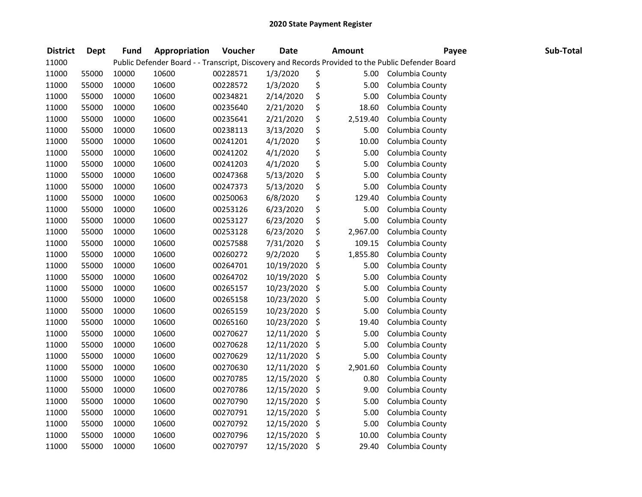| <b>District</b> | <b>Dept</b> | <b>Fund</b> | Appropriation | Voucher  | <b>Date</b> |     | <b>Amount</b> | Payee                                                                                             | Sub-Total |
|-----------------|-------------|-------------|---------------|----------|-------------|-----|---------------|---------------------------------------------------------------------------------------------------|-----------|
| 11000           |             |             |               |          |             |     |               | Public Defender Board - - Transcript, Discovery and Records Provided to the Public Defender Board |           |
| 11000           | 55000       | 10000       | 10600         | 00228571 | 1/3/2020    | \$  | 5.00          | Columbia County                                                                                   |           |
| 11000           | 55000       | 10000       | 10600         | 00228572 | 1/3/2020    | \$  | 5.00          | Columbia County                                                                                   |           |
| 11000           | 55000       | 10000       | 10600         | 00234821 | 2/14/2020   | \$  | 5.00          | Columbia County                                                                                   |           |
| 11000           | 55000       | 10000       | 10600         | 00235640 | 2/21/2020   | \$  | 18.60         | Columbia County                                                                                   |           |
| 11000           | 55000       | 10000       | 10600         | 00235641 | 2/21/2020   | \$  | 2,519.40      | Columbia County                                                                                   |           |
| 11000           | 55000       | 10000       | 10600         | 00238113 | 3/13/2020   | \$  | 5.00          | Columbia County                                                                                   |           |
| 11000           | 55000       | 10000       | 10600         | 00241201 | 4/1/2020    | \$  | 10.00         | Columbia County                                                                                   |           |
| 11000           | 55000       | 10000       | 10600         | 00241202 | 4/1/2020    | \$  | 5.00          | Columbia County                                                                                   |           |
| 11000           | 55000       | 10000       | 10600         | 00241203 | 4/1/2020    | \$  | 5.00          | Columbia County                                                                                   |           |
| 11000           | 55000       | 10000       | 10600         | 00247368 | 5/13/2020   | \$  | 5.00          | Columbia County                                                                                   |           |
| 11000           | 55000       | 10000       | 10600         | 00247373 | 5/13/2020   | \$  | 5.00          | Columbia County                                                                                   |           |
| 11000           | 55000       | 10000       | 10600         | 00250063 | 6/8/2020    | \$  | 129.40        | Columbia County                                                                                   |           |
| 11000           | 55000       | 10000       | 10600         | 00253126 | 6/23/2020   | \$  | 5.00          | Columbia County                                                                                   |           |
| 11000           | 55000       | 10000       | 10600         | 00253127 | 6/23/2020   | \$  | 5.00          | Columbia County                                                                                   |           |
| 11000           | 55000       | 10000       | 10600         | 00253128 | 6/23/2020   | \$  | 2,967.00      | Columbia County                                                                                   |           |
| 11000           | 55000       | 10000       | 10600         | 00257588 | 7/31/2020   | \$  | 109.15        | Columbia County                                                                                   |           |
| 11000           | 55000       | 10000       | 10600         | 00260272 | 9/2/2020    | \$  | 1,855.80      | Columbia County                                                                                   |           |
| 11000           | 55000       | 10000       | 10600         | 00264701 | 10/19/2020  | \$  | 5.00          | Columbia County                                                                                   |           |
| 11000           | 55000       | 10000       | 10600         | 00264702 | 10/19/2020  | \$  | 5.00          | Columbia County                                                                                   |           |
| 11000           | 55000       | 10000       | 10600         | 00265157 | 10/23/2020  | \$  | 5.00          | Columbia County                                                                                   |           |
| 11000           | 55000       | 10000       | 10600         | 00265158 | 10/23/2020  | \$  | 5.00          | Columbia County                                                                                   |           |
| 11000           | 55000       | 10000       | 10600         | 00265159 | 10/23/2020  | \$  | 5.00          | Columbia County                                                                                   |           |
| 11000           | 55000       | 10000       | 10600         | 00265160 | 10/23/2020  | \$  | 19.40         | Columbia County                                                                                   |           |
| 11000           | 55000       | 10000       | 10600         | 00270627 | 12/11/2020  | \$  | 5.00          | Columbia County                                                                                   |           |
| 11000           | 55000       | 10000       | 10600         | 00270628 | 12/11/2020  | \$  | 5.00          | Columbia County                                                                                   |           |
| 11000           | 55000       | 10000       | 10600         | 00270629 | 12/11/2020  | \$  | 5.00          | Columbia County                                                                                   |           |
| 11000           | 55000       | 10000       | 10600         | 00270630 | 12/11/2020  | \$  | 2,901.60      | Columbia County                                                                                   |           |
| 11000           | 55000       | 10000       | 10600         | 00270785 | 12/15/2020  | \$  | 0.80          | Columbia County                                                                                   |           |
| 11000           | 55000       | 10000       | 10600         | 00270786 | 12/15/2020  | \$  | 9.00          | Columbia County                                                                                   |           |
| 11000           | 55000       | 10000       | 10600         | 00270790 | 12/15/2020  | \$  | 5.00          | Columbia County                                                                                   |           |
| 11000           | 55000       | 10000       | 10600         | 00270791 | 12/15/2020  | \$  | 5.00          | Columbia County                                                                                   |           |
| 11000           | 55000       | 10000       | 10600         | 00270792 | 12/15/2020  | \$  | 5.00          | Columbia County                                                                                   |           |
| 11000           | 55000       | 10000       | 10600         | 00270796 | 12/15/2020  | \$  | 10.00         | Columbia County                                                                                   |           |
| 11000           | 55000       | 10000       | 10600         | 00270797 | 12/15/2020  | -\$ | 29.40         | Columbia County                                                                                   |           |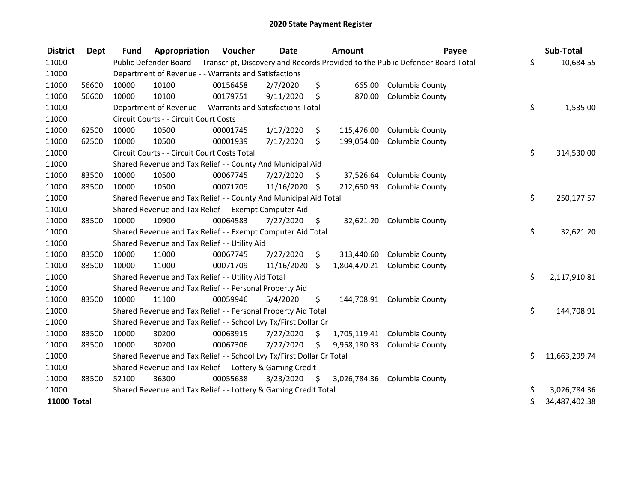| <b>District</b>    | Dept  | <b>Fund</b> | Appropriation                                                         | Voucher  | Date          |     | <b>Amount</b> | Payee                                                                                                   | Sub-Total           |
|--------------------|-------|-------------|-----------------------------------------------------------------------|----------|---------------|-----|---------------|---------------------------------------------------------------------------------------------------------|---------------------|
| 11000              |       |             |                                                                       |          |               |     |               | Public Defender Board - - Transcript, Discovery and Records Provided to the Public Defender Board Total | \$<br>10,684.55     |
| 11000              |       |             | Department of Revenue - - Warrants and Satisfactions                  |          |               |     |               |                                                                                                         |                     |
| 11000              | 56600 | 10000       | 10100                                                                 | 00156458 | 2/7/2020      | \$  | 665.00        | Columbia County                                                                                         |                     |
| 11000              | 56600 | 10000       | 10100                                                                 | 00179751 | 9/11/2020     | \$  | 870.00        | Columbia County                                                                                         |                     |
| 11000              |       |             | Department of Revenue - - Warrants and Satisfactions Total            |          |               |     |               |                                                                                                         | \$<br>1,535.00      |
| 11000              |       |             | Circuit Courts - - Circuit Court Costs                                |          |               |     |               |                                                                                                         |                     |
| 11000              | 62500 | 10000       | 10500                                                                 | 00001745 | 1/17/2020     | \$  | 115,476.00    | Columbia County                                                                                         |                     |
| 11000              | 62500 | 10000       | 10500                                                                 | 00001939 | 7/17/2020     | \$  | 199,054.00    | Columbia County                                                                                         |                     |
| 11000              |       |             | Circuit Courts - - Circuit Court Costs Total                          |          |               |     |               |                                                                                                         | \$<br>314,530.00    |
| 11000              |       |             | Shared Revenue and Tax Relief - - County And Municipal Aid            |          |               |     |               |                                                                                                         |                     |
| 11000              | 83500 | 10000       | 10500                                                                 | 00067745 | 7/27/2020     | S.  | 37,526.64     | Columbia County                                                                                         |                     |
| 11000              | 83500 | 10000       | 10500                                                                 | 00071709 | 11/16/2020 \$ |     | 212,650.93    | Columbia County                                                                                         |                     |
| 11000              |       |             | Shared Revenue and Tax Relief - - County And Municipal Aid Total      |          |               |     |               |                                                                                                         | \$<br>250,177.57    |
| 11000              |       |             | Shared Revenue and Tax Relief - - Exempt Computer Aid                 |          |               |     |               |                                                                                                         |                     |
| 11000              | 83500 | 10000       | 10900                                                                 | 00064583 | 7/27/2020     | \$  | 32,621.20     | Columbia County                                                                                         |                     |
| 11000              |       |             | Shared Revenue and Tax Relief - - Exempt Computer Aid Total           |          |               |     |               |                                                                                                         | \$<br>32,621.20     |
| 11000              |       |             | Shared Revenue and Tax Relief - - Utility Aid                         |          |               |     |               |                                                                                                         |                     |
| 11000              | 83500 | 10000       | 11000                                                                 | 00067745 | 7/27/2020     | \$  | 313,440.60    | Columbia County                                                                                         |                     |
| 11000              | 83500 | 10000       | 11000                                                                 | 00071709 | 11/16/2020    | \$  | 1,804,470.21  | Columbia County                                                                                         |                     |
| 11000              |       |             | Shared Revenue and Tax Relief - - Utility Aid Total                   |          |               |     |               |                                                                                                         | \$<br>2,117,910.81  |
| 11000              |       |             | Shared Revenue and Tax Relief - - Personal Property Aid               |          |               |     |               |                                                                                                         |                     |
| 11000              | 83500 | 10000       | 11100                                                                 | 00059946 | 5/4/2020      | \$  | 144,708.91    | Columbia County                                                                                         |                     |
| 11000              |       |             | Shared Revenue and Tax Relief - - Personal Property Aid Total         |          |               |     |               |                                                                                                         | \$<br>144,708.91    |
| 11000              |       |             | Shared Revenue and Tax Relief - - School Lvy Tx/First Dollar Cr       |          |               |     |               |                                                                                                         |                     |
| 11000              | 83500 | 10000       | 30200                                                                 | 00063915 | 7/27/2020     | \$  | 1,705,119.41  | Columbia County                                                                                         |                     |
| 11000              | 83500 | 10000       | 30200                                                                 | 00067306 | 7/27/2020     | \$. | 9,958,180.33  | Columbia County                                                                                         |                     |
| 11000              |       |             | Shared Revenue and Tax Relief - - School Lvy Tx/First Dollar Cr Total |          |               |     |               |                                                                                                         | \$<br>11,663,299.74 |
| 11000              |       |             | Shared Revenue and Tax Relief - - Lottery & Gaming Credit             |          |               |     |               |                                                                                                         |                     |
| 11000              | 83500 | 52100       | 36300                                                                 | 00055638 | 3/23/2020     | Ŝ.  | 3,026,784.36  | Columbia County                                                                                         |                     |
| 11000              |       |             | Shared Revenue and Tax Relief - - Lottery & Gaming Credit Total       |          |               |     |               |                                                                                                         | \$<br>3,026,784.36  |
| <b>11000 Total</b> |       |             |                                                                       |          |               |     |               |                                                                                                         | \$<br>34,487,402.38 |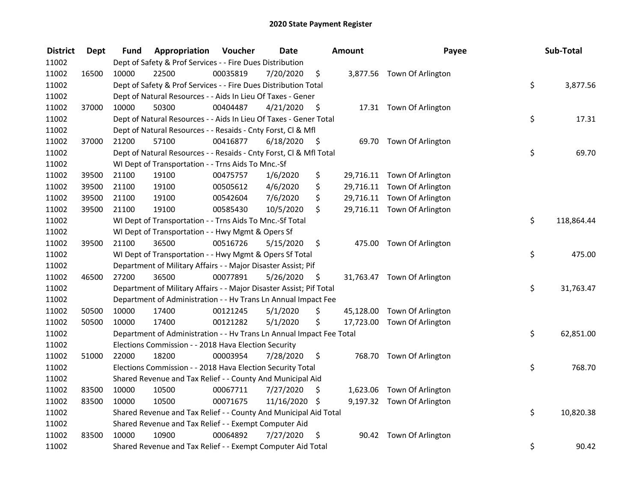| <b>District</b> | <b>Dept</b> | Fund  | Appropriation                                                        | Voucher  | <b>Date</b>   |      | <b>Amount</b> | Payee                       | Sub-Total        |
|-----------------|-------------|-------|----------------------------------------------------------------------|----------|---------------|------|---------------|-----------------------------|------------------|
| 11002           |             |       | Dept of Safety & Prof Services - - Fire Dues Distribution            |          |               |      |               |                             |                  |
| 11002           | 16500       | 10000 | 22500                                                                | 00035819 | 7/20/2020     | \$   |               | 3,877.56 Town Of Arlington  |                  |
| 11002           |             |       | Dept of Safety & Prof Services - - Fire Dues Distribution Total      |          |               |      |               |                             | \$<br>3,877.56   |
| 11002           |             |       | Dept of Natural Resources - - Aids In Lieu Of Taxes - Gener          |          |               |      |               |                             |                  |
| 11002           | 37000       | 10000 | 50300                                                                | 00404487 | 4/21/2020     | \$   |               | 17.31 Town Of Arlington     |                  |
| 11002           |             |       | Dept of Natural Resources - - Aids In Lieu Of Taxes - Gener Total    |          |               |      |               |                             | \$<br>17.31      |
| 11002           |             |       | Dept of Natural Resources - - Resaids - Cnty Forst, Cl & Mfl         |          |               |      |               |                             |                  |
| 11002           | 37000       | 21200 | 57100                                                                | 00416877 | 6/18/2020     | - \$ |               | 69.70 Town Of Arlington     |                  |
| 11002           |             |       | Dept of Natural Resources - - Resaids - Cnty Forst, Cl & Mfl Total   |          |               |      |               |                             | \$<br>69.70      |
| 11002           |             |       | WI Dept of Transportation - - Trns Aids To Mnc.-Sf                   |          |               |      |               |                             |                  |
| 11002           | 39500       | 21100 | 19100                                                                | 00475757 | 1/6/2020      | \$   |               | 29,716.11 Town Of Arlington |                  |
| 11002           | 39500       | 21100 | 19100                                                                | 00505612 | 4/6/2020      | \$   |               | 29,716.11 Town Of Arlington |                  |
| 11002           | 39500       | 21100 | 19100                                                                | 00542604 | 7/6/2020      | \$   |               | 29,716.11 Town Of Arlington |                  |
| 11002           | 39500       | 21100 | 19100                                                                | 00585430 | 10/5/2020     | \$   |               | 29,716.11 Town Of Arlington |                  |
| 11002           |             |       | WI Dept of Transportation - - Trns Aids To Mnc.-Sf Total             |          |               |      |               |                             | \$<br>118,864.44 |
| 11002           |             |       | WI Dept of Transportation - - Hwy Mgmt & Opers Sf                    |          |               |      |               |                             |                  |
| 11002           | 39500       | 21100 | 36500                                                                | 00516726 | 5/15/2020     | \$   |               | 475.00 Town Of Arlington    |                  |
| 11002           |             |       | WI Dept of Transportation - - Hwy Mgmt & Opers Sf Total              |          |               |      |               |                             | \$<br>475.00     |
| 11002           |             |       | Department of Military Affairs - - Major Disaster Assist; Pif        |          |               |      |               |                             |                  |
| 11002           | 46500       | 27200 | 36500                                                                | 00077891 | 5/26/2020     | \$   |               | 31,763.47 Town Of Arlington |                  |
| 11002           |             |       | Department of Military Affairs - - Major Disaster Assist; Pif Total  |          |               |      |               |                             | \$<br>31,763.47  |
| 11002           |             |       | Department of Administration - - Hv Trans Ln Annual Impact Fee       |          |               |      |               |                             |                  |
| 11002           | 50500       | 10000 | 17400                                                                | 00121245 | 5/1/2020      | \$   |               | 45,128.00 Town Of Arlington |                  |
| 11002           | 50500       | 10000 | 17400                                                                | 00121282 | 5/1/2020      | \$   |               | 17,723.00 Town Of Arlington |                  |
| 11002           |             |       | Department of Administration - - Hv Trans Ln Annual Impact Fee Total |          |               |      |               |                             | \$<br>62,851.00  |
| 11002           |             |       | Elections Commission - - 2018 Hava Election Security                 |          |               |      |               |                             |                  |
| 11002           | 51000       | 22000 | 18200                                                                | 00003954 | 7/28/2020     | \$   |               | 768.70 Town Of Arlington    |                  |
| 11002           |             |       | Elections Commission - - 2018 Hava Election Security Total           |          |               |      |               |                             | \$<br>768.70     |
| 11002           |             |       | Shared Revenue and Tax Relief - - County And Municipal Aid           |          |               |      |               |                             |                  |
| 11002           | 83500       | 10000 | 10500                                                                | 00067711 | 7/27/2020     | \$   |               | 1,623.06 Town Of Arlington  |                  |
| 11002           | 83500       | 10000 | 10500                                                                | 00071675 | 11/16/2020 \$ |      |               | 9,197.32 Town Of Arlington  |                  |
| 11002           |             |       | Shared Revenue and Tax Relief - - County And Municipal Aid Total     |          |               |      |               |                             | \$<br>10,820.38  |
| 11002           |             |       | Shared Revenue and Tax Relief - - Exempt Computer Aid                |          |               |      |               |                             |                  |
| 11002           | 83500       | 10000 | 10900                                                                | 00064892 | 7/27/2020     | \$   |               | 90.42 Town Of Arlington     |                  |
| 11002           |             |       | Shared Revenue and Tax Relief - - Exempt Computer Aid Total          |          |               |      |               |                             | \$<br>90.42      |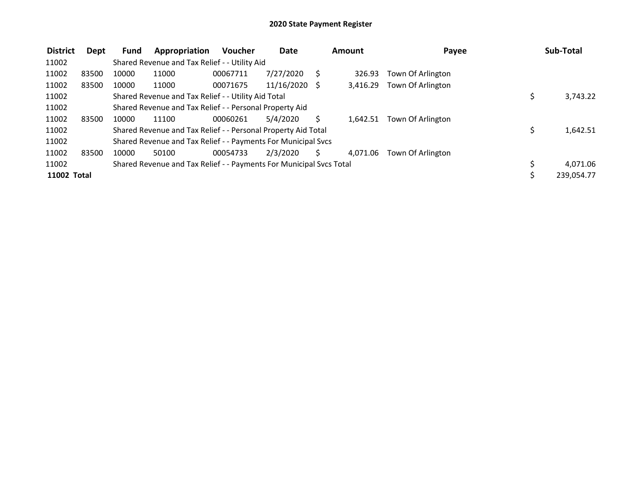| <b>District</b> | Dept  | <b>Fund</b> | Appropriation                                                       | <b>Voucher</b> | <b>Date</b>     | Amount   | Payee             |    | Sub-Total  |
|-----------------|-------|-------------|---------------------------------------------------------------------|----------------|-----------------|----------|-------------------|----|------------|
| 11002           |       |             | Shared Revenue and Tax Relief - - Utility Aid                       |                |                 |          |                   |    |            |
| 11002           | 83500 | 10000       | 11000                                                               | 00067711       | 7/27/2020       | 326.93   | Town Of Arlington |    |            |
| 11002           | 83500 | 10000       | 11000                                                               | 00071675       | $11/16/2020$ \$ | 3.416.29 | Town Of Arlington |    |            |
| 11002           |       |             | Shared Revenue and Tax Relief - - Utility Aid Total                 |                |                 |          |                   |    | 3,743.22   |
| 11002           |       |             | Shared Revenue and Tax Relief - - Personal Property Aid             |                |                 |          |                   |    |            |
| 11002           | 83500 | 10000       | 11100                                                               | 00060261       | 5/4/2020        | 1.642.51 | Town Of Arlington |    |            |
| 11002           |       |             | Shared Revenue and Tax Relief - - Personal Property Aid Total       |                |                 |          |                   |    | 1,642.51   |
| 11002           |       |             | Shared Revenue and Tax Relief - - Payments For Municipal Svcs       |                |                 |          |                   |    |            |
| 11002           | 83500 | 10000       | 50100                                                               | 00054733       | 2/3/2020        | 4.071.06 | Town Of Arlington |    |            |
| 11002           |       |             | Shared Revenue and Tax Relief - - Payments For Municipal Svcs Total |                |                 |          |                   | \$ | 4.071.06   |
| 11002 Total     |       |             |                                                                     |                |                 |          |                   | Ś  | 239,054.77 |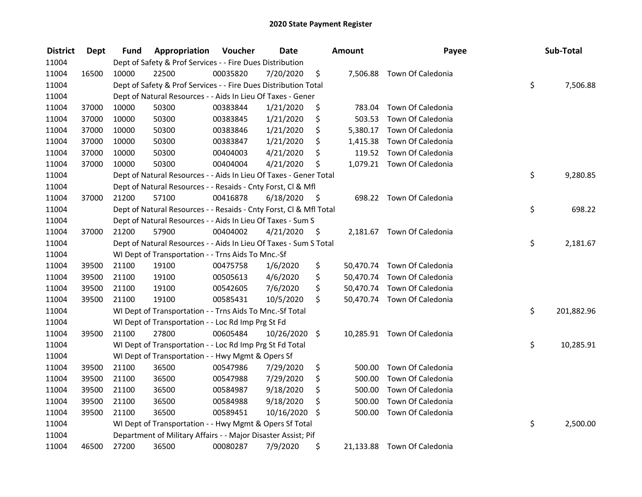| <b>District</b> | Dept  | Fund  | Appropriation                                                      | Voucher  | <b>Date</b> |      | <b>Amount</b> | Payee                       | Sub-Total        |
|-----------------|-------|-------|--------------------------------------------------------------------|----------|-------------|------|---------------|-----------------------------|------------------|
| 11004           |       |       | Dept of Safety & Prof Services - - Fire Dues Distribution          |          |             |      |               |                             |                  |
| 11004           | 16500 | 10000 | 22500                                                              | 00035820 | 7/20/2020   | \$   |               | 7,506.88 Town Of Caledonia  |                  |
| 11004           |       |       | Dept of Safety & Prof Services - - Fire Dues Distribution Total    |          |             |      |               |                             | \$<br>7,506.88   |
| 11004           |       |       | Dept of Natural Resources - - Aids In Lieu Of Taxes - Gener        |          |             |      |               |                             |                  |
| 11004           | 37000 | 10000 | 50300                                                              | 00383844 | 1/21/2020   | \$   | 783.04        | Town Of Caledonia           |                  |
| 11004           | 37000 | 10000 | 50300                                                              | 00383845 | 1/21/2020   | \$   | 503.53        | Town Of Caledonia           |                  |
| 11004           | 37000 | 10000 | 50300                                                              | 00383846 | 1/21/2020   | \$   |               | 5,380.17 Town Of Caledonia  |                  |
| 11004           | 37000 | 10000 | 50300                                                              | 00383847 | 1/21/2020   | \$   | 1,415.38      | Town Of Caledonia           |                  |
| 11004           | 37000 | 10000 | 50300                                                              | 00404003 | 4/21/2020   | \$   |               | 119.52 Town Of Caledonia    |                  |
| 11004           | 37000 | 10000 | 50300                                                              | 00404004 | 4/21/2020   | \$   |               | 1,079.21 Town Of Caledonia  |                  |
| 11004           |       |       | Dept of Natural Resources - - Aids In Lieu Of Taxes - Gener Total  |          |             |      |               |                             | \$<br>9,280.85   |
| 11004           |       |       | Dept of Natural Resources - - Resaids - Cnty Forst, CI & Mfl       |          |             |      |               |                             |                  |
| 11004           | 37000 | 21200 | 57100                                                              | 00416878 | 6/18/2020   | - \$ |               | 698.22 Town Of Caledonia    |                  |
| 11004           |       |       | Dept of Natural Resources - - Resaids - Cnty Forst, Cl & Mfl Total |          |             |      |               |                             | \$<br>698.22     |
| 11004           |       |       | Dept of Natural Resources - - Aids In Lieu Of Taxes - Sum S        |          |             |      |               |                             |                  |
| 11004           | 37000 | 21200 | 57900                                                              | 00404002 | 4/21/2020   | \$   |               | 2,181.67 Town Of Caledonia  |                  |
| 11004           |       |       | Dept of Natural Resources - - Aids In Lieu Of Taxes - Sum S Total  |          |             |      |               |                             | \$<br>2,181.67   |
| 11004           |       |       | WI Dept of Transportation - - Trns Aids To Mnc.-Sf                 |          |             |      |               |                             |                  |
| 11004           | 39500 | 21100 | 19100                                                              | 00475758 | 1/6/2020    | \$   |               | 50,470.74 Town Of Caledonia |                  |
| 11004           | 39500 | 21100 | 19100                                                              | 00505613 | 4/6/2020    | \$   |               | 50,470.74 Town Of Caledonia |                  |
| 11004           | 39500 | 21100 | 19100                                                              | 00542605 | 7/6/2020    | \$   |               | 50,470.74 Town Of Caledonia |                  |
| 11004           | 39500 | 21100 | 19100                                                              | 00585431 | 10/5/2020   | \$   |               | 50,470.74 Town Of Caledonia |                  |
| 11004           |       |       | WI Dept of Transportation - - Trns Aids To Mnc.-Sf Total           |          |             |      |               |                             | \$<br>201,882.96 |
| 11004           |       |       | WI Dept of Transportation - - Loc Rd Imp Prg St Fd                 |          |             |      |               |                             |                  |
| 11004           | 39500 | 21100 | 27800                                                              | 00605484 | 10/26/2020  | \$   |               | 10,285.91 Town Of Caledonia |                  |
| 11004           |       |       | WI Dept of Transportation - - Loc Rd Imp Prg St Fd Total           |          |             |      |               |                             | \$<br>10,285.91  |
| 11004           |       |       | WI Dept of Transportation - - Hwy Mgmt & Opers Sf                  |          |             |      |               |                             |                  |
| 11004           | 39500 | 21100 | 36500                                                              | 00547986 | 7/29/2020   | \$   | 500.00        | Town Of Caledonia           |                  |
| 11004           | 39500 | 21100 | 36500                                                              | 00547988 | 7/29/2020   | \$   | 500.00        | Town Of Caledonia           |                  |
| 11004           | 39500 | 21100 | 36500                                                              | 00584987 | 9/18/2020   | \$   | 500.00        | Town Of Caledonia           |                  |
| 11004           | 39500 | 21100 | 36500                                                              | 00584988 | 9/18/2020   | \$   | 500.00        | Town Of Caledonia           |                  |
| 11004           | 39500 | 21100 | 36500                                                              | 00589451 | 10/16/2020  | -\$  | 500.00        | Town Of Caledonia           |                  |
| 11004           |       |       | WI Dept of Transportation - - Hwy Mgmt & Opers Sf Total            |          |             |      |               |                             | \$<br>2,500.00   |
| 11004           |       |       | Department of Military Affairs - - Major Disaster Assist; Pif      |          |             |      |               |                             |                  |
| 11004           | 46500 | 27200 | 36500                                                              | 00080287 | 7/9/2020    | \$   | 21,133.88     | Town Of Caledonia           |                  |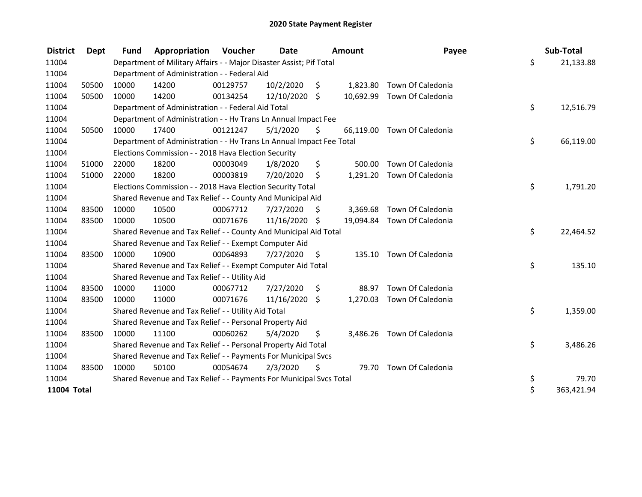| <b>District</b> | Dept  | <b>Fund</b> | Appropriation                                                        | Voucher  | Date          |      | <b>Amount</b> | Payee                       | Sub-Total        |
|-----------------|-------|-------------|----------------------------------------------------------------------|----------|---------------|------|---------------|-----------------------------|------------------|
| 11004           |       |             | Department of Military Affairs - - Major Disaster Assist; Pif Total  |          |               |      |               |                             | \$<br>21,133.88  |
| 11004           |       |             | Department of Administration - - Federal Aid                         |          |               |      |               |                             |                  |
| 11004           | 50500 | 10000       | 14200                                                                | 00129757 | 10/2/2020     | \$   | 1,823.80      | Town Of Caledonia           |                  |
| 11004           | 50500 | 10000       | 14200                                                                | 00134254 | 12/10/2020 \$ |      |               | 10,692.99 Town Of Caledonia |                  |
| 11004           |       |             | Department of Administration - - Federal Aid Total                   |          |               |      |               |                             | \$<br>12,516.79  |
| 11004           |       |             | Department of Administration - - Hv Trans Ln Annual Impact Fee       |          |               |      |               |                             |                  |
| 11004           | 50500 | 10000       | 17400                                                                | 00121247 | 5/1/2020      | S.   |               | 66,119.00 Town Of Caledonia |                  |
| 11004           |       |             | Department of Administration - - Hv Trans Ln Annual Impact Fee Total |          |               |      |               |                             | \$<br>66,119.00  |
| 11004           |       |             | Elections Commission - - 2018 Hava Election Security                 |          |               |      |               |                             |                  |
| 11004           | 51000 | 22000       | 18200                                                                | 00003049 | 1/8/2020      | \$   |               | 500.00 Town Of Caledonia    |                  |
| 11004           | 51000 | 22000       | 18200                                                                | 00003819 | 7/20/2020     | \$   |               | 1,291.20 Town Of Caledonia  |                  |
| 11004           |       |             | Elections Commission - - 2018 Hava Election Security Total           |          |               |      |               |                             | \$<br>1,791.20   |
| 11004           |       |             | Shared Revenue and Tax Relief - - County And Municipal Aid           |          |               |      |               |                             |                  |
| 11004           | 83500 | 10000       | 10500                                                                | 00067712 | 7/27/2020     | S.   |               | 3,369.68 Town Of Caledonia  |                  |
| 11004           | 83500 | 10000       | 10500                                                                | 00071676 | 11/16/2020 \$ |      |               | 19,094.84 Town Of Caledonia |                  |
| 11004           |       |             | Shared Revenue and Tax Relief - - County And Municipal Aid Total     |          |               |      |               |                             | \$<br>22,464.52  |
| 11004           |       |             | Shared Revenue and Tax Relief - - Exempt Computer Aid                |          |               |      |               |                             |                  |
| 11004           | 83500 | 10000       | 10900                                                                | 00064893 | 7/27/2020     | - \$ |               | 135.10 Town Of Caledonia    |                  |
| 11004           |       |             | Shared Revenue and Tax Relief - - Exempt Computer Aid Total          |          |               |      |               |                             | \$<br>135.10     |
| 11004           |       |             | Shared Revenue and Tax Relief - - Utility Aid                        |          |               |      |               |                             |                  |
| 11004           | 83500 | 10000       | 11000                                                                | 00067712 | 7/27/2020     | \$   | 88.97         | Town Of Caledonia           |                  |
| 11004           | 83500 | 10000       | 11000                                                                | 00071676 | 11/16/2020 \$ |      | 1,270.03      | Town Of Caledonia           |                  |
| 11004           |       |             | Shared Revenue and Tax Relief - - Utility Aid Total                  |          |               |      |               |                             | \$<br>1,359.00   |
| 11004           |       |             | Shared Revenue and Tax Relief - - Personal Property Aid              |          |               |      |               |                             |                  |
| 11004           | 83500 | 10000       | 11100                                                                | 00060262 | 5/4/2020      | \$   |               | 3,486.26 Town Of Caledonia  |                  |
| 11004           |       |             | Shared Revenue and Tax Relief - - Personal Property Aid Total        |          |               |      |               |                             | \$<br>3,486.26   |
| 11004           |       |             | Shared Revenue and Tax Relief - - Payments For Municipal Svcs        |          |               |      |               |                             |                  |
| 11004           | 83500 | 10000       | 50100                                                                | 00054674 | 2/3/2020      | \$   |               | 79.70 Town Of Caledonia     |                  |
| 11004           |       |             | Shared Revenue and Tax Relief - - Payments For Municipal Svcs Total  |          |               |      |               |                             | \$<br>79.70      |
| 11004 Total     |       |             |                                                                      |          |               |      |               |                             | \$<br>363,421.94 |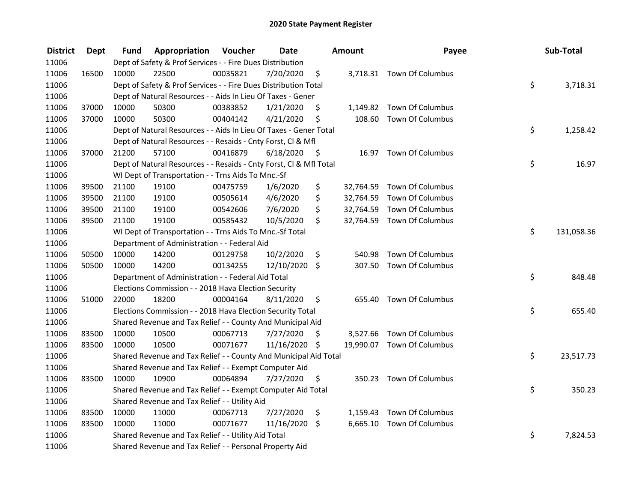| <b>District</b> | Dept  | Fund  | Appropriation                                                      | Voucher  | <b>Date</b>   |      | Amount | Payee                      | Sub-Total        |
|-----------------|-------|-------|--------------------------------------------------------------------|----------|---------------|------|--------|----------------------------|------------------|
| 11006           |       |       | Dept of Safety & Prof Services - - Fire Dues Distribution          |          |               |      |        |                            |                  |
| 11006           | 16500 | 10000 | 22500                                                              | 00035821 | 7/20/2020     | \$   |        | 3,718.31 Town Of Columbus  |                  |
| 11006           |       |       | Dept of Safety & Prof Services - - Fire Dues Distribution Total    |          |               |      |        |                            | \$<br>3,718.31   |
| 11006           |       |       | Dept of Natural Resources - - Aids In Lieu Of Taxes - Gener        |          |               |      |        |                            |                  |
| 11006           | 37000 | 10000 | 50300                                                              | 00383852 | 1/21/2020     | \$   |        | 1,149.82 Town Of Columbus  |                  |
| 11006           | 37000 | 10000 | 50300                                                              | 00404142 | 4/21/2020     | \$   | 108.60 | <b>Town Of Columbus</b>    |                  |
| 11006           |       |       | Dept of Natural Resources - - Aids In Lieu Of Taxes - Gener Total  |          |               |      |        |                            | \$<br>1,258.42   |
| 11006           |       |       | Dept of Natural Resources - - Resaids - Cnty Forst, Cl & Mfl       |          |               |      |        |                            |                  |
| 11006           | 37000 | 21200 | 57100                                                              | 00416879 | 6/18/2020     | - \$ |        | 16.97 Town Of Columbus     |                  |
| 11006           |       |       | Dept of Natural Resources - - Resaids - Cnty Forst, Cl & Mfl Total |          |               |      |        |                            | \$<br>16.97      |
| 11006           |       |       | WI Dept of Transportation - - Trns Aids To Mnc.-Sf                 |          |               |      |        |                            |                  |
| 11006           | 39500 | 21100 | 19100                                                              | 00475759 | 1/6/2020      | \$   |        | 32,764.59 Town Of Columbus |                  |
| 11006           | 39500 | 21100 | 19100                                                              | 00505614 | 4/6/2020      | \$   |        | 32,764.59 Town Of Columbus |                  |
| 11006           | 39500 | 21100 | 19100                                                              | 00542606 | 7/6/2020      | \$   |        | 32,764.59 Town Of Columbus |                  |
| 11006           | 39500 | 21100 | 19100                                                              | 00585432 | 10/5/2020     | \$   |        | 32,764.59 Town Of Columbus |                  |
| 11006           |       |       | WI Dept of Transportation - - Trns Aids To Mnc.-Sf Total           |          |               |      |        |                            | \$<br>131,058.36 |
| 11006           |       |       | Department of Administration - - Federal Aid                       |          |               |      |        |                            |                  |
| 11006           | 50500 | 10000 | 14200                                                              | 00129758 | 10/2/2020     | \$   | 540.98 | Town Of Columbus           |                  |
| 11006           | 50500 | 10000 | 14200                                                              | 00134255 | 12/10/2020 \$ |      |        | 307.50 Town Of Columbus    |                  |
| 11006           |       |       | Department of Administration - - Federal Aid Total                 |          |               |      |        |                            | \$<br>848.48     |
| 11006           |       |       | Elections Commission - - 2018 Hava Election Security               |          |               |      |        |                            |                  |
| 11006           | 51000 | 22000 | 18200                                                              | 00004164 | 8/11/2020     | \$.  |        | 655.40 Town Of Columbus    |                  |
| 11006           |       |       | Elections Commission - - 2018 Hava Election Security Total         |          |               |      |        |                            | \$<br>655.40     |
| 11006           |       |       | Shared Revenue and Tax Relief - - County And Municipal Aid         |          |               |      |        |                            |                  |
| 11006           | 83500 | 10000 | 10500                                                              | 00067713 | 7/27/2020     | S    |        | 3,527.66 Town Of Columbus  |                  |
| 11006           | 83500 | 10000 | 10500                                                              | 00071677 | 11/16/2020 \$ |      |        | 19,990.07 Town Of Columbus |                  |
| 11006           |       |       | Shared Revenue and Tax Relief - - County And Municipal Aid Total   |          |               |      |        |                            | \$<br>23,517.73  |
| 11006           |       |       | Shared Revenue and Tax Relief - - Exempt Computer Aid              |          |               |      |        |                            |                  |
| 11006           | 83500 | 10000 | 10900                                                              | 00064894 | 7/27/2020     | \$   |        | 350.23 Town Of Columbus    |                  |
| 11006           |       |       | Shared Revenue and Tax Relief - - Exempt Computer Aid Total        |          |               |      |        |                            | \$<br>350.23     |
| 11006           |       |       | Shared Revenue and Tax Relief - - Utility Aid                      |          |               |      |        |                            |                  |
| 11006           | 83500 | 10000 | 11000                                                              | 00067713 | 7/27/2020     | \$   |        | 1,159.43 Town Of Columbus  |                  |
| 11006           | 83500 | 10000 | 11000                                                              | 00071677 | 11/16/2020 \$ |      |        | 6,665.10 Town Of Columbus  |                  |
| 11006           |       |       | Shared Revenue and Tax Relief - - Utility Aid Total                |          |               |      |        |                            | \$<br>7,824.53   |
| 11006           |       |       | Shared Revenue and Tax Relief - - Personal Property Aid            |          |               |      |        |                            |                  |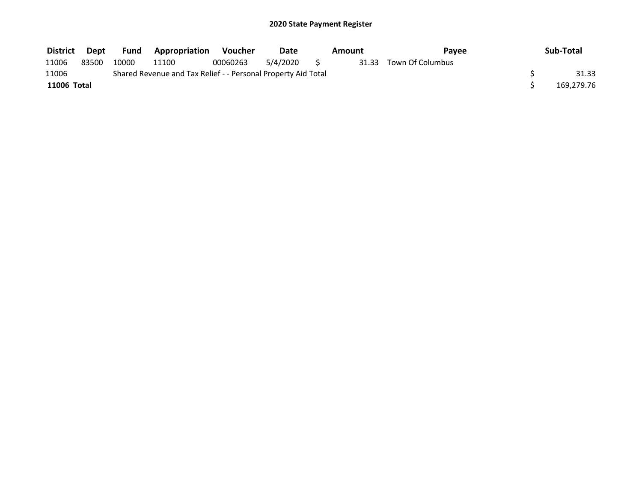| District    | Dept  | Fund  | <b>Appropriation</b>                                          | Voucher  | Date     | Amount | Pavee                  | Sub-Total  |
|-------------|-------|-------|---------------------------------------------------------------|----------|----------|--------|------------------------|------------|
| 11006       | 83500 | 10000 | 11100                                                         | 00060263 | 5/4/2020 |        | 31.33 Town Of Columbus |            |
| 11006       |       |       | Shared Revenue and Tax Relief - - Personal Property Aid Total |          |          |        |                        | 31.33      |
| 11006 Total |       |       |                                                               |          |          |        |                        | 169,279.76 |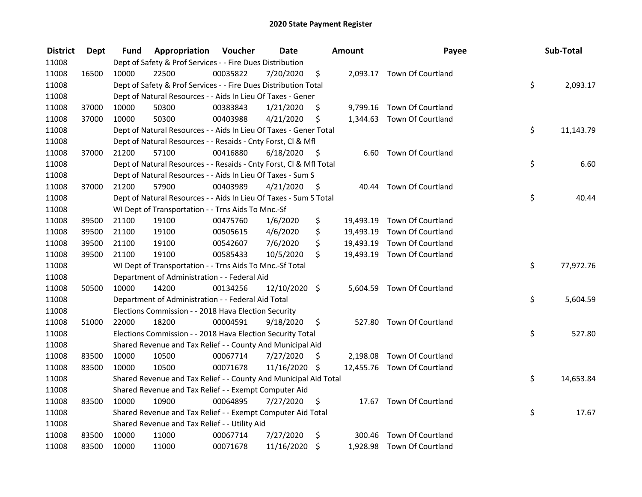| <b>District</b> | Dept  | Fund  | Appropriation                                                      | Voucher  | <b>Date</b>   |      | <b>Amount</b> | Payee                       | Sub-Total       |
|-----------------|-------|-------|--------------------------------------------------------------------|----------|---------------|------|---------------|-----------------------------|-----------------|
| 11008           |       |       | Dept of Safety & Prof Services - - Fire Dues Distribution          |          |               |      |               |                             |                 |
| 11008           | 16500 | 10000 | 22500                                                              | 00035822 | 7/20/2020     | \$   |               | 2,093.17 Town Of Courtland  |                 |
| 11008           |       |       | Dept of Safety & Prof Services - - Fire Dues Distribution Total    |          |               |      |               |                             | \$<br>2,093.17  |
| 11008           |       |       | Dept of Natural Resources - - Aids In Lieu Of Taxes - Gener        |          |               |      |               |                             |                 |
| 11008           | 37000 | 10000 | 50300                                                              | 00383843 | 1/21/2020     | \$   |               | 9,799.16 Town Of Courtland  |                 |
| 11008           | 37000 | 10000 | 50300                                                              | 00403988 | 4/21/2020     | \$   |               | 1,344.63 Town Of Courtland  |                 |
| 11008           |       |       | Dept of Natural Resources - - Aids In Lieu Of Taxes - Gener Total  |          |               |      |               |                             | \$<br>11,143.79 |
| 11008           |       |       | Dept of Natural Resources - - Resaids - Cnty Forst, Cl & Mfl       |          |               |      |               |                             |                 |
| 11008           | 37000 | 21200 | 57100                                                              | 00416880 | 6/18/2020     | - \$ |               | 6.60 Town Of Courtland      |                 |
| 11008           |       |       | Dept of Natural Resources - - Resaids - Cnty Forst, Cl & Mfl Total |          |               |      |               |                             | \$<br>6.60      |
| 11008           |       |       | Dept of Natural Resources - - Aids In Lieu Of Taxes - Sum S        |          |               |      |               |                             |                 |
| 11008           | 37000 | 21200 | 57900                                                              | 00403989 | 4/21/2020     | -\$  | 40.44         | Town Of Courtland           |                 |
| 11008           |       |       | Dept of Natural Resources - - Aids In Lieu Of Taxes - Sum S Total  |          |               |      |               |                             | \$<br>40.44     |
| 11008           |       |       | WI Dept of Transportation - - Trns Aids To Mnc.-Sf                 |          |               |      |               |                             |                 |
| 11008           | 39500 | 21100 | 19100                                                              | 00475760 | 1/6/2020      | \$   | 19,493.19     | Town Of Courtland           |                 |
| 11008           | 39500 | 21100 | 19100                                                              | 00505615 | 4/6/2020      | \$   | 19,493.19     | Town Of Courtland           |                 |
| 11008           | 39500 | 21100 | 19100                                                              | 00542607 | 7/6/2020      | \$   | 19,493.19     | Town Of Courtland           |                 |
| 11008           | 39500 | 21100 | 19100                                                              | 00585433 | 10/5/2020     | \$   |               | 19,493.19 Town Of Courtland |                 |
| 11008           |       |       | WI Dept of Transportation - - Trns Aids To Mnc.-Sf Total           |          |               |      |               |                             | \$<br>77,972.76 |
| 11008           |       |       | Department of Administration - - Federal Aid                       |          |               |      |               |                             |                 |
| 11008           | 50500 | 10000 | 14200                                                              | 00134256 | 12/10/2020 \$ |      |               | 5,604.59 Town Of Courtland  |                 |
| 11008           |       |       | Department of Administration - - Federal Aid Total                 |          |               |      |               |                             | \$<br>5,604.59  |
| 11008           |       |       | Elections Commission - - 2018 Hava Election Security               |          |               |      |               |                             |                 |
| 11008           | 51000 | 22000 | 18200                                                              | 00004591 | 9/18/2020     | \$   |               | 527.80 Town Of Courtland    |                 |
| 11008           |       |       | Elections Commission - - 2018 Hava Election Security Total         |          |               |      |               |                             | \$<br>527.80    |
| 11008           |       |       | Shared Revenue and Tax Relief - - County And Municipal Aid         |          |               |      |               |                             |                 |
| 11008           | 83500 | 10000 | 10500                                                              | 00067714 | 7/27/2020     | S    | 2,198.08      | Town Of Courtland           |                 |
| 11008           | 83500 | 10000 | 10500                                                              | 00071678 | 11/16/2020 \$ |      |               | 12,455.76 Town Of Courtland |                 |
| 11008           |       |       | Shared Revenue and Tax Relief - - County And Municipal Aid Total   |          |               |      |               |                             | \$<br>14,653.84 |
| 11008           |       |       | Shared Revenue and Tax Relief - - Exempt Computer Aid              |          |               |      |               |                             |                 |
| 11008           | 83500 | 10000 | 10900                                                              | 00064895 | 7/27/2020     | \$   |               | 17.67 Town Of Courtland     |                 |
| 11008           |       |       | Shared Revenue and Tax Relief - - Exempt Computer Aid Total        |          |               |      |               |                             | \$<br>17.67     |
| 11008           |       |       | Shared Revenue and Tax Relief - - Utility Aid                      |          |               |      |               |                             |                 |
| 11008           | 83500 | 10000 | 11000                                                              | 00067714 | 7/27/2020     | \$   | 300.46        | Town Of Courtland           |                 |
| 11008           | 83500 | 10000 | 11000                                                              | 00071678 | 11/16/2020    | \$   |               | 1,928.98 Town Of Courtland  |                 |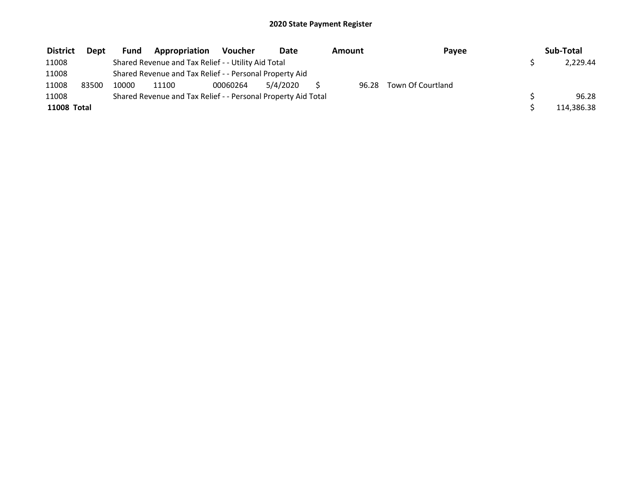| <b>District</b> | <b>Dept</b> | Fund  | Appropriation                                                 | Voucher  | <b>Date</b> |  | Amount | Payee             |  | Sub-Total  |  |  |
|-----------------|-------------|-------|---------------------------------------------------------------|----------|-------------|--|--------|-------------------|--|------------|--|--|
| 11008           |             |       | Shared Revenue and Tax Relief - - Utility Aid Total           |          |             |  |        |                   |  | 2.229.44   |  |  |
| 11008           |             |       | Shared Revenue and Tax Relief - - Personal Property Aid       |          |             |  |        |                   |  |            |  |  |
| 11008           | 83500       | 10000 | 11100                                                         | 00060264 | 5/4/2020    |  | 96.28  | Town Of Courtland |  |            |  |  |
| 11008           |             |       | Shared Revenue and Tax Relief - - Personal Property Aid Total |          |             |  |        |                   |  | 96.28      |  |  |
| 11008 Total     |             |       |                                                               |          |             |  |        |                   |  | 114,386.38 |  |  |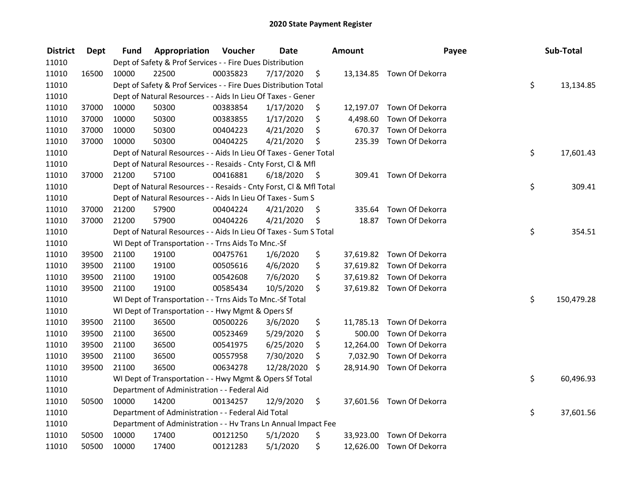| <b>District</b> | <b>Dept</b> | Fund  | Appropriation                                                      | Voucher  | <b>Date</b> |      | <b>Amount</b> | Payee                     | Sub-Total        |
|-----------------|-------------|-------|--------------------------------------------------------------------|----------|-------------|------|---------------|---------------------------|------------------|
| 11010           |             |       | Dept of Safety & Prof Services - - Fire Dues Distribution          |          |             |      |               |                           |                  |
| 11010           | 16500       | 10000 | 22500                                                              | 00035823 | 7/17/2020   | \$   |               | 13,134.85 Town Of Dekorra |                  |
| 11010           |             |       | Dept of Safety & Prof Services - - Fire Dues Distribution Total    |          |             |      |               |                           | \$<br>13,134.85  |
| 11010           |             |       | Dept of Natural Resources - - Aids In Lieu Of Taxes - Gener        |          |             |      |               |                           |                  |
| 11010           | 37000       | 10000 | 50300                                                              | 00383854 | 1/17/2020   | \$   |               | 12,197.07 Town Of Dekorra |                  |
| 11010           | 37000       | 10000 | 50300                                                              | 00383855 | 1/17/2020   | \$   | 4,498.60      | Town Of Dekorra           |                  |
| 11010           | 37000       | 10000 | 50300                                                              | 00404223 | 4/21/2020   | \$   |               | 670.37 Town Of Dekorra    |                  |
| 11010           | 37000       | 10000 | 50300                                                              | 00404225 | 4/21/2020   | \$   | 235.39        | Town Of Dekorra           |                  |
| 11010           |             |       | Dept of Natural Resources - - Aids In Lieu Of Taxes - Gener Total  |          |             |      |               |                           | \$<br>17,601.43  |
| 11010           |             |       | Dept of Natural Resources - - Resaids - Cnty Forst, Cl & Mfl       |          |             |      |               |                           |                  |
| 11010           | 37000       | 21200 | 57100                                                              | 00416881 | 6/18/2020   | - \$ |               | 309.41 Town Of Dekorra    |                  |
| 11010           |             |       | Dept of Natural Resources - - Resaids - Cnty Forst, Cl & Mfl Total |          |             |      |               |                           | \$<br>309.41     |
| 11010           |             |       | Dept of Natural Resources - - Aids In Lieu Of Taxes - Sum S        |          |             |      |               |                           |                  |
| 11010           | 37000       | 21200 | 57900                                                              | 00404224 | 4/21/2020   | \$,  | 335.64        | Town Of Dekorra           |                  |
| 11010           | 37000       | 21200 | 57900                                                              | 00404226 | 4/21/2020   | \$   |               | 18.87 Town Of Dekorra     |                  |
| 11010           |             |       | Dept of Natural Resources - - Aids In Lieu Of Taxes - Sum S Total  |          |             |      |               |                           | \$<br>354.51     |
| 11010           |             |       | WI Dept of Transportation - - Trns Aids To Mnc.-Sf                 |          |             |      |               |                           |                  |
| 11010           | 39500       | 21100 | 19100                                                              | 00475761 | 1/6/2020    | \$   |               | 37,619.82 Town Of Dekorra |                  |
| 11010           | 39500       | 21100 | 19100                                                              | 00505616 | 4/6/2020    | \$   |               | 37,619.82 Town Of Dekorra |                  |
| 11010           | 39500       | 21100 | 19100                                                              | 00542608 | 7/6/2020    | \$   |               | 37,619.82 Town Of Dekorra |                  |
| 11010           | 39500       | 21100 | 19100                                                              | 00585434 | 10/5/2020   | \$   |               | 37,619.82 Town Of Dekorra |                  |
| 11010           |             |       | WI Dept of Transportation - - Trns Aids To Mnc.-Sf Total           |          |             |      |               |                           | \$<br>150,479.28 |
| 11010           |             |       | WI Dept of Transportation - - Hwy Mgmt & Opers Sf                  |          |             |      |               |                           |                  |
| 11010           | 39500       | 21100 | 36500                                                              | 00500226 | 3/6/2020    | \$   | 11,785.13     | Town Of Dekorra           |                  |
| 11010           | 39500       | 21100 | 36500                                                              | 00523469 | 5/29/2020   | \$   | 500.00        | Town Of Dekorra           |                  |
| 11010           | 39500       | 21100 | 36500                                                              | 00541975 | 6/25/2020   | \$   | 12,264.00     | Town Of Dekorra           |                  |
| 11010           | 39500       | 21100 | 36500                                                              | 00557958 | 7/30/2020   | \$   | 7,032.90      | Town Of Dekorra           |                  |
| 11010           | 39500       | 21100 | 36500                                                              | 00634278 | 12/28/2020  | \$   |               | 28,914.90 Town Of Dekorra |                  |
| 11010           |             |       | WI Dept of Transportation - - Hwy Mgmt & Opers Sf Total            |          |             |      |               |                           | \$<br>60,496.93  |
| 11010           |             |       | Department of Administration - - Federal Aid                       |          |             |      |               |                           |                  |
| 11010           | 50500       | 10000 | 14200                                                              | 00134257 | 12/9/2020   | \$   |               | 37,601.56 Town Of Dekorra |                  |
| 11010           |             |       | Department of Administration - - Federal Aid Total                 |          |             |      |               |                           | \$<br>37,601.56  |
| 11010           |             |       | Department of Administration - - Hv Trans Ln Annual Impact Fee     |          |             |      |               |                           |                  |
| 11010           | 50500       | 10000 | 17400                                                              | 00121250 | 5/1/2020    | \$   | 33,923.00     | Town Of Dekorra           |                  |
| 11010           | 50500       | 10000 | 17400                                                              | 00121283 | 5/1/2020    | \$   |               | 12,626.00 Town Of Dekorra |                  |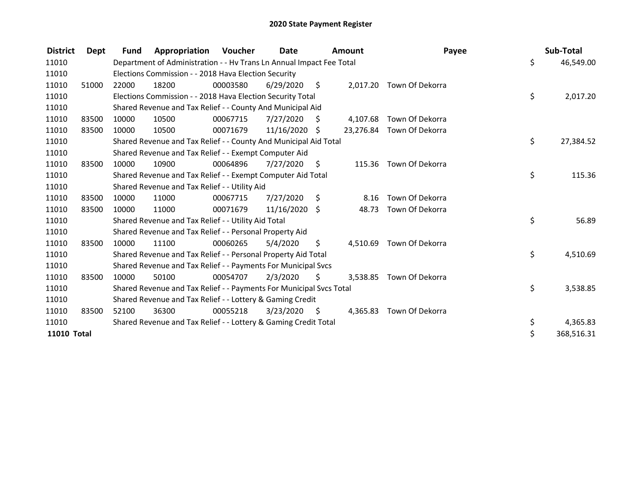| <b>District</b>    | Dept  | <b>Fund</b> | <b>Appropriation Voucher</b>                                         |          | Date            |                | Amount   | Payee                     | Sub-Total        |
|--------------------|-------|-------------|----------------------------------------------------------------------|----------|-----------------|----------------|----------|---------------------------|------------------|
| 11010              |       |             | Department of Administration - - Hv Trans Ln Annual Impact Fee Total |          |                 |                |          |                           | \$<br>46,549.00  |
| 11010              |       |             | Elections Commission - - 2018 Hava Election Security                 |          |                 |                |          |                           |                  |
| 11010              | 51000 | 22000       | 18200                                                                | 00003580 | 6/29/2020       | -\$            | 2,017.20 | Town Of Dekorra           |                  |
| 11010              |       |             | Elections Commission - - 2018 Hava Election Security Total           |          |                 |                |          |                           | \$<br>2,017.20   |
| 11010              |       |             | Shared Revenue and Tax Relief - - County And Municipal Aid           |          |                 |                |          |                           |                  |
| 11010              | 83500 | 10000       | 10500                                                                | 00067715 | 7/27/2020       | $\ddot{\zeta}$ |          | 4,107.68 Town Of Dekorra  |                  |
| 11010              | 83500 | 10000       | 10500                                                                | 00071679 | 11/16/2020 \$   |                |          | 23,276.84 Town Of Dekorra |                  |
| 11010              |       |             | Shared Revenue and Tax Relief - - County And Municipal Aid Total     |          |                 |                |          |                           | \$<br>27,384.52  |
| 11010              |       |             | Shared Revenue and Tax Relief - - Exempt Computer Aid                |          |                 |                |          |                           |                  |
| 11010              | 83500 | 10000       | 10900                                                                | 00064896 | 7/27/2020       | \$             | 115.36   | Town Of Dekorra           |                  |
| 11010              |       |             | Shared Revenue and Tax Relief - - Exempt Computer Aid Total          |          |                 |                |          |                           | \$<br>115.36     |
| 11010              |       |             | Shared Revenue and Tax Relief - - Utility Aid                        |          |                 |                |          |                           |                  |
| 11010              | 83500 | 10000       | 11000                                                                | 00067715 | 7/27/2020       | S.             | 8.16     | Town Of Dekorra           |                  |
| 11010              | 83500 | 10000       | 11000                                                                | 00071679 | $11/16/2020$ \$ |                | 48.73    | Town Of Dekorra           |                  |
| 11010              |       |             | Shared Revenue and Tax Relief - - Utility Aid Total                  |          |                 |                |          |                           | \$<br>56.89      |
| 11010              |       |             | Shared Revenue and Tax Relief - - Personal Property Aid              |          |                 |                |          |                           |                  |
| 11010              | 83500 | 10000       | 11100                                                                | 00060265 | 5/4/2020        | \$             |          | 4,510.69 Town Of Dekorra  |                  |
| 11010              |       |             | Shared Revenue and Tax Relief - - Personal Property Aid Total        |          |                 |                |          |                           | \$<br>4,510.69   |
| 11010              |       |             | Shared Revenue and Tax Relief - - Payments For Municipal Svcs        |          |                 |                |          |                           |                  |
| 11010              | 83500 | 10000       | 50100                                                                | 00054707 | 2/3/2020        | \$             | 3,538.85 | Town Of Dekorra           |                  |
| 11010              |       |             | Shared Revenue and Tax Relief - - Payments For Municipal Svcs Total  |          |                 |                |          |                           | \$<br>3,538.85   |
| 11010              |       |             | Shared Revenue and Tax Relief - - Lottery & Gaming Credit            |          |                 |                |          |                           |                  |
| 11010              | 83500 | 52100       | 36300                                                                | 00055218 | 3/23/2020       | - \$           | 4,365.83 | Town Of Dekorra           |                  |
| 11010              |       |             | Shared Revenue and Tax Relief - - Lottery & Gaming Credit Total      |          |                 |                |          |                           | \$<br>4,365.83   |
| <b>11010 Total</b> |       |             |                                                                      |          |                 |                |          |                           | \$<br>368,516.31 |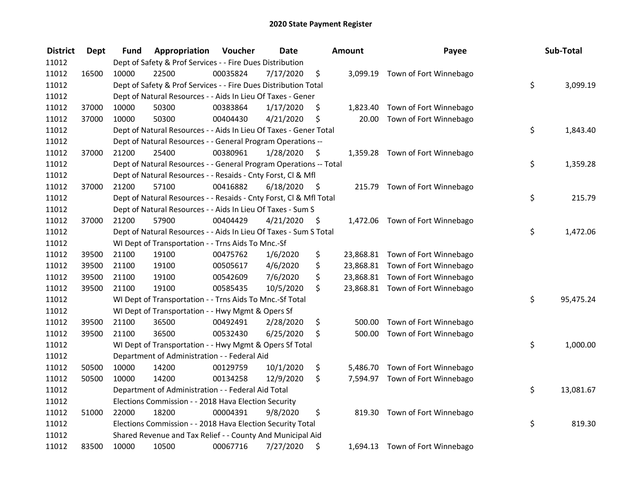| <b>District</b> | <b>Dept</b> | Fund  | Appropriation                                                      | Voucher  | <b>Date</b> |      | <b>Amount</b> | Payee                            | Sub-Total       |
|-----------------|-------------|-------|--------------------------------------------------------------------|----------|-------------|------|---------------|----------------------------------|-----------------|
| 11012           |             |       | Dept of Safety & Prof Services - - Fire Dues Distribution          |          |             |      |               |                                  |                 |
| 11012           | 16500       | 10000 | 22500                                                              | 00035824 | 7/17/2020   | \$   |               | 3,099.19 Town of Fort Winnebago  |                 |
| 11012           |             |       | Dept of Safety & Prof Services - - Fire Dues Distribution Total    |          |             |      |               |                                  | \$<br>3,099.19  |
| 11012           |             |       | Dept of Natural Resources - - Aids In Lieu Of Taxes - Gener        |          |             |      |               |                                  |                 |
| 11012           | 37000       | 10000 | 50300                                                              | 00383864 | 1/17/2020   | \$   | 1,823.40      | Town of Fort Winnebago           |                 |
| 11012           | 37000       | 10000 | 50300                                                              | 00404430 | 4/21/2020   | \$   | 20.00         | Town of Fort Winnebago           |                 |
| 11012           |             |       | Dept of Natural Resources - - Aids In Lieu Of Taxes - Gener Total  |          |             |      |               |                                  | \$<br>1,843.40  |
| 11012           |             |       | Dept of Natural Resources - - General Program Operations --        |          |             |      |               |                                  |                 |
| 11012           | 37000       | 21200 | 25400                                                              | 00380961 | 1/28/2020   | \$   |               | 1,359.28 Town of Fort Winnebago  |                 |
| 11012           |             |       | Dept of Natural Resources - - General Program Operations -- Total  |          |             |      |               |                                  | \$<br>1,359.28  |
| 11012           |             |       | Dept of Natural Resources - - Resaids - Cnty Forst, Cl & Mfl       |          |             |      |               |                                  |                 |
| 11012           | 37000       | 21200 | 57100                                                              | 00416882 | 6/18/2020   | - \$ |               | 215.79 Town of Fort Winnebago    |                 |
| 11012           |             |       | Dept of Natural Resources - - Resaids - Cnty Forst, Cl & Mfl Total |          |             |      |               |                                  | \$<br>215.79    |
| 11012           |             |       | Dept of Natural Resources - - Aids In Lieu Of Taxes - Sum S        |          |             |      |               |                                  |                 |
| 11012           | 37000       | 21200 | 57900                                                              | 00404429 | 4/21/2020   | \$   |               | 1,472.06 Town of Fort Winnebago  |                 |
| 11012           |             |       | Dept of Natural Resources - - Aids In Lieu Of Taxes - Sum S Total  |          |             |      |               |                                  | \$<br>1,472.06  |
| 11012           |             |       | WI Dept of Transportation - - Trns Aids To Mnc.-Sf                 |          |             |      |               |                                  |                 |
| 11012           | 39500       | 21100 | 19100                                                              | 00475762 | 1/6/2020    | \$   |               | 23,868.81 Town of Fort Winnebago |                 |
| 11012           | 39500       | 21100 | 19100                                                              | 00505617 | 4/6/2020    | \$   |               | 23,868.81 Town of Fort Winnebago |                 |
| 11012           | 39500       | 21100 | 19100                                                              | 00542609 | 7/6/2020    | \$   |               | 23,868.81 Town of Fort Winnebago |                 |
| 11012           | 39500       | 21100 | 19100                                                              | 00585435 | 10/5/2020   | \$   |               | 23,868.81 Town of Fort Winnebago |                 |
| 11012           |             |       | WI Dept of Transportation - - Trns Aids To Mnc.-Sf Total           |          |             |      |               |                                  | \$<br>95,475.24 |
| 11012           |             |       | WI Dept of Transportation - - Hwy Mgmt & Opers Sf                  |          |             |      |               |                                  |                 |
| 11012           | 39500       | 21100 | 36500                                                              | 00492491 | 2/28/2020   | \$   | 500.00        | Town of Fort Winnebago           |                 |
| 11012           | 39500       | 21100 | 36500                                                              | 00532430 | 6/25/2020   | \$   |               | 500.00 Town of Fort Winnebago    |                 |
| 11012           |             |       | WI Dept of Transportation - - Hwy Mgmt & Opers Sf Total            |          |             |      |               |                                  | \$<br>1,000.00  |
| 11012           |             |       | Department of Administration - - Federal Aid                       |          |             |      |               |                                  |                 |
| 11012           | 50500       | 10000 | 14200                                                              | 00129759 | 10/1/2020   | \$   |               | 5,486.70 Town of Fort Winnebago  |                 |
| 11012           | 50500       | 10000 | 14200                                                              | 00134258 | 12/9/2020   | \$   |               | 7,594.97 Town of Fort Winnebago  |                 |
| 11012           |             |       | Department of Administration - - Federal Aid Total                 |          |             |      |               |                                  | \$<br>13,081.67 |
| 11012           |             |       | Elections Commission - - 2018 Hava Election Security               |          |             |      |               |                                  |                 |
| 11012           | 51000       | 22000 | 18200                                                              | 00004391 | 9/8/2020    | \$   |               | 819.30 Town of Fort Winnebago    |                 |
| 11012           |             |       | Elections Commission - - 2018 Hava Election Security Total         |          |             |      |               |                                  | \$<br>819.30    |
| 11012           |             |       | Shared Revenue and Tax Relief - - County And Municipal Aid         |          |             |      |               |                                  |                 |
| 11012           | 83500       | 10000 | 10500                                                              | 00067716 | 7/27/2020   | \$   |               | 1,694.13 Town of Fort Winnebago  |                 |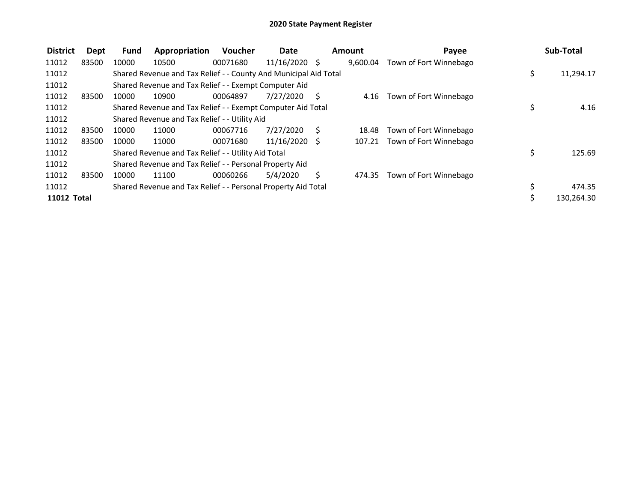| <b>District</b>    | Dept  | <b>Fund</b> | Appropriation                                                    | Voucher  | Date            |              | <b>Amount</b> | Payee                         | Sub-Total        |
|--------------------|-------|-------------|------------------------------------------------------------------|----------|-----------------|--------------|---------------|-------------------------------|------------------|
| 11012              | 83500 | 10000       | 10500                                                            | 00071680 | $11/16/2020$ \$ |              | 9,600.04      | Town of Fort Winnebago        |                  |
| 11012              |       |             | Shared Revenue and Tax Relief - - County And Municipal Aid Total |          |                 |              |               |                               | \$<br>11,294.17  |
| 11012              |       |             | Shared Revenue and Tax Relief - - Exempt Computer Aid            |          |                 |              |               |                               |                  |
| 11012              | 83500 | 10000       | 10900                                                            | 00064897 | 7/27/2020       | - S          | 4.16          | Town of Fort Winnebago        |                  |
| 11012              |       |             | Shared Revenue and Tax Relief - - Exempt Computer Aid Total      |          |                 |              |               |                               | \$<br>4.16       |
| 11012              |       |             | Shared Revenue and Tax Relief - - Utility Aid                    |          |                 |              |               |                               |                  |
| 11012              | 83500 | 10000       | 11000                                                            | 00067716 | 7/27/2020       | <sup>S</sup> | 18.48         | Town of Fort Winnebago        |                  |
| 11012              | 83500 | 10000       | 11000                                                            | 00071680 | $11/16/2020$ \$ |              |               | 107.21 Town of Fort Winnebago |                  |
| 11012              |       |             | Shared Revenue and Tax Relief - - Utility Aid Total              |          |                 |              |               |                               | \$<br>125.69     |
| 11012              |       |             | Shared Revenue and Tax Relief - - Personal Property Aid          |          |                 |              |               |                               |                  |
| 11012              | 83500 | 10000       | 11100                                                            | 00060266 | 5/4/2020        | S            | 474.35        | Town of Fort Winnebago        |                  |
| 11012              |       |             | Shared Revenue and Tax Relief - - Personal Property Aid Total    |          |                 |              |               |                               | 474.35           |
| <b>11012 Total</b> |       |             |                                                                  |          |                 |              |               |                               | \$<br>130,264.30 |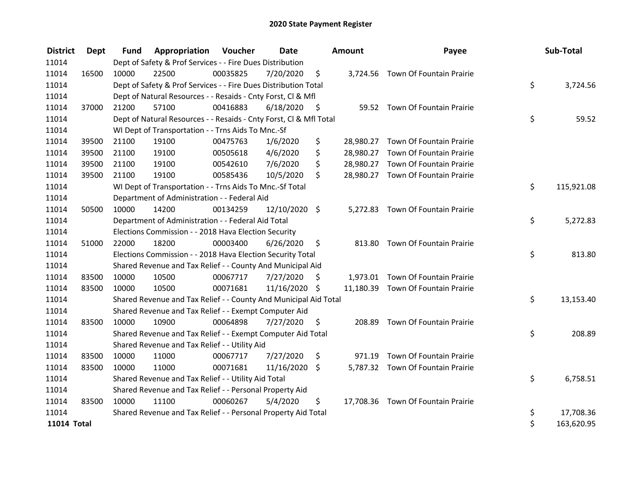| <b>District</b>    | Dept  | <b>Fund</b> | Appropriation                                                      | Voucher  | <b>Date</b>   |      | Amount    | Payee                              | Sub-Total        |
|--------------------|-------|-------------|--------------------------------------------------------------------|----------|---------------|------|-----------|------------------------------------|------------------|
| 11014              |       |             | Dept of Safety & Prof Services - - Fire Dues Distribution          |          |               |      |           |                                    |                  |
| 11014              | 16500 | 10000       | 22500                                                              | 00035825 | 7/20/2020     | \$   |           | 3,724.56 Town Of Fountain Prairie  |                  |
| 11014              |       |             | Dept of Safety & Prof Services - - Fire Dues Distribution Total    |          |               |      |           |                                    | \$<br>3,724.56   |
| 11014              |       |             | Dept of Natural Resources - - Resaids - Cnty Forst, Cl & Mfl       |          |               |      |           |                                    |                  |
| 11014              | 37000 | 21200       | 57100                                                              | 00416883 | 6/18/2020     | - \$ |           | 59.52 Town Of Fountain Prairie     |                  |
| 11014              |       |             | Dept of Natural Resources - - Resaids - Cnty Forst, Cl & Mfl Total |          |               |      |           |                                    | \$<br>59.52      |
| 11014              |       |             | WI Dept of Transportation - - Trns Aids To Mnc.-Sf                 |          |               |      |           |                                    |                  |
| 11014              | 39500 | 21100       | 19100                                                              | 00475763 | 1/6/2020      | \$   | 28,980.27 | Town Of Fountain Prairie           |                  |
| 11014              | 39500 | 21100       | 19100                                                              | 00505618 | 4/6/2020      | \$   |           | 28,980.27 Town Of Fountain Prairie |                  |
| 11014              | 39500 | 21100       | 19100                                                              | 00542610 | 7/6/2020      | \$   |           | 28,980.27 Town Of Fountain Prairie |                  |
| 11014              | 39500 | 21100       | 19100                                                              | 00585436 | 10/5/2020     | \$   |           | 28,980.27 Town Of Fountain Prairie |                  |
| 11014              |       |             | WI Dept of Transportation - - Trns Aids To Mnc.-Sf Total           |          |               |      |           |                                    | \$<br>115,921.08 |
| 11014              |       |             | Department of Administration - - Federal Aid                       |          |               |      |           |                                    |                  |
| 11014              | 50500 | 10000       | 14200                                                              | 00134259 | 12/10/2020 \$ |      |           | 5,272.83 Town Of Fountain Prairie  |                  |
| 11014              |       |             | Department of Administration - - Federal Aid Total                 |          |               |      |           |                                    | \$<br>5,272.83   |
| 11014              |       |             | Elections Commission - - 2018 Hava Election Security               |          |               |      |           |                                    |                  |
| 11014              | 51000 | 22000       | 18200                                                              | 00003400 | 6/26/2020     | \$   | 813.80    | Town Of Fountain Prairie           |                  |
| 11014              |       |             | Elections Commission - - 2018 Hava Election Security Total         |          |               |      |           |                                    | \$<br>813.80     |
| 11014              |       |             | Shared Revenue and Tax Relief - - County And Municipal Aid         |          |               |      |           |                                    |                  |
| 11014              | 83500 | 10000       | 10500                                                              | 00067717 | 7/27/2020     | S    |           | 1,973.01 Town Of Fountain Prairie  |                  |
| 11014              | 83500 | 10000       | 10500                                                              | 00071681 | 11/16/2020 \$ |      |           | 11,180.39 Town Of Fountain Prairie |                  |
| 11014              |       |             | Shared Revenue and Tax Relief - - County And Municipal Aid Total   |          |               |      |           |                                    | \$<br>13,153.40  |
| 11014              |       |             | Shared Revenue and Tax Relief - - Exempt Computer Aid              |          |               |      |           |                                    |                  |
| 11014              | 83500 | 10000       | 10900                                                              | 00064898 | 7/27/2020     | \$   | 208.89    | Town Of Fountain Prairie           |                  |
| 11014              |       |             | Shared Revenue and Tax Relief - - Exempt Computer Aid Total        |          |               |      |           |                                    | \$<br>208.89     |
| 11014              |       |             | Shared Revenue and Tax Relief - - Utility Aid                      |          |               |      |           |                                    |                  |
| 11014              | 83500 | 10000       | 11000                                                              | 00067717 | 7/27/2020     | \$   | 971.19    | Town Of Fountain Prairie           |                  |
| 11014              | 83500 | 10000       | 11000                                                              | 00071681 | 11/16/2020    | \$   |           | 5,787.32 Town Of Fountain Prairie  |                  |
| 11014              |       |             | Shared Revenue and Tax Relief - - Utility Aid Total                |          |               |      |           |                                    | \$<br>6,758.51   |
| 11014              |       |             | Shared Revenue and Tax Relief - - Personal Property Aid            |          |               |      |           |                                    |                  |
| 11014              | 83500 | 10000       | 11100                                                              | 00060267 | 5/4/2020      | \$   |           | 17,708.36 Town Of Fountain Prairie |                  |
| 11014              |       |             | Shared Revenue and Tax Relief - - Personal Property Aid Total      |          |               |      |           |                                    | \$<br>17,708.36  |
| <b>11014 Total</b> |       |             |                                                                    |          |               |      |           |                                    | \$<br>163,620.95 |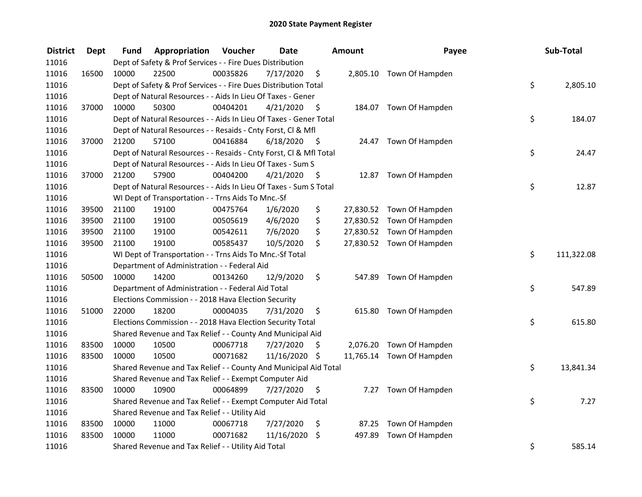| <b>District</b> | Dept  | Fund  | Appropriation                                                      | Voucher  | <b>Date</b>   |      | <b>Amount</b> | Payee                     | Sub-Total        |
|-----------------|-------|-------|--------------------------------------------------------------------|----------|---------------|------|---------------|---------------------------|------------------|
| 11016           |       |       | Dept of Safety & Prof Services - - Fire Dues Distribution          |          |               |      |               |                           |                  |
| 11016           | 16500 | 10000 | 22500                                                              | 00035826 | 7/17/2020     | \$   |               | 2,805.10 Town Of Hampden  |                  |
| 11016           |       |       | Dept of Safety & Prof Services - - Fire Dues Distribution Total    |          |               |      |               |                           | \$<br>2,805.10   |
| 11016           |       |       | Dept of Natural Resources - - Aids In Lieu Of Taxes - Gener        |          |               |      |               |                           |                  |
| 11016           | 37000 | 10000 | 50300                                                              | 00404201 | 4/21/2020     | -\$  |               | 184.07 Town Of Hampden    |                  |
| 11016           |       |       | Dept of Natural Resources - - Aids In Lieu Of Taxes - Gener Total  |          |               |      |               |                           | \$<br>184.07     |
| 11016           |       |       | Dept of Natural Resources - - Resaids - Cnty Forst, Cl & Mfl       |          |               |      |               |                           |                  |
| 11016           | 37000 | 21200 | 57100                                                              | 00416884 | 6/18/2020     | - \$ |               | 24.47 Town Of Hampden     |                  |
| 11016           |       |       | Dept of Natural Resources - - Resaids - Cnty Forst, Cl & Mfl Total |          |               |      |               |                           | \$<br>24.47      |
| 11016           |       |       | Dept of Natural Resources - - Aids In Lieu Of Taxes - Sum S        |          |               |      |               |                           |                  |
| 11016           | 37000 | 21200 | 57900                                                              | 00404200 | 4/21/2020     | - \$ |               | 12.87 Town Of Hampden     |                  |
| 11016           |       |       | Dept of Natural Resources - - Aids In Lieu Of Taxes - Sum S Total  |          |               |      |               |                           | \$<br>12.87      |
| 11016           |       |       | WI Dept of Transportation - - Trns Aids To Mnc.-Sf                 |          |               |      |               |                           |                  |
| 11016           | 39500 | 21100 | 19100                                                              | 00475764 | 1/6/2020      | \$   |               | 27,830.52 Town Of Hampden |                  |
| 11016           | 39500 | 21100 | 19100                                                              | 00505619 | 4/6/2020      | \$   |               | 27,830.52 Town Of Hampden |                  |
| 11016           | 39500 | 21100 | 19100                                                              | 00542611 | 7/6/2020      | \$   |               | 27,830.52 Town Of Hampden |                  |
| 11016           | 39500 | 21100 | 19100                                                              | 00585437 | 10/5/2020     | \$   |               | 27,830.52 Town Of Hampden |                  |
| 11016           |       |       | WI Dept of Transportation - - Trns Aids To Mnc.-Sf Total           |          |               |      |               |                           | \$<br>111,322.08 |
| 11016           |       |       | Department of Administration - - Federal Aid                       |          |               |      |               |                           |                  |
| 11016           | 50500 | 10000 | 14200                                                              | 00134260 | 12/9/2020     | \$   |               | 547.89 Town Of Hampden    |                  |
| 11016           |       |       | Department of Administration - - Federal Aid Total                 |          |               |      |               |                           | \$<br>547.89     |
| 11016           |       |       | Elections Commission - - 2018 Hava Election Security               |          |               |      |               |                           |                  |
| 11016           | 51000 | 22000 | 18200                                                              | 00004035 | 7/31/2020     | \$   |               | 615.80 Town Of Hampden    |                  |
| 11016           |       |       | Elections Commission - - 2018 Hava Election Security Total         |          |               |      |               |                           | \$<br>615.80     |
| 11016           |       |       | Shared Revenue and Tax Relief - - County And Municipal Aid         |          |               |      |               |                           |                  |
| 11016           | 83500 | 10000 | 10500                                                              | 00067718 | 7/27/2020     | S    | 2,076.20      | Town Of Hampden           |                  |
| 11016           | 83500 | 10000 | 10500                                                              | 00071682 | 11/16/2020 \$ |      |               | 11,765.14 Town Of Hampden |                  |
| 11016           |       |       | Shared Revenue and Tax Relief - - County And Municipal Aid Total   |          |               |      |               |                           | \$<br>13,841.34  |
| 11016           |       |       | Shared Revenue and Tax Relief - - Exempt Computer Aid              |          |               |      |               |                           |                  |
| 11016           | 83500 | 10000 | 10900                                                              | 00064899 | 7/27/2020     | \$   | 7.27          | Town Of Hampden           |                  |
| 11016           |       |       | Shared Revenue and Tax Relief - - Exempt Computer Aid Total        |          |               |      |               |                           | \$<br>7.27       |
| 11016           |       |       | Shared Revenue and Tax Relief - - Utility Aid                      |          |               |      |               |                           |                  |
| 11016           | 83500 | 10000 | 11000                                                              | 00067718 | 7/27/2020     | \$   | 87.25         | Town Of Hampden           |                  |
| 11016           | 83500 | 10000 | 11000                                                              | 00071682 | 11/16/2020    | \$   | 497.89        | Town Of Hampden           |                  |
| 11016           |       |       | Shared Revenue and Tax Relief - - Utility Aid Total                |          |               |      |               |                           | \$<br>585.14     |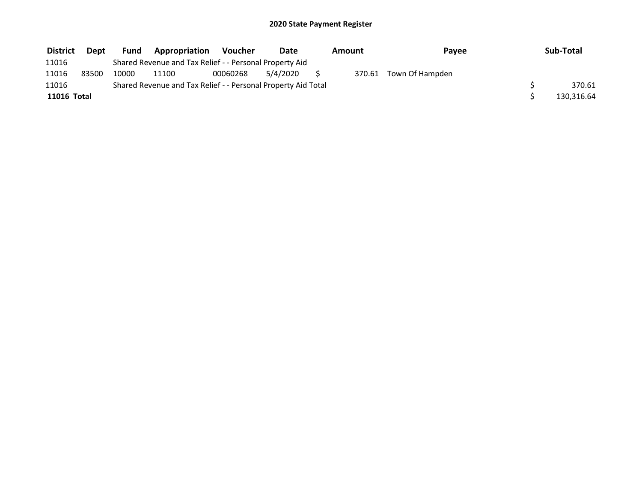| <b>District</b> | <b>Dept</b> | <b>Fund</b> | Appropriation                                                 | Voucher  | Date     | Amount | Payee           | Sub-Total  |
|-----------------|-------------|-------------|---------------------------------------------------------------|----------|----------|--------|-----------------|------------|
| 11016           |             |             | Shared Revenue and Tax Relief - - Personal Property Aid       |          |          |        |                 |            |
| 11016           | 83500       | 10000       | 11100                                                         | 00060268 | 5/4/2020 | 370.61 | Town Of Hampden |            |
| 11016           |             |             | Shared Revenue and Tax Relief - - Personal Property Aid Total |          |          |        |                 | 370.61     |
| 11016 Total     |             |             |                                                               |          |          |        |                 | 130,316.64 |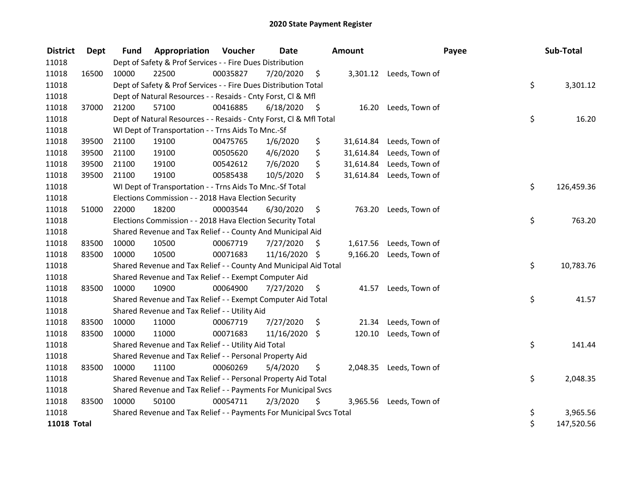| <b>District</b>    | Dept  | <b>Fund</b> | <b>Appropriation Voucher</b>                                        |          | Date          |      | <b>Amount</b> |                          | Payee | Sub-Total  |
|--------------------|-------|-------------|---------------------------------------------------------------------|----------|---------------|------|---------------|--------------------------|-------|------------|
| 11018              |       |             | Dept of Safety & Prof Services - - Fire Dues Distribution           |          |               |      |               |                          |       |            |
| 11018              | 16500 | 10000       | 22500                                                               | 00035827 | 7/20/2020     | \$   |               | 3,301.12 Leeds, Town of  |       |            |
| 11018              |       |             | Dept of Safety & Prof Services - - Fire Dues Distribution Total     |          |               |      |               |                          | \$    | 3,301.12   |
| 11018              |       |             | Dept of Natural Resources - - Resaids - Cnty Forst, Cl & Mfl        |          |               |      |               |                          |       |            |
| 11018              | 37000 | 21200       | 57100                                                               | 00416885 | 6/18/2020     | - \$ | 16.20         | Leeds, Town of           |       |            |
| 11018              |       |             | Dept of Natural Resources - - Resaids - Cnty Forst, Cl & Mfl Total  |          |               |      |               |                          | \$    | 16.20      |
| 11018              |       |             | WI Dept of Transportation - - Trns Aids To Mnc.-Sf                  |          |               |      |               |                          |       |            |
| 11018              | 39500 | 21100       | 19100                                                               | 00475765 | 1/6/2020      | \$   | 31,614.84     | Leeds, Town of           |       |            |
| 11018              | 39500 | 21100       | 19100                                                               | 00505620 | 4/6/2020      | \$   |               | 31,614.84 Leeds, Town of |       |            |
| 11018              | 39500 | 21100       | 19100                                                               | 00542612 | 7/6/2020      | \$   | 31,614.84     | Leeds, Town of           |       |            |
| 11018              | 39500 | 21100       | 19100                                                               | 00585438 | 10/5/2020     | \$   |               | 31,614.84 Leeds, Town of |       |            |
| 11018              |       |             | WI Dept of Transportation - - Trns Aids To Mnc.-Sf Total            |          |               |      |               |                          | \$    | 126,459.36 |
| 11018              |       |             | Elections Commission - - 2018 Hava Election Security                |          |               |      |               |                          |       |            |
| 11018              | 51000 | 22000       | 18200                                                               | 00003544 | 6/30/2020     | \$   |               | 763.20 Leeds, Town of    |       |            |
| 11018              |       |             | Elections Commission - - 2018 Hava Election Security Total          |          |               |      |               |                          | \$    | 763.20     |
| 11018              |       |             | Shared Revenue and Tax Relief - - County And Municipal Aid          |          |               |      |               |                          |       |            |
| 11018              | 83500 | 10000       | 10500                                                               | 00067719 | 7/27/2020     | S    | 1,617.56      | Leeds, Town of           |       |            |
| 11018              | 83500 | 10000       | 10500                                                               | 00071683 | 11/16/2020 \$ |      | 9,166.20      | Leeds, Town of           |       |            |
| 11018              |       |             | Shared Revenue and Tax Relief - - County And Municipal Aid Total    |          |               |      |               |                          | \$    | 10,783.76  |
| 11018              |       |             | Shared Revenue and Tax Relief - - Exempt Computer Aid               |          |               |      |               |                          |       |            |
| 11018              | 83500 | 10000       | 10900                                                               | 00064900 | 7/27/2020     | \$   | 41.57         | Leeds, Town of           |       |            |
| 11018              |       |             | Shared Revenue and Tax Relief - - Exempt Computer Aid Total         |          |               |      |               |                          | \$    | 41.57      |
| 11018              |       |             | Shared Revenue and Tax Relief - - Utility Aid                       |          |               |      |               |                          |       |            |
| 11018              | 83500 | 10000       | 11000                                                               | 00067719 | 7/27/2020     | \$   | 21.34         | Leeds, Town of           |       |            |
| 11018              | 83500 | 10000       | 11000                                                               | 00071683 | 11/16/2020    | \$   | 120.10        | Leeds, Town of           |       |            |
| 11018              |       |             | Shared Revenue and Tax Relief - - Utility Aid Total                 |          |               |      |               |                          | \$    | 141.44     |
| 11018              |       |             | Shared Revenue and Tax Relief - - Personal Property Aid             |          |               |      |               |                          |       |            |
| 11018              | 83500 | 10000       | 11100                                                               | 00060269 | 5/4/2020      | \$   | 2,048.35      | Leeds, Town of           |       |            |
| 11018              |       |             | Shared Revenue and Tax Relief - - Personal Property Aid Total       |          |               |      |               |                          | \$    | 2,048.35   |
| 11018              |       |             | Shared Revenue and Tax Relief - - Payments For Municipal Svcs       |          |               |      |               |                          |       |            |
| 11018              | 83500 | 10000       | 50100                                                               | 00054711 | 2/3/2020      | \$   | 3,965.56      | Leeds, Town of           |       |            |
| 11018              |       |             | Shared Revenue and Tax Relief - - Payments For Municipal Svcs Total |          |               |      |               |                          | \$    | 3,965.56   |
| <b>11018 Total</b> |       |             |                                                                     |          |               |      |               |                          | \$    | 147,520.56 |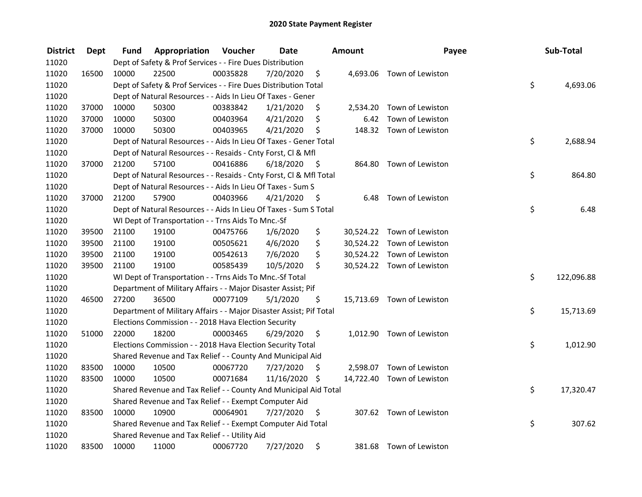| <b>District</b> | <b>Dept</b> | Fund  | Appropriation                                                       | Voucher  | <b>Date</b>   |      | Amount   | Payee                      | Sub-Total        |
|-----------------|-------------|-------|---------------------------------------------------------------------|----------|---------------|------|----------|----------------------------|------------------|
| 11020           |             |       | Dept of Safety & Prof Services - - Fire Dues Distribution           |          |               |      |          |                            |                  |
| 11020           | 16500       | 10000 | 22500                                                               | 00035828 | 7/20/2020     | \$   |          | 4,693.06 Town of Lewiston  |                  |
| 11020           |             |       | Dept of Safety & Prof Services - - Fire Dues Distribution Total     |          |               |      |          |                            | \$<br>4,693.06   |
| 11020           |             |       | Dept of Natural Resources - - Aids In Lieu Of Taxes - Gener         |          |               |      |          |                            |                  |
| 11020           | 37000       | 10000 | 50300                                                               | 00383842 | 1/21/2020     | \$   | 2,534.20 | Town of Lewiston           |                  |
| 11020           | 37000       | 10000 | 50300                                                               | 00403964 | 4/21/2020     | \$   | 6.42     | Town of Lewiston           |                  |
| 11020           | 37000       | 10000 | 50300                                                               | 00403965 | 4/21/2020     | \$   |          | 148.32 Town of Lewiston    |                  |
| 11020           |             |       | Dept of Natural Resources - - Aids In Lieu Of Taxes - Gener Total   |          |               |      |          |                            | \$<br>2,688.94   |
| 11020           |             |       | Dept of Natural Resources - - Resaids - Cnty Forst, Cl & Mfl        |          |               |      |          |                            |                  |
| 11020           | 37000       | 21200 | 57100                                                               | 00416886 | 6/18/2020     | - \$ |          | 864.80 Town of Lewiston    |                  |
| 11020           |             |       | Dept of Natural Resources - - Resaids - Cnty Forst, Cl & Mfl Total  |          |               |      |          |                            | \$<br>864.80     |
| 11020           |             |       | Dept of Natural Resources - - Aids In Lieu Of Taxes - Sum S         |          |               |      |          |                            |                  |
| 11020           | 37000       | 21200 | 57900                                                               | 00403966 | 4/21/2020     | \$.  | 6.48     | Town of Lewiston           |                  |
| 11020           |             |       | Dept of Natural Resources - - Aids In Lieu Of Taxes - Sum S Total   |          |               |      |          |                            | \$<br>6.48       |
| 11020           |             |       | WI Dept of Transportation - - Trns Aids To Mnc.-Sf                  |          |               |      |          |                            |                  |
| 11020           | 39500       | 21100 | 19100                                                               | 00475766 | 1/6/2020      | \$   |          | 30,524.22 Town of Lewiston |                  |
| 11020           | 39500       | 21100 | 19100                                                               | 00505621 | 4/6/2020      | \$   |          | 30,524.22 Town of Lewiston |                  |
| 11020           | 39500       | 21100 | 19100                                                               | 00542613 | 7/6/2020      | \$   |          | 30,524.22 Town of Lewiston |                  |
| 11020           | 39500       | 21100 | 19100                                                               | 00585439 | 10/5/2020     | \$   |          | 30,524.22 Town of Lewiston |                  |
| 11020           |             |       | WI Dept of Transportation - - Trns Aids To Mnc.-Sf Total            |          |               |      |          |                            | \$<br>122,096.88 |
| 11020           |             |       | Department of Military Affairs - - Major Disaster Assist; Pif       |          |               |      |          |                            |                  |
| 11020           | 46500       | 27200 | 36500                                                               | 00077109 | 5/1/2020      | \$   |          | 15,713.69 Town of Lewiston |                  |
| 11020           |             |       | Department of Military Affairs - - Major Disaster Assist; Pif Total |          |               |      |          |                            | \$<br>15,713.69  |
| 11020           |             |       | Elections Commission - - 2018 Hava Election Security                |          |               |      |          |                            |                  |
| 11020           | 51000       | 22000 | 18200                                                               | 00003465 | 6/29/2020     | \$   |          | 1,012.90 Town of Lewiston  |                  |
| 11020           |             |       | Elections Commission - - 2018 Hava Election Security Total          |          |               |      |          |                            | \$<br>1,012.90   |
| 11020           |             |       | Shared Revenue and Tax Relief - - County And Municipal Aid          |          |               |      |          |                            |                  |
| 11020           | 83500       | 10000 | 10500                                                               | 00067720 | 7/27/2020     | \$   |          | 2,598.07 Town of Lewiston  |                  |
| 11020           | 83500       | 10000 | 10500                                                               | 00071684 | 11/16/2020 \$ |      |          | 14,722.40 Town of Lewiston |                  |
| 11020           |             |       | Shared Revenue and Tax Relief - - County And Municipal Aid Total    |          |               |      |          |                            | \$<br>17,320.47  |
| 11020           |             |       | Shared Revenue and Tax Relief - - Exempt Computer Aid               |          |               |      |          |                            |                  |
| 11020           | 83500       | 10000 | 10900                                                               | 00064901 | 7/27/2020     | \$   |          | 307.62 Town of Lewiston    |                  |
| 11020           |             |       | Shared Revenue and Tax Relief - - Exempt Computer Aid Total         |          |               |      |          |                            | \$<br>307.62     |
| 11020           |             |       | Shared Revenue and Tax Relief - - Utility Aid                       |          |               |      |          |                            |                  |
| 11020           | 83500       | 10000 | 11000                                                               | 00067720 | 7/27/2020     | \$   |          | 381.68 Town of Lewiston    |                  |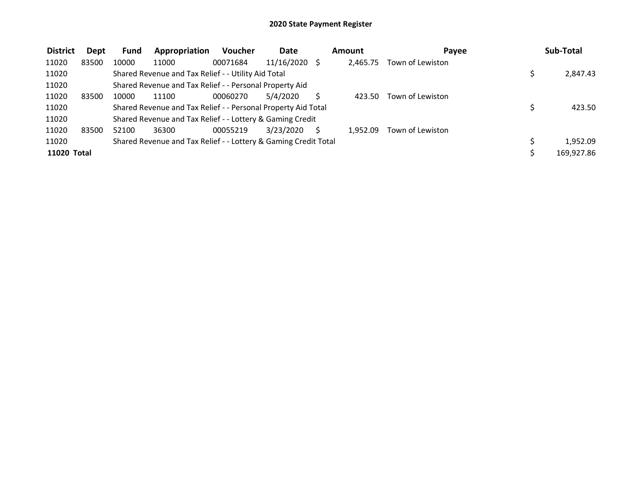| <b>District</b> | Dept  | <b>Fund</b> | Appropriation                                                   | <b>Voucher</b> | <b>Date</b>     | Amount   | Pavee            | Sub-Total  |
|-----------------|-------|-------------|-----------------------------------------------------------------|----------------|-----------------|----------|------------------|------------|
| 11020           | 83500 | 10000       | 11000                                                           | 00071684       | $11/16/2020$ \$ | 2.465.75 | Town of Lewiston |            |
| 11020           |       |             | Shared Revenue and Tax Relief - - Utility Aid Total             |                |                 |          |                  | 2,847.43   |
| 11020           |       |             | Shared Revenue and Tax Relief - - Personal Property Aid         |                |                 |          |                  |            |
| 11020           | 83500 | 10000       | 11100                                                           | 00060270       | 5/4/2020        | 423.50   | Town of Lewiston |            |
| 11020           |       |             | Shared Revenue and Tax Relief - - Personal Property Aid Total   |                |                 |          |                  | 423.50     |
| 11020           |       |             | Shared Revenue and Tax Relief - - Lottery & Gaming Credit       |                |                 |          |                  |            |
| 11020           | 83500 | 52100       | 36300                                                           | 00055219       | 3/23/2020       | 1.952.09 | Town of Lewiston |            |
| 11020           |       |             | Shared Revenue and Tax Relief - - Lottery & Gaming Credit Total |                |                 |          |                  | 1.952.09   |
| 11020 Total     |       |             |                                                                 |                |                 |          |                  | 169,927.86 |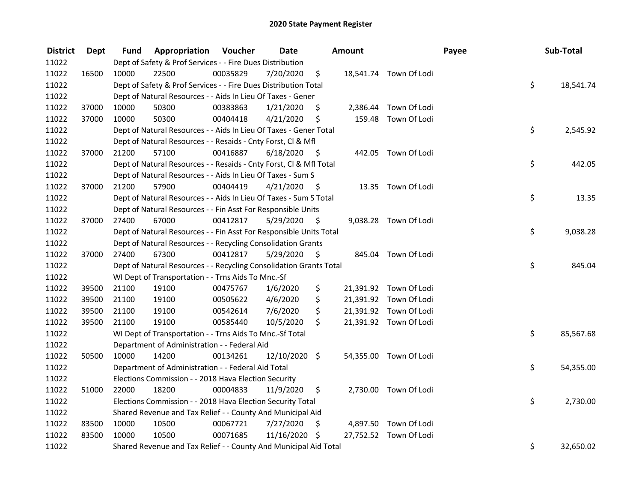| <b>District</b> | Dept  | Fund  | <b>Appropriation Voucher</b>                                       |          | <b>Date</b>   |      | Amount |                        | Payee | Sub-Total       |
|-----------------|-------|-------|--------------------------------------------------------------------|----------|---------------|------|--------|------------------------|-------|-----------------|
| 11022           |       |       | Dept of Safety & Prof Services - - Fire Dues Distribution          |          |               |      |        |                        |       |                 |
| 11022           | 16500 | 10000 | 22500                                                              | 00035829 | 7/20/2020     | \$   |        | 18,541.74 Town Of Lodi |       |                 |
| 11022           |       |       | Dept of Safety & Prof Services - - Fire Dues Distribution Total    |          |               |      |        |                        |       | \$<br>18,541.74 |
| 11022           |       |       | Dept of Natural Resources - - Aids In Lieu Of Taxes - Gener        |          |               |      |        |                        |       |                 |
| 11022           | 37000 | 10000 | 50300                                                              | 00383863 | 1/21/2020     | \$   |        | 2,386.44 Town Of Lodi  |       |                 |
| 11022           | 37000 | 10000 | 50300                                                              | 00404418 | 4/21/2020     | \$   |        | 159.48 Town Of Lodi    |       |                 |
| 11022           |       |       | Dept of Natural Resources - - Aids In Lieu Of Taxes - Gener Total  |          |               |      |        |                        |       | \$<br>2,545.92  |
| 11022           |       |       | Dept of Natural Resources - - Resaids - Cnty Forst, Cl & Mfl       |          |               |      |        |                        |       |                 |
| 11022           | 37000 | 21200 | 57100                                                              | 00416887 | 6/18/2020     | - \$ |        | 442.05 Town Of Lodi    |       |                 |
| 11022           |       |       | Dept of Natural Resources - - Resaids - Cnty Forst, Cl & Mfl Total |          |               |      |        |                        |       | \$<br>442.05    |
| 11022           |       |       | Dept of Natural Resources - - Aids In Lieu Of Taxes - Sum S        |          |               |      |        |                        |       |                 |
| 11022           | 37000 | 21200 | 57900                                                              | 00404419 | 4/21/2020     | - \$ |        | 13.35 Town Of Lodi     |       |                 |
| 11022           |       |       | Dept of Natural Resources - - Aids In Lieu Of Taxes - Sum S Total  |          |               |      |        |                        |       | \$<br>13.35     |
| 11022           |       |       | Dept of Natural Resources - - Fin Asst For Responsible Units       |          |               |      |        |                        |       |                 |
| 11022           | 37000 | 27400 | 67000                                                              | 00412817 | 5/29/2020     | - \$ |        | 9,038.28 Town Of Lodi  |       |                 |
| 11022           |       |       | Dept of Natural Resources - - Fin Asst For Responsible Units Total |          |               |      |        |                        |       | \$<br>9,038.28  |
| 11022           |       |       | Dept of Natural Resources - - Recycling Consolidation Grants       |          |               |      |        |                        |       |                 |
| 11022           | 37000 | 27400 | 67300                                                              | 00412817 | 5/29/2020     | \$   |        | 845.04 Town Of Lodi    |       |                 |
| 11022           |       |       | Dept of Natural Resources - - Recycling Consolidation Grants Total |          |               |      |        |                        |       | \$<br>845.04    |
| 11022           |       |       | WI Dept of Transportation - - Trns Aids To Mnc.-Sf                 |          |               |      |        |                        |       |                 |
| 11022           | 39500 | 21100 | 19100                                                              | 00475767 | 1/6/2020      | \$   |        | 21,391.92 Town Of Lodi |       |                 |
| 11022           | 39500 | 21100 | 19100                                                              | 00505622 | 4/6/2020      | \$   |        | 21,391.92 Town Of Lodi |       |                 |
| 11022           | 39500 | 21100 | 19100                                                              | 00542614 | 7/6/2020      | \$   |        | 21,391.92 Town Of Lodi |       |                 |
| 11022           | 39500 | 21100 | 19100                                                              | 00585440 | 10/5/2020     | \$   |        | 21,391.92 Town Of Lodi |       |                 |
| 11022           |       |       | WI Dept of Transportation - - Trns Aids To Mnc.-Sf Total           |          |               |      |        |                        |       | \$<br>85,567.68 |
| 11022           |       |       | Department of Administration - - Federal Aid                       |          |               |      |        |                        |       |                 |
| 11022           | 50500 | 10000 | 14200                                                              | 00134261 | 12/10/2020 \$ |      |        | 54,355.00 Town Of Lodi |       |                 |
| 11022           |       |       | Department of Administration - - Federal Aid Total                 |          |               |      |        |                        |       | \$<br>54,355.00 |
| 11022           |       |       | Elections Commission - - 2018 Hava Election Security               |          |               |      |        |                        |       |                 |
| 11022           | 51000 | 22000 | 18200                                                              | 00004833 | 11/9/2020     | \$   |        | 2,730.00 Town Of Lodi  |       |                 |
| 11022           |       |       | Elections Commission - - 2018 Hava Election Security Total         |          |               |      |        |                        |       | \$<br>2,730.00  |
| 11022           |       |       | Shared Revenue and Tax Relief - - County And Municipal Aid         |          |               |      |        |                        |       |                 |
| 11022           | 83500 | 10000 | 10500                                                              | 00067721 | 7/27/2020     | \$   |        | 4,897.50 Town Of Lodi  |       |                 |
| 11022           | 83500 | 10000 | 10500                                                              | 00071685 | 11/16/2020    | \$   |        | 27,752.52 Town Of Lodi |       |                 |
| 11022           |       |       | Shared Revenue and Tax Relief - - County And Municipal Aid Total   |          |               |      |        |                        |       | \$<br>32,650.02 |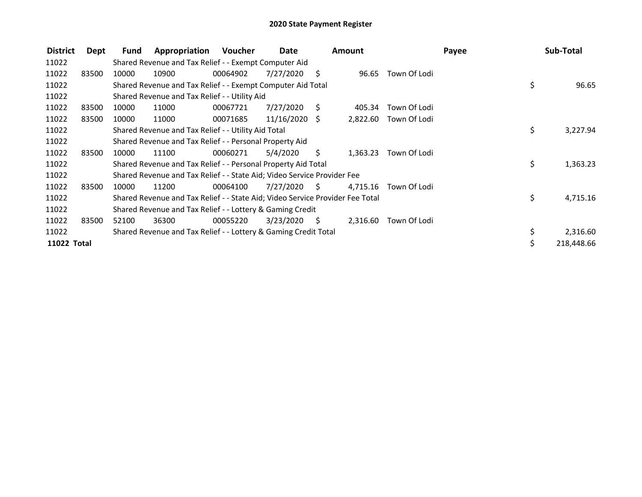| <b>District</b> | Dept  | Fund  | Appropriation                                                                 | Voucher  | Date            |     | <b>Amount</b> |              | Payee | Sub-Total      |
|-----------------|-------|-------|-------------------------------------------------------------------------------|----------|-----------------|-----|---------------|--------------|-------|----------------|
| 11022           |       |       | Shared Revenue and Tax Relief - - Exempt Computer Aid                         |          |                 |     |               |              |       |                |
| 11022           | 83500 | 10000 | 10900                                                                         | 00064902 | 7/27/2020       | S.  | 96.65         | Town Of Lodi |       |                |
| 11022           |       |       | Shared Revenue and Tax Relief - - Exempt Computer Aid Total                   |          |                 |     |               |              |       | \$<br>96.65    |
| 11022           |       |       | Shared Revenue and Tax Relief - - Utility Aid                                 |          |                 |     |               |              |       |                |
| 11022           | 83500 | 10000 | 11000                                                                         | 00067721 | 7/27/2020       | - S | 405.34        | Town Of Lodi |       |                |
| 11022           | 83500 | 10000 | 11000                                                                         | 00071685 | $11/16/2020$ \$ |     | 2,822.60      | Town Of Lodi |       |                |
| 11022           |       |       | Shared Revenue and Tax Relief - - Utility Aid Total                           |          |                 |     |               |              |       | \$<br>3,227.94 |
| 11022           |       |       | Shared Revenue and Tax Relief - - Personal Property Aid                       |          |                 |     |               |              |       |                |
| 11022           | 83500 | 10000 | 11100                                                                         | 00060271 | 5/4/2020        | S.  | 1,363.23      | Town Of Lodi |       |                |
| 11022           |       |       | Shared Revenue and Tax Relief - - Personal Property Aid Total                 |          |                 |     |               |              |       | \$<br>1,363.23 |
| 11022           |       |       | Shared Revenue and Tax Relief - - State Aid; Video Service Provider Fee       |          |                 |     |               |              |       |                |
| 11022           | 83500 | 10000 | 11200                                                                         | 00064100 | 7/27/2020       | - S | 4,715.16      | Town Of Lodi |       |                |
| 11022           |       |       | Shared Revenue and Tax Relief - - State Aid; Video Service Provider Fee Total |          |                 |     |               |              |       | \$<br>4,715.16 |
| 11022           |       |       | Shared Revenue and Tax Relief - - Lottery & Gaming Credit                     |          |                 |     |               |              |       |                |
| 11022           | 83500 | 52100 | 36300                                                                         | 00055220 | 3/23/2020       | - S | 2,316.60      | Town Of Lodi |       |                |
| 11022           |       |       | Shared Revenue and Tax Relief - - Lottery & Gaming Credit Total               |          |                 |     |               |              |       | \$<br>2,316.60 |
| 11022 Total     |       |       |                                                                               |          |                 |     |               |              |       | 218,448.66     |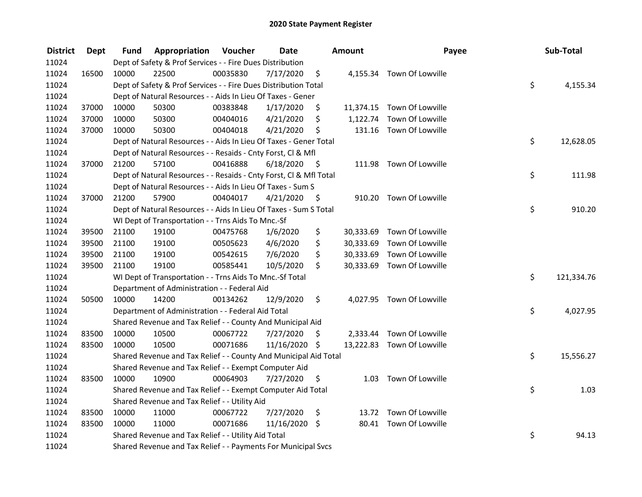| <b>District</b> | <b>Dept</b> | Fund  | <b>Appropriation Voucher</b>                                       |          | <b>Date</b>   |      | Amount    | Payee                      | Sub-Total        |
|-----------------|-------------|-------|--------------------------------------------------------------------|----------|---------------|------|-----------|----------------------------|------------------|
| 11024           |             |       | Dept of Safety & Prof Services - - Fire Dues Distribution          |          |               |      |           |                            |                  |
| 11024           | 16500       | 10000 | 22500                                                              | 00035830 | 7/17/2020     | \$   |           | 4,155.34 Town Of Lowville  |                  |
| 11024           |             |       | Dept of Safety & Prof Services - - Fire Dues Distribution Total    |          |               |      |           |                            | \$<br>4,155.34   |
| 11024           |             |       | Dept of Natural Resources - - Aids In Lieu Of Taxes - Gener        |          |               |      |           |                            |                  |
| 11024           | 37000       | 10000 | 50300                                                              | 00383848 | 1/17/2020     | \$   |           | 11,374.15 Town Of Lowville |                  |
| 11024           | 37000       | 10000 | 50300                                                              | 00404016 | 4/21/2020     | \$   |           | 1,122.74 Town Of Lowville  |                  |
| 11024           | 37000       | 10000 | 50300                                                              | 00404018 | 4/21/2020     | \$   |           | 131.16 Town Of Lowville    |                  |
| 11024           |             |       | Dept of Natural Resources - - Aids In Lieu Of Taxes - Gener Total  |          |               |      |           |                            | \$<br>12,628.05  |
| 11024           |             |       | Dept of Natural Resources - - Resaids - Cnty Forst, Cl & Mfl       |          |               |      |           |                            |                  |
| 11024           | 37000       | 21200 | 57100                                                              | 00416888 | 6/18/2020     | - \$ |           | 111.98 Town Of Lowville    |                  |
| 11024           |             |       | Dept of Natural Resources - - Resaids - Cnty Forst, Cl & Mfl Total |          |               |      |           |                            | \$<br>111.98     |
| 11024           |             |       | Dept of Natural Resources - - Aids In Lieu Of Taxes - Sum S        |          |               |      |           |                            |                  |
| 11024           | 37000       | 21200 | 57900                                                              | 00404017 | 4/21/2020     | - \$ |           | 910.20 Town Of Lowville    |                  |
| 11024           |             |       | Dept of Natural Resources - - Aids In Lieu Of Taxes - Sum S Total  |          |               |      |           |                            | \$<br>910.20     |
| 11024           |             |       | WI Dept of Transportation - - Trns Aids To Mnc.-Sf                 |          |               |      |           |                            |                  |
| 11024           | 39500       | 21100 | 19100                                                              | 00475768 | 1/6/2020      | \$   | 30,333.69 | Town Of Lowville           |                  |
| 11024           | 39500       | 21100 | 19100                                                              | 00505623 | 4/6/2020      | \$   |           | 30,333.69 Town Of Lowville |                  |
| 11024           | 39500       | 21100 | 19100                                                              | 00542615 | 7/6/2020      | \$   |           | 30,333.69 Town Of Lowville |                  |
| 11024           | 39500       | 21100 | 19100                                                              | 00585441 | 10/5/2020     | \$   |           | 30,333.69 Town Of Lowville |                  |
| 11024           |             |       | WI Dept of Transportation - - Trns Aids To Mnc.-Sf Total           |          |               |      |           |                            | \$<br>121,334.76 |
| 11024           |             |       | Department of Administration - - Federal Aid                       |          |               |      |           |                            |                  |
| 11024           | 50500       | 10000 | 14200                                                              | 00134262 | 12/9/2020     | \$   |           | 4,027.95 Town Of Lowville  |                  |
| 11024           |             |       | Department of Administration - - Federal Aid Total                 |          |               |      |           |                            | \$<br>4,027.95   |
| 11024           |             |       | Shared Revenue and Tax Relief - - County And Municipal Aid         |          |               |      |           |                            |                  |
| 11024           | 83500       | 10000 | 10500                                                              | 00067722 | 7/27/2020     | \$.  |           | 2,333.44 Town Of Lowville  |                  |
| 11024           | 83500       | 10000 | 10500                                                              | 00071686 | 11/16/2020 \$ |      |           | 13,222.83 Town Of Lowville |                  |
| 11024           |             |       | Shared Revenue and Tax Relief - - County And Municipal Aid Total   |          |               |      |           |                            | \$<br>15,556.27  |
| 11024           |             |       | Shared Revenue and Tax Relief - - Exempt Computer Aid              |          |               |      |           |                            |                  |
| 11024           | 83500       | 10000 | 10900                                                              | 00064903 | 7/27/2020     | \$.  |           | 1.03 Town Of Lowville      |                  |
| 11024           |             |       | Shared Revenue and Tax Relief - - Exempt Computer Aid Total        |          |               |      |           |                            | \$<br>1.03       |
| 11024           |             |       | Shared Revenue and Tax Relief - - Utility Aid                      |          |               |      |           |                            |                  |
| 11024           | 83500       | 10000 | 11000                                                              | 00067722 | 7/27/2020     | \$   |           | 13.72 Town Of Lowville     |                  |
| 11024           | 83500       | 10000 | 11000                                                              | 00071686 | 11/16/2020 \$ |      |           | 80.41 Town Of Lowville     |                  |
| 11024           |             |       | Shared Revenue and Tax Relief - - Utility Aid Total                |          |               |      |           |                            | \$<br>94.13      |
| 11024           |             |       | Shared Revenue and Tax Relief - - Payments For Municipal Svcs      |          |               |      |           |                            |                  |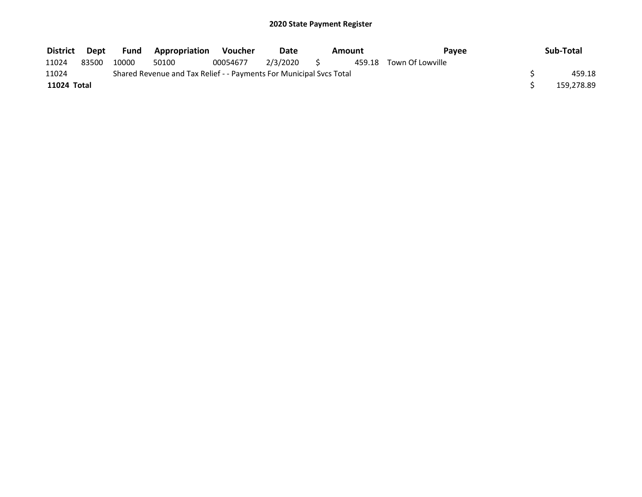| <b>District</b> | Dept  | Fund  | <b>Appropriation</b>                                                | Voucher  | Date<br>Amount |  | Pavee                   | Sub-Total  |
|-----------------|-------|-------|---------------------------------------------------------------------|----------|----------------|--|-------------------------|------------|
| 11024           | 83500 | 10000 | 50100                                                               | 00054677 | 2/3/2020       |  | 459.18 Town Of Lowville |            |
| 11024           |       |       | Shared Revenue and Tax Relief - - Payments For Municipal Svcs Total |          |                |  |                         | 459.18     |
| 11024 Total     |       |       |                                                                     |          |                |  |                         | 159,278.89 |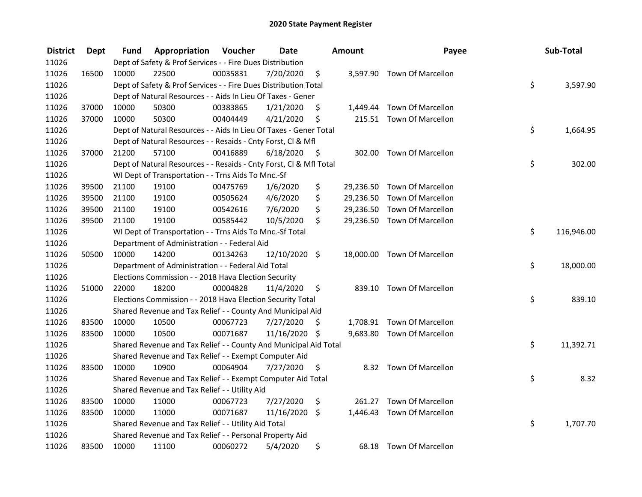| <b>District</b> | <b>Dept</b> | Fund  | Appropriation                                                      | Voucher  | <b>Date</b> |      | Amount    | Payee                       | Sub-Total        |
|-----------------|-------------|-------|--------------------------------------------------------------------|----------|-------------|------|-----------|-----------------------------|------------------|
| 11026           |             |       | Dept of Safety & Prof Services - - Fire Dues Distribution          |          |             |      |           |                             |                  |
| 11026           | 16500       | 10000 | 22500                                                              | 00035831 | 7/20/2020   | \$   |           | 3,597.90 Town Of Marcellon  |                  |
| 11026           |             |       | Dept of Safety & Prof Services - - Fire Dues Distribution Total    |          |             |      |           |                             | \$<br>3,597.90   |
| 11026           |             |       | Dept of Natural Resources - - Aids In Lieu Of Taxes - Gener        |          |             |      |           |                             |                  |
| 11026           | 37000       | 10000 | 50300                                                              | 00383865 | 1/21/2020   | \$   |           | 1,449.44 Town Of Marcellon  |                  |
| 11026           | 37000       | 10000 | 50300                                                              | 00404449 | 4/21/2020   | \$   |           | 215.51 Town Of Marcellon    |                  |
| 11026           |             |       | Dept of Natural Resources - - Aids In Lieu Of Taxes - Gener Total  |          |             |      |           |                             | \$<br>1,664.95   |
| 11026           |             |       | Dept of Natural Resources - - Resaids - Cnty Forst, Cl & Mfl       |          |             |      |           |                             |                  |
| 11026           | 37000       | 21200 | 57100                                                              | 00416889 | 6/18/2020   | - \$ |           | 302.00 Town Of Marcellon    |                  |
| 11026           |             |       | Dept of Natural Resources - - Resaids - Cnty Forst, Cl & Mfl Total |          |             |      |           |                             | \$<br>302.00     |
| 11026           |             |       | WI Dept of Transportation - - Trns Aids To Mnc.-Sf                 |          |             |      |           |                             |                  |
| 11026           | 39500       | 21100 | 19100                                                              | 00475769 | 1/6/2020    | \$   | 29,236.50 | <b>Town Of Marcellon</b>    |                  |
| 11026           | 39500       | 21100 | 19100                                                              | 00505624 | 4/6/2020    | \$   |           | 29,236.50 Town Of Marcellon |                  |
| 11026           | 39500       | 21100 | 19100                                                              | 00542616 | 7/6/2020    | \$   | 29,236.50 | <b>Town Of Marcellon</b>    |                  |
| 11026           | 39500       | 21100 | 19100                                                              | 00585442 | 10/5/2020   | \$   |           | 29,236.50 Town Of Marcellon |                  |
| 11026           |             |       | WI Dept of Transportation - - Trns Aids To Mnc.-Sf Total           |          |             |      |           |                             | \$<br>116,946.00 |
| 11026           |             |       | Department of Administration - - Federal Aid                       |          |             |      |           |                             |                  |
| 11026           | 50500       | 10000 | 14200                                                              | 00134263 | 12/10/2020  | \$   |           | 18,000.00 Town Of Marcellon |                  |
| 11026           |             |       | Department of Administration - - Federal Aid Total                 |          |             |      |           |                             | \$<br>18,000.00  |
| 11026           |             |       | Elections Commission - - 2018 Hava Election Security               |          |             |      |           |                             |                  |
| 11026           | 51000       | 22000 | 18200                                                              | 00004828 | 11/4/2020   | \$   |           | 839.10 Town Of Marcellon    |                  |
| 11026           |             |       | Elections Commission - - 2018 Hava Election Security Total         |          |             |      |           |                             | \$<br>839.10     |
| 11026           |             |       | Shared Revenue and Tax Relief - - County And Municipal Aid         |          |             |      |           |                             |                  |
| 11026           | 83500       | 10000 | 10500                                                              | 00067723 | 7/27/2020   | S    |           | 1,708.91 Town Of Marcellon  |                  |
| 11026           | 83500       | 10000 | 10500                                                              | 00071687 | 11/16/2020  | \$   |           | 9,683.80 Town Of Marcellon  |                  |
| 11026           |             |       | Shared Revenue and Tax Relief - - County And Municipal Aid Total   |          |             |      |           |                             | \$<br>11,392.71  |
| 11026           |             |       | Shared Revenue and Tax Relief - - Exempt Computer Aid              |          |             |      |           |                             |                  |
| 11026           | 83500       | 10000 | 10900                                                              | 00064904 | 7/27/2020   | \$   |           | 8.32 Town Of Marcellon      |                  |
| 11026           |             |       | Shared Revenue and Tax Relief - - Exempt Computer Aid Total        |          |             |      |           |                             | \$<br>8.32       |
| 11026           |             |       | Shared Revenue and Tax Relief - - Utility Aid                      |          |             |      |           |                             |                  |
| 11026           | 83500       | 10000 | 11000                                                              | 00067723 | 7/27/2020   | \$   |           | 261.27 Town Of Marcellon    |                  |
| 11026           | 83500       | 10000 | 11000                                                              | 00071687 | 11/16/2020  | \$   |           | 1,446.43 Town Of Marcellon  |                  |
| 11026           |             |       | Shared Revenue and Tax Relief - - Utility Aid Total                |          |             |      |           |                             | \$<br>1,707.70   |
| 11026           |             |       | Shared Revenue and Tax Relief - - Personal Property Aid            |          |             |      |           |                             |                  |
| 11026           | 83500       | 10000 | 11100                                                              | 00060272 | 5/4/2020    | \$   |           | 68.18 Town Of Marcellon     |                  |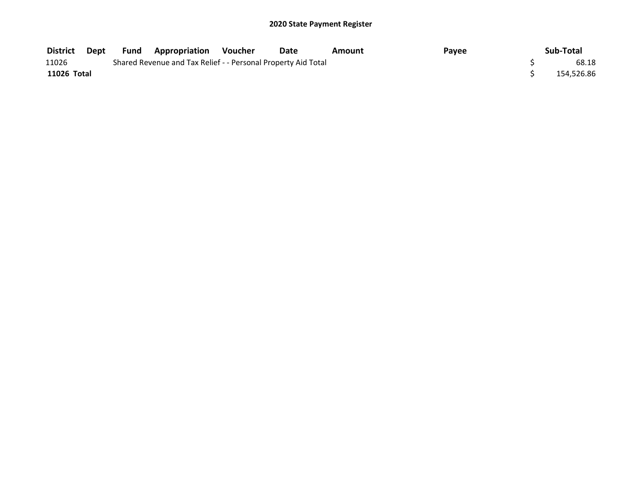| <b>District</b> | Dept | Fund | ' Appropriation                                               | Voucher | <b>Date</b> | Amount | Payee | Sub-Total  |
|-----------------|------|------|---------------------------------------------------------------|---------|-------------|--------|-------|------------|
| 11026           |      |      | Shared Revenue and Tax Relief - - Personal Property Aid Total |         |             |        |       | 68.18      |
| 11026 Total     |      |      |                                                               |         |             |        |       | 154,526.86 |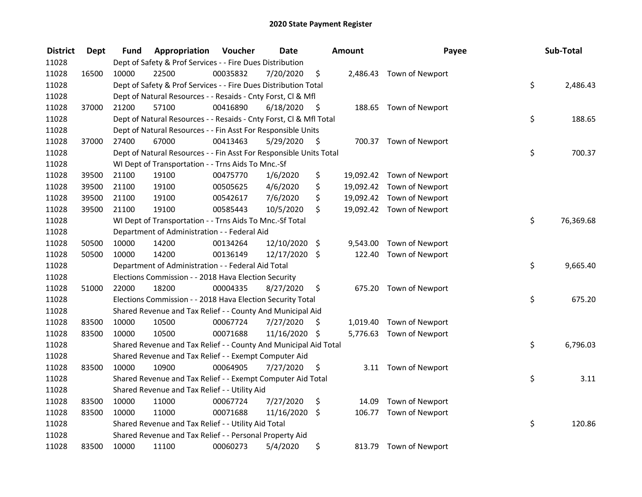| <b>District</b> | <b>Dept</b> | Fund  | Appropriation                                                      | Voucher  | <b>Date</b>   |      | Amount   | Payee                     | Sub-Total       |
|-----------------|-------------|-------|--------------------------------------------------------------------|----------|---------------|------|----------|---------------------------|-----------------|
| 11028           |             |       | Dept of Safety & Prof Services - - Fire Dues Distribution          |          |               |      |          |                           |                 |
| 11028           | 16500       | 10000 | 22500                                                              | 00035832 | 7/20/2020     | \$   |          | 2,486.43 Town of Newport  |                 |
| 11028           |             |       | Dept of Safety & Prof Services - - Fire Dues Distribution Total    |          |               |      |          |                           | \$<br>2,486.43  |
| 11028           |             |       | Dept of Natural Resources - - Resaids - Cnty Forst, Cl & Mfl       |          |               |      |          |                           |                 |
| 11028           | 37000       | 21200 | 57100                                                              | 00416890 | 6/18/2020     | - \$ |          | 188.65 Town of Newport    |                 |
| 11028           |             |       | Dept of Natural Resources - - Resaids - Cnty Forst, CI & Mfl Total |          |               |      |          |                           | \$<br>188.65    |
| 11028           |             |       | Dept of Natural Resources - - Fin Asst For Responsible Units       |          |               |      |          |                           |                 |
| 11028           | 37000       | 27400 | 67000                                                              | 00413463 | 5/29/2020     | - \$ |          | 700.37 Town of Newport    |                 |
| 11028           |             |       | Dept of Natural Resources - - Fin Asst For Responsible Units Total |          |               |      |          |                           | \$<br>700.37    |
| 11028           |             |       | WI Dept of Transportation - - Trns Aids To Mnc.-Sf                 |          |               |      |          |                           |                 |
| 11028           | 39500       | 21100 | 19100                                                              | 00475770 | 1/6/2020      | \$   |          | 19,092.42 Town of Newport |                 |
| 11028           | 39500       | 21100 | 19100                                                              | 00505625 | 4/6/2020      | \$   |          | 19,092.42 Town of Newport |                 |
| 11028           | 39500       | 21100 | 19100                                                              | 00542617 | 7/6/2020      | \$   |          | 19,092.42 Town of Newport |                 |
| 11028           | 39500       | 21100 | 19100                                                              | 00585443 | 10/5/2020     | \$   |          | 19,092.42 Town of Newport |                 |
| 11028           |             |       | WI Dept of Transportation - - Trns Aids To Mnc.-Sf Total           |          |               |      |          |                           | \$<br>76,369.68 |
| 11028           |             |       | Department of Administration - - Federal Aid                       |          |               |      |          |                           |                 |
| 11028           | 50500       | 10000 | 14200                                                              | 00134264 | 12/10/2020 \$ |      | 9,543.00 | Town of Newport           |                 |
| 11028           | 50500       | 10000 | 14200                                                              | 00136149 | 12/17/2020 \$ |      | 122.40   | Town of Newport           |                 |
| 11028           |             |       | Department of Administration - - Federal Aid Total                 |          |               |      |          |                           | \$<br>9,665.40  |
| 11028           |             |       | Elections Commission - - 2018 Hava Election Security               |          |               |      |          |                           |                 |
| 11028           | 51000       | 22000 | 18200                                                              | 00004335 | 8/27/2020     | \$   |          | 675.20 Town of Newport    |                 |
| 11028           |             |       | Elections Commission - - 2018 Hava Election Security Total         |          |               |      |          |                           | \$<br>675.20    |
| 11028           |             |       | Shared Revenue and Tax Relief - - County And Municipal Aid         |          |               |      |          |                           |                 |
| 11028           | 83500       | 10000 | 10500                                                              | 00067724 | 7/27/2020     | S    | 1,019.40 | Town of Newport           |                 |
| 11028           | 83500       | 10000 | 10500                                                              | 00071688 | 11/16/2020 \$ |      |          | 5,776.63 Town of Newport  |                 |
| 11028           |             |       | Shared Revenue and Tax Relief - - County And Municipal Aid Total   |          |               |      |          |                           | \$<br>6,796.03  |
| 11028           |             |       | Shared Revenue and Tax Relief - - Exempt Computer Aid              |          |               |      |          |                           |                 |
| 11028           | 83500       | 10000 | 10900                                                              | 00064905 | 7/27/2020     | \$   |          | 3.11 Town of Newport      |                 |
| 11028           |             |       | Shared Revenue and Tax Relief - - Exempt Computer Aid Total        |          |               |      |          |                           | \$<br>3.11      |
| 11028           |             |       | Shared Revenue and Tax Relief - - Utility Aid                      |          |               |      |          |                           |                 |
| 11028           | 83500       | 10000 | 11000                                                              | 00067724 | 7/27/2020     | \$   | 14.09    | Town of Newport           |                 |
| 11028           | 83500       | 10000 | 11000                                                              | 00071688 | 11/16/2020    | \$   |          | 106.77 Town of Newport    |                 |
| 11028           |             |       | Shared Revenue and Tax Relief - - Utility Aid Total                |          |               |      |          |                           | \$<br>120.86    |
| 11028           |             |       | Shared Revenue and Tax Relief - - Personal Property Aid            |          |               |      |          |                           |                 |
| 11028           | 83500       | 10000 | 11100                                                              | 00060273 | 5/4/2020      | \$   | 813.79   | Town of Newport           |                 |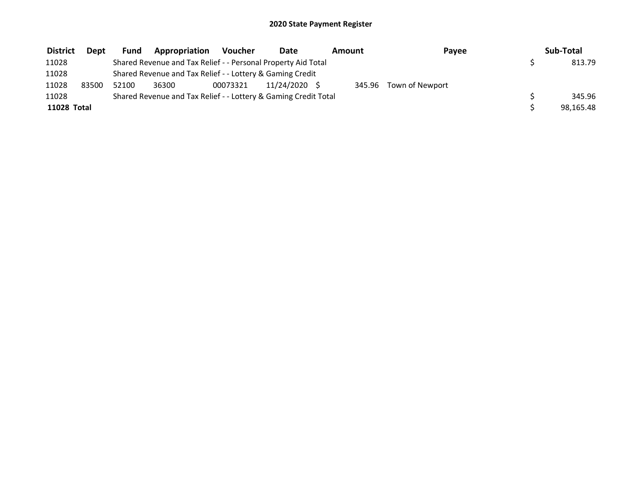| <b>District</b> | <b>Dept</b> | <b>Fund</b> | Appropriation                                                   | <b>Voucher</b> | Date       | Amount |        | Payee           | Sub-Total |
|-----------------|-------------|-------------|-----------------------------------------------------------------|----------------|------------|--------|--------|-----------------|-----------|
| 11028           |             |             | Shared Revenue and Tax Relief - - Personal Property Aid Total   |                |            |        |        |                 | 813.79    |
| 11028           |             |             | Shared Revenue and Tax Relief - - Lottery & Gaming Credit       |                |            |        |        |                 |           |
| 11028           | 83500       | 52100       | 36300                                                           | 00073321       | 11/24/2020 |        | 345.96 | Town of Newport |           |
| 11028           |             |             | Shared Revenue and Tax Relief - - Lottery & Gaming Credit Total |                |            |        |        |                 | 345.96    |
| 11028 Total     |             |             |                                                                 |                |            |        |        |                 | 98,165.48 |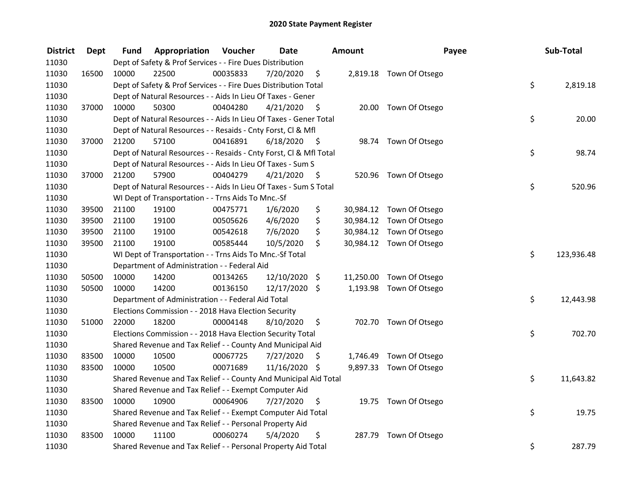| <b>District</b> | <b>Dept</b> | Fund  | <b>Appropriation Voucher</b>                                       |          | <b>Date</b>   |      | Amount | Payee                    | Sub-Total        |
|-----------------|-------------|-------|--------------------------------------------------------------------|----------|---------------|------|--------|--------------------------|------------------|
| 11030           |             |       | Dept of Safety & Prof Services - - Fire Dues Distribution          |          |               |      |        |                          |                  |
| 11030           | 16500       | 10000 | 22500                                                              | 00035833 | 7/20/2020     | \$   |        | 2,819.18 Town Of Otsego  |                  |
| 11030           |             |       | Dept of Safety & Prof Services - - Fire Dues Distribution Total    |          |               |      |        |                          | \$<br>2,819.18   |
| 11030           |             |       | Dept of Natural Resources - - Aids In Lieu Of Taxes - Gener        |          |               |      |        |                          |                  |
| 11030           | 37000       | 10000 | 50300                                                              | 00404280 | 4/21/2020     | - \$ |        | 20.00 Town Of Otsego     |                  |
| 11030           |             |       | Dept of Natural Resources - - Aids In Lieu Of Taxes - Gener Total  |          |               |      |        |                          | \$<br>20.00      |
| 11030           |             |       | Dept of Natural Resources - - Resaids - Cnty Forst, Cl & Mfl       |          |               |      |        |                          |                  |
| 11030           | 37000       | 21200 | 57100                                                              | 00416891 | 6/18/2020     | - \$ |        | 98.74 Town Of Otsego     |                  |
| 11030           |             |       | Dept of Natural Resources - - Resaids - Cnty Forst, Cl & Mfl Total |          |               |      |        |                          | \$<br>98.74      |
| 11030           |             |       | Dept of Natural Resources - - Aids In Lieu Of Taxes - Sum S        |          |               |      |        |                          |                  |
| 11030           | 37000       | 21200 | 57900                                                              | 00404279 | 4/21/2020     | - \$ |        | 520.96 Town Of Otsego    |                  |
| 11030           |             |       | Dept of Natural Resources - - Aids In Lieu Of Taxes - Sum S Total  |          |               |      |        |                          | \$<br>520.96     |
| 11030           |             |       | WI Dept of Transportation - - Trns Aids To Mnc.-Sf                 |          |               |      |        |                          |                  |
| 11030           | 39500       | 21100 | 19100                                                              | 00475771 | 1/6/2020      | \$   |        | 30,984.12 Town Of Otsego |                  |
| 11030           | 39500       | 21100 | 19100                                                              | 00505626 | 4/6/2020      | \$   |        | 30,984.12 Town Of Otsego |                  |
| 11030           | 39500       | 21100 | 19100                                                              | 00542618 | 7/6/2020      | \$   |        | 30,984.12 Town Of Otsego |                  |
| 11030           | 39500       | 21100 | 19100                                                              | 00585444 | 10/5/2020     | \$   |        | 30,984.12 Town Of Otsego |                  |
| 11030           |             |       | WI Dept of Transportation - - Trns Aids To Mnc.-Sf Total           |          |               |      |        |                          | \$<br>123,936.48 |
| 11030           |             |       | Department of Administration - - Federal Aid                       |          |               |      |        |                          |                  |
| 11030           | 50500       | 10000 | 14200                                                              | 00134265 | 12/10/2020 \$ |      |        | 11,250.00 Town Of Otsego |                  |
| 11030           | 50500       | 10000 | 14200                                                              | 00136150 | 12/17/2020 \$ |      |        | 1,193.98 Town Of Otsego  |                  |
| 11030           |             |       | Department of Administration - - Federal Aid Total                 |          |               |      |        |                          | \$<br>12,443.98  |
| 11030           |             |       | Elections Commission - - 2018 Hava Election Security               |          |               |      |        |                          |                  |
| 11030           | 51000       | 22000 | 18200                                                              | 00004148 | 8/10/2020     | \$   |        | 702.70 Town Of Otsego    |                  |
| 11030           |             |       | Elections Commission - - 2018 Hava Election Security Total         |          |               |      |        |                          | \$<br>702.70     |
| 11030           |             |       | Shared Revenue and Tax Relief - - County And Municipal Aid         |          |               |      |        |                          |                  |
| 11030           | 83500       | 10000 | 10500                                                              | 00067725 | 7/27/2020     | \$   |        | 1,746.49 Town Of Otsego  |                  |
| 11030           | 83500       | 10000 | 10500                                                              | 00071689 | 11/16/2020 \$ |      |        | 9,897.33 Town Of Otsego  |                  |
| 11030           |             |       | Shared Revenue and Tax Relief - - County And Municipal Aid Total   |          |               |      |        |                          | \$<br>11,643.82  |
| 11030           |             |       | Shared Revenue and Tax Relief - - Exempt Computer Aid              |          |               |      |        |                          |                  |
| 11030           | 83500       | 10000 | 10900                                                              | 00064906 | 7/27/2020     | \$   |        | 19.75 Town Of Otsego     |                  |
| 11030           |             |       | Shared Revenue and Tax Relief - - Exempt Computer Aid Total        |          |               |      |        |                          | \$<br>19.75      |
| 11030           |             |       | Shared Revenue and Tax Relief - - Personal Property Aid            |          |               |      |        |                          |                  |
| 11030           | 83500       | 10000 | 11100                                                              | 00060274 | 5/4/2020      | \$   | 287.79 | Town Of Otsego           |                  |
| 11030           |             |       | Shared Revenue and Tax Relief - - Personal Property Aid Total      |          |               |      |        |                          | \$<br>287.79     |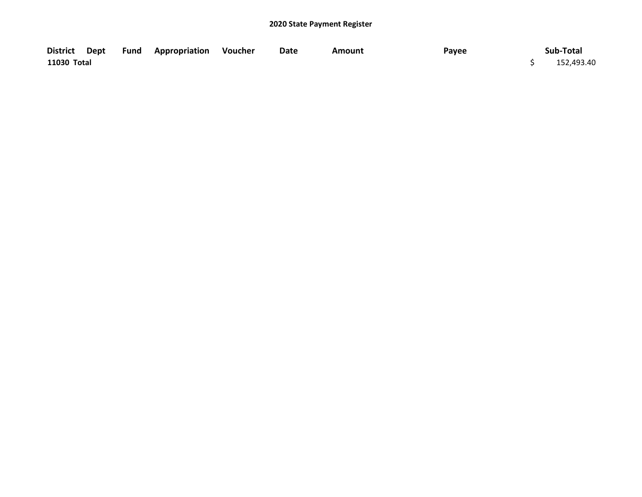|             |  | District Dept Fund Appropriation Voucher | Date | Amount | Payee | Sub-Total  |
|-------------|--|------------------------------------------|------|--------|-------|------------|
| 11030 Total |  |                                          |      |        |       | 152,493.40 |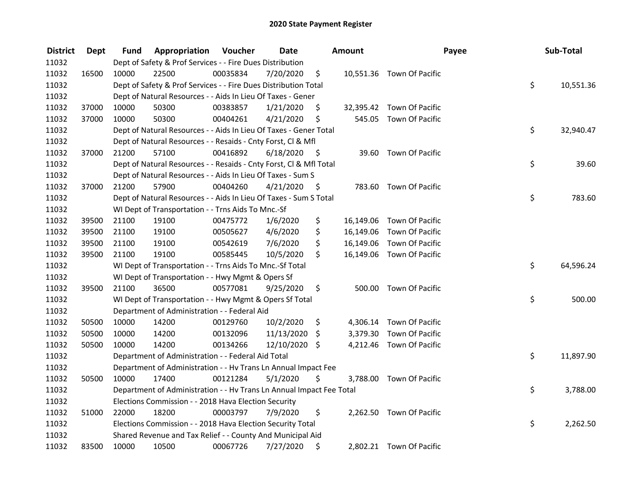| <b>District</b> | Dept  | Fund  | Appropriation                                                        | Voucher  | <b>Date</b>   |      | Amount   | Payee                     | Sub-Total       |
|-----------------|-------|-------|----------------------------------------------------------------------|----------|---------------|------|----------|---------------------------|-----------------|
| 11032           |       |       | Dept of Safety & Prof Services - - Fire Dues Distribution            |          |               |      |          |                           |                 |
| 11032           | 16500 | 10000 | 22500                                                                | 00035834 | 7/20/2020     | \$   |          | 10,551.36 Town Of Pacific |                 |
| 11032           |       |       | Dept of Safety & Prof Services - - Fire Dues Distribution Total      |          |               |      |          |                           | \$<br>10,551.36 |
| 11032           |       |       | Dept of Natural Resources - - Aids In Lieu Of Taxes - Gener          |          |               |      |          |                           |                 |
| 11032           | 37000 | 10000 | 50300                                                                | 00383857 | 1/21/2020     | \$   |          | 32,395.42 Town Of Pacific |                 |
| 11032           | 37000 | 10000 | 50300                                                                | 00404261 | 4/21/2020     | \$   |          | 545.05 Town Of Pacific    |                 |
| 11032           |       |       | Dept of Natural Resources - - Aids In Lieu Of Taxes - Gener Total    |          |               |      |          |                           | \$<br>32,940.47 |
| 11032           |       |       | Dept of Natural Resources - - Resaids - Cnty Forst, Cl & Mfl         |          |               |      |          |                           |                 |
| 11032           | 37000 | 21200 | 57100                                                                | 00416892 | 6/18/2020     | - \$ |          | 39.60 Town Of Pacific     |                 |
| 11032           |       |       | Dept of Natural Resources - - Resaids - Cnty Forst, Cl & Mfl Total   |          |               |      |          |                           | \$<br>39.60     |
| 11032           |       |       | Dept of Natural Resources - - Aids In Lieu Of Taxes - Sum S          |          |               |      |          |                           |                 |
| 11032           | 37000 | 21200 | 57900                                                                | 00404260 | 4/21/2020     | - \$ | 783.60   | Town Of Pacific           |                 |
| 11032           |       |       | Dept of Natural Resources - - Aids In Lieu Of Taxes - Sum S Total    |          |               |      |          |                           | \$<br>783.60    |
| 11032           |       |       | WI Dept of Transportation - - Trns Aids To Mnc.-Sf                   |          |               |      |          |                           |                 |
| 11032           | 39500 | 21100 | 19100                                                                | 00475772 | 1/6/2020      | \$   |          | 16,149.06 Town Of Pacific |                 |
| 11032           | 39500 | 21100 | 19100                                                                | 00505627 | 4/6/2020      | \$   |          | 16,149.06 Town Of Pacific |                 |
| 11032           | 39500 | 21100 | 19100                                                                | 00542619 | 7/6/2020      | \$   |          | 16,149.06 Town Of Pacific |                 |
| 11032           | 39500 | 21100 | 19100                                                                | 00585445 | 10/5/2020     | \$   |          | 16,149.06 Town Of Pacific |                 |
| 11032           |       |       | WI Dept of Transportation - - Trns Aids To Mnc.-Sf Total             |          |               |      |          |                           | \$<br>64,596.24 |
| 11032           |       |       | WI Dept of Transportation - - Hwy Mgmt & Opers Sf                    |          |               |      |          |                           |                 |
| 11032           | 39500 | 21100 | 36500                                                                | 00577081 | 9/25/2020     | \$   |          | 500.00 Town Of Pacific    |                 |
| 11032           |       |       | WI Dept of Transportation - - Hwy Mgmt & Opers Sf Total              |          |               |      |          |                           | \$<br>500.00    |
| 11032           |       |       | Department of Administration - - Federal Aid                         |          |               |      |          |                           |                 |
| 11032           | 50500 | 10000 | 14200                                                                | 00129760 | 10/2/2020     | \$   |          | 4,306.14 Town Of Pacific  |                 |
| 11032           | 50500 | 10000 | 14200                                                                | 00132096 | 11/13/2020    | \$   | 3,379.30 | Town Of Pacific           |                 |
| 11032           | 50500 | 10000 | 14200                                                                | 00134266 | 12/10/2020 \$ |      |          | 4,212.46 Town Of Pacific  |                 |
| 11032           |       |       | Department of Administration - - Federal Aid Total                   |          |               |      |          |                           | \$<br>11,897.90 |
| 11032           |       |       | Department of Administration - - Hv Trans Ln Annual Impact Fee       |          |               |      |          |                           |                 |
| 11032           | 50500 | 10000 | 17400                                                                | 00121284 | 5/1/2020      | \$   |          | 3,788.00 Town Of Pacific  |                 |
| 11032           |       |       | Department of Administration - - Hv Trans Ln Annual Impact Fee Total |          |               |      |          |                           | \$<br>3,788.00  |
| 11032           |       |       | Elections Commission - - 2018 Hava Election Security                 |          |               |      |          |                           |                 |
| 11032           | 51000 | 22000 | 18200                                                                | 00003797 | 7/9/2020      | \$   |          | 2,262.50 Town Of Pacific  |                 |
| 11032           |       |       | Elections Commission - - 2018 Hava Election Security Total           |          |               |      |          |                           | \$<br>2,262.50  |
| 11032           |       |       | Shared Revenue and Tax Relief - - County And Municipal Aid           |          |               |      |          |                           |                 |
| 11032           | 83500 | 10000 | 10500                                                                | 00067726 | 7/27/2020     | \$   |          | 2,802.21 Town Of Pacific  |                 |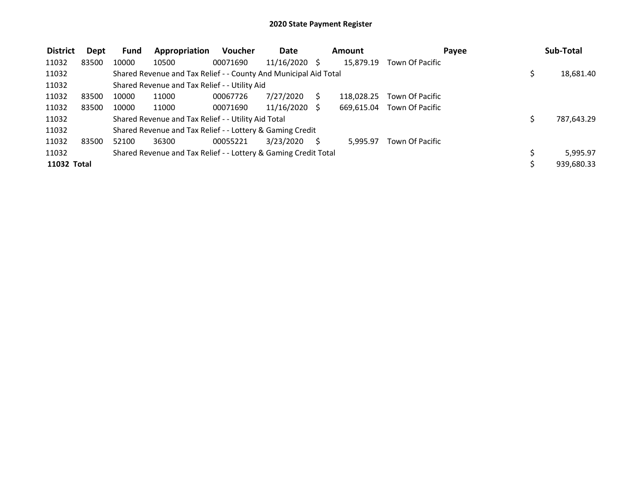| <b>District</b> | Dept  | <b>Fund</b> | Appropriation                                                    | <b>Voucher</b> | Date            | Amount |            |                 | Payee | Sub-Total  |
|-----------------|-------|-------------|------------------------------------------------------------------|----------------|-----------------|--------|------------|-----------------|-------|------------|
| 11032           | 83500 | 10000       | 10500                                                            | 00071690       | $11/16/2020$ \$ |        | 15,879.19  | Town Of Pacific |       |            |
| 11032           |       |             | Shared Revenue and Tax Relief - - County And Municipal Aid Total |                |                 |        |            |                 |       | 18,681.40  |
| 11032           |       |             | Shared Revenue and Tax Relief - - Utility Aid                    |                |                 |        |            |                 |       |            |
| 11032           | 83500 | 10000       | 11000                                                            | 00067726       | 7/27/2020       | S      | 118.028.25 | Town Of Pacific |       |            |
| 11032           | 83500 | 10000       | 11000                                                            | 00071690       | $11/16/2020$ \$ |        | 669,615.04 | Town Of Pacific |       |            |
| 11032           |       |             | Shared Revenue and Tax Relief - - Utility Aid Total              |                |                 |        |            |                 |       | 787,643.29 |
| 11032           |       |             | Shared Revenue and Tax Relief - - Lottery & Gaming Credit        |                |                 |        |            |                 |       |            |
| 11032           | 83500 | 52100       | 36300                                                            | 00055221       | 3/23/2020       | S      | 5.995.97   | Town Of Pacific |       |            |
| 11032           |       |             | Shared Revenue and Tax Relief - - Lottery & Gaming Credit Total  |                |                 |        |            |                 |       | 5,995.97   |
| 11032 Total     |       |             |                                                                  |                |                 |        |            |                 |       | 939,680.33 |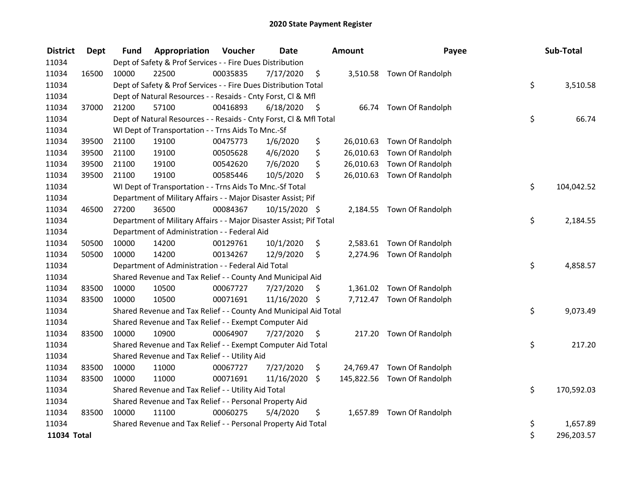| <b>District</b> | <b>Dept</b> | <b>Fund</b> | Appropriation                                                       | Voucher  | <b>Date</b>   |      | Amount | Payee                       | Sub-Total        |
|-----------------|-------------|-------------|---------------------------------------------------------------------|----------|---------------|------|--------|-----------------------------|------------------|
| 11034           |             |             | Dept of Safety & Prof Services - - Fire Dues Distribution           |          |               |      |        |                             |                  |
| 11034           | 16500       | 10000       | 22500                                                               | 00035835 | 7/17/2020     | \$   |        | 3,510.58 Town Of Randolph   |                  |
| 11034           |             |             | Dept of Safety & Prof Services - - Fire Dues Distribution Total     |          |               |      |        |                             | \$<br>3,510.58   |
| 11034           |             |             | Dept of Natural Resources - - Resaids - Cnty Forst, Cl & Mfl        |          |               |      |        |                             |                  |
| 11034           | 37000       | 21200       | 57100                                                               | 00416893 | 6/18/2020     | - \$ |        | 66.74 Town Of Randolph      |                  |
| 11034           |             |             | Dept of Natural Resources - - Resaids - Cnty Forst, Cl & Mfl Total  |          |               |      |        |                             | \$<br>66.74      |
| 11034           |             |             | WI Dept of Transportation - - Trns Aids To Mnc.-Sf                  |          |               |      |        |                             |                  |
| 11034           | 39500       | 21100       | 19100                                                               | 00475773 | 1/6/2020      | \$   |        | 26,010.63 Town Of Randolph  |                  |
| 11034           | 39500       | 21100       | 19100                                                               | 00505628 | 4/6/2020      | \$   |        | 26,010.63 Town Of Randolph  |                  |
| 11034           | 39500       | 21100       | 19100                                                               | 00542620 | 7/6/2020      | \$   |        | 26,010.63 Town Of Randolph  |                  |
| 11034           | 39500       | 21100       | 19100                                                               | 00585446 | 10/5/2020     | \$   |        | 26,010.63 Town Of Randolph  |                  |
| 11034           |             |             | WI Dept of Transportation - - Trns Aids To Mnc.-Sf Total            |          |               |      |        |                             | \$<br>104,042.52 |
| 11034           |             |             | Department of Military Affairs - - Major Disaster Assist; Pif       |          |               |      |        |                             |                  |
| 11034           | 46500       | 27200       | 36500                                                               | 00084367 | 10/15/2020 \$ |      |        | 2,184.55 Town Of Randolph   |                  |
| 11034           |             |             | Department of Military Affairs - - Major Disaster Assist; Pif Total |          |               |      |        |                             | \$<br>2,184.55   |
| 11034           |             |             | Department of Administration - - Federal Aid                        |          |               |      |        |                             |                  |
| 11034           | 50500       | 10000       | 14200                                                               | 00129761 | 10/1/2020     | \$   |        | 2,583.61 Town Of Randolph   |                  |
| 11034           | 50500       | 10000       | 14200                                                               | 00134267 | 12/9/2020     | \$   |        | 2,274.96 Town Of Randolph   |                  |
| 11034           |             |             | Department of Administration - - Federal Aid Total                  |          |               |      |        |                             | \$<br>4,858.57   |
| 11034           |             |             | Shared Revenue and Tax Relief - - County And Municipal Aid          |          |               |      |        |                             |                  |
| 11034           | 83500       | 10000       | 10500                                                               | 00067727 | 7/27/2020     | \$   |        | 1,361.02 Town Of Randolph   |                  |
| 11034           | 83500       | 10000       | 10500                                                               | 00071691 | 11/16/2020 \$ |      |        | 7,712.47 Town Of Randolph   |                  |
| 11034           |             |             | Shared Revenue and Tax Relief - - County And Municipal Aid Total    |          |               |      |        |                             | \$<br>9,073.49   |
| 11034           |             |             | Shared Revenue and Tax Relief - - Exempt Computer Aid               |          |               |      |        |                             |                  |
| 11034           | 83500       | 10000       | 10900                                                               | 00064907 | 7/27/2020     | \$   | 217.20 | Town Of Randolph            |                  |
| 11034           |             |             | Shared Revenue and Tax Relief - - Exempt Computer Aid Total         |          |               |      |        |                             | \$<br>217.20     |
| 11034           |             |             | Shared Revenue and Tax Relief - - Utility Aid                       |          |               |      |        |                             |                  |
| 11034           | 83500       | 10000       | 11000                                                               | 00067727 | 7/27/2020     | \$   |        | 24,769.47 Town Of Randolph  |                  |
| 11034           | 83500       | 10000       | 11000                                                               | 00071691 | 11/16/2020    | \$   |        | 145,822.56 Town Of Randolph |                  |
| 11034           |             |             | Shared Revenue and Tax Relief - - Utility Aid Total                 |          |               |      |        |                             | \$<br>170,592.03 |
| 11034           |             |             | Shared Revenue and Tax Relief - - Personal Property Aid             |          |               |      |        |                             |                  |
| 11034           | 83500       | 10000       | 11100                                                               | 00060275 | 5/4/2020      | \$   |        | 1,657.89 Town Of Randolph   |                  |
| 11034           |             |             | Shared Revenue and Tax Relief - - Personal Property Aid Total       |          |               |      |        |                             | \$<br>1,657.89   |
| 11034 Total     |             |             |                                                                     |          |               |      |        |                             | \$<br>296,203.57 |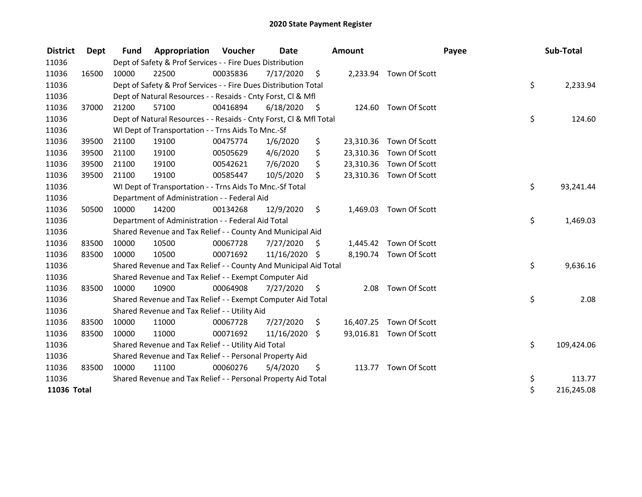| <b>District</b> | Dept  | <b>Fund</b> | Appropriation                                                      | Voucher  | Date          |      | <b>Amount</b> |                         | Payee | Sub-Total  |
|-----------------|-------|-------------|--------------------------------------------------------------------|----------|---------------|------|---------------|-------------------------|-------|------------|
| 11036           |       |             | Dept of Safety & Prof Services - - Fire Dues Distribution          |          |               |      |               |                         |       |            |
| 11036           | 16500 | 10000       | 22500                                                              | 00035836 | 7/17/2020     | \$   |               | 2,233.94 Town Of Scott  |       |            |
| 11036           |       |             | Dept of Safety & Prof Services - - Fire Dues Distribution Total    |          |               |      |               |                         | \$    | 2,233.94   |
| 11036           |       |             | Dept of Natural Resources - - Resaids - Cnty Forst, Cl & Mfl       |          |               |      |               |                         |       |            |
| 11036           | 37000 | 21200       | 57100                                                              | 00416894 | 6/18/2020     | - \$ |               | 124.60 Town Of Scott    |       |            |
| 11036           |       |             | Dept of Natural Resources - - Resaids - Cnty Forst, Cl & Mfl Total |          |               |      |               |                         | \$    | 124.60     |
| 11036           |       |             | WI Dept of Transportation - - Trns Aids To Mnc.-Sf                 |          |               |      |               |                         |       |            |
| 11036           | 39500 | 21100       | 19100                                                              | 00475774 | 1/6/2020      | \$   |               | 23,310.36 Town Of Scott |       |            |
| 11036           | 39500 | 21100       | 19100                                                              | 00505629 | 4/6/2020      | \$   |               | 23,310.36 Town Of Scott |       |            |
| 11036           | 39500 | 21100       | 19100                                                              | 00542621 | 7/6/2020      | \$   |               | 23,310.36 Town Of Scott |       |            |
| 11036           | 39500 | 21100       | 19100                                                              | 00585447 | 10/5/2020     | \$   |               | 23,310.36 Town Of Scott |       |            |
| 11036           |       |             | WI Dept of Transportation - - Trns Aids To Mnc.-Sf Total           |          |               |      |               |                         | \$    | 93,241.44  |
| 11036           |       |             | Department of Administration - - Federal Aid                       |          |               |      |               |                         |       |            |
| 11036           | 50500 | 10000       | 14200                                                              | 00134268 | 12/9/2020     | \$   | 1,469.03      | Town Of Scott           |       |            |
| 11036           |       |             | Department of Administration - - Federal Aid Total                 |          |               |      |               |                         | \$    | 1,469.03   |
| 11036           |       |             | Shared Revenue and Tax Relief - - County And Municipal Aid         |          |               |      |               |                         |       |            |
| 11036           | 83500 | 10000       | 10500                                                              | 00067728 | 7/27/2020     | S.   |               | 1,445.42 Town Of Scott  |       |            |
| 11036           | 83500 | 10000       | 10500                                                              | 00071692 | 11/16/2020 \$ |      |               | 8,190.74 Town Of Scott  |       |            |
| 11036           |       |             | Shared Revenue and Tax Relief - - County And Municipal Aid Total   |          |               |      |               |                         | \$    | 9,636.16   |
| 11036           |       |             | Shared Revenue and Tax Relief - - Exempt Computer Aid              |          |               |      |               |                         |       |            |
| 11036           | 83500 | 10000       | 10900                                                              | 00064908 | 7/27/2020     | \$   | 2.08          | Town Of Scott           |       |            |
| 11036           |       |             | Shared Revenue and Tax Relief - - Exempt Computer Aid Total        |          |               |      |               |                         | \$    | 2.08       |
| 11036           |       |             | Shared Revenue and Tax Relief - - Utility Aid                      |          |               |      |               |                         |       |            |
| 11036           | 83500 | 10000       | 11000                                                              | 00067728 | 7/27/2020     | \$   |               | 16,407.25 Town Of Scott |       |            |
| 11036           | 83500 | 10000       | 11000                                                              | 00071692 | 11/16/2020    | \$   |               | 93,016.81 Town Of Scott |       |            |
| 11036           |       |             | Shared Revenue and Tax Relief - - Utility Aid Total                |          |               |      |               |                         | \$    | 109,424.06 |
| 11036           |       |             | Shared Revenue and Tax Relief - - Personal Property Aid            |          |               |      |               |                         |       |            |
| 11036           | 83500 | 10000       | 11100                                                              | 00060276 | 5/4/2020      | \$   |               | 113.77 Town Of Scott    |       |            |
| 11036           |       |             | Shared Revenue and Tax Relief - - Personal Property Aid Total      |          |               |      |               |                         | \$    | 113.77     |
| 11036 Total     |       |             |                                                                    |          |               |      |               |                         | \$    | 216,245.08 |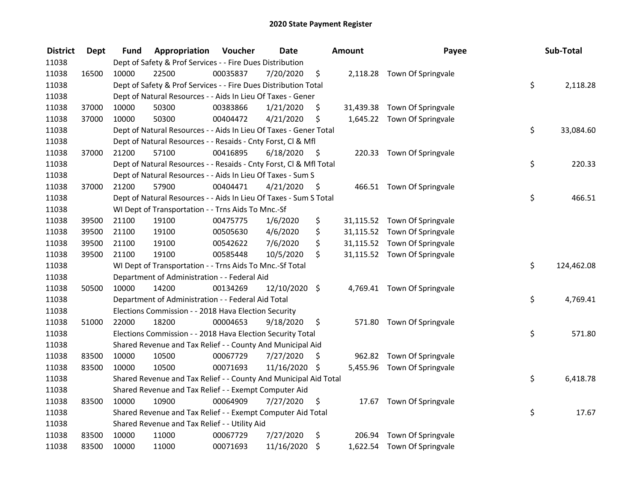| <b>District</b> | <b>Dept</b> | Fund  | Appropriation                                                      | Voucher  | <b>Date</b>   |      | <b>Amount</b> | Payee                        | Sub-Total        |
|-----------------|-------------|-------|--------------------------------------------------------------------|----------|---------------|------|---------------|------------------------------|------------------|
| 11038           |             |       | Dept of Safety & Prof Services - - Fire Dues Distribution          |          |               |      |               |                              |                  |
| 11038           | 16500       | 10000 | 22500                                                              | 00035837 | 7/20/2020     | \$   |               | 2,118.28 Town Of Springvale  |                  |
| 11038           |             |       | Dept of Safety & Prof Services - - Fire Dues Distribution Total    |          |               |      |               |                              | \$<br>2,118.28   |
| 11038           |             |       | Dept of Natural Resources - - Aids In Lieu Of Taxes - Gener        |          |               |      |               |                              |                  |
| 11038           | 37000       | 10000 | 50300                                                              | 00383866 | 1/21/2020     | \$   |               | 31,439.38 Town Of Springvale |                  |
| 11038           | 37000       | 10000 | 50300                                                              | 00404472 | 4/21/2020     | \$   |               | 1,645.22 Town Of Springvale  |                  |
| 11038           |             |       | Dept of Natural Resources - - Aids In Lieu Of Taxes - Gener Total  |          |               |      |               |                              | \$<br>33,084.60  |
| 11038           |             |       | Dept of Natural Resources - - Resaids - Cnty Forst, Cl & Mfl       |          |               |      |               |                              |                  |
| 11038           | 37000       | 21200 | 57100                                                              | 00416895 | 6/18/2020     | - \$ |               | 220.33 Town Of Springvale    |                  |
| 11038           |             |       | Dept of Natural Resources - - Resaids - Cnty Forst, Cl & Mfl Total |          |               |      |               |                              | \$<br>220.33     |
| 11038           |             |       | Dept of Natural Resources - - Aids In Lieu Of Taxes - Sum S        |          |               |      |               |                              |                  |
| 11038           | 37000       | 21200 | 57900                                                              | 00404471 | 4/21/2020     | -\$  |               | 466.51 Town Of Springvale    |                  |
| 11038           |             |       | Dept of Natural Resources - - Aids In Lieu Of Taxes - Sum S Total  |          |               |      |               |                              | \$<br>466.51     |
| 11038           |             |       | WI Dept of Transportation - - Trns Aids To Mnc.-Sf                 |          |               |      |               |                              |                  |
| 11038           | 39500       | 21100 | 19100                                                              | 00475775 | 1/6/2020      | \$   |               | 31,115.52 Town Of Springvale |                  |
| 11038           | 39500       | 21100 | 19100                                                              | 00505630 | 4/6/2020      | \$   |               | 31,115.52 Town Of Springvale |                  |
| 11038           | 39500       | 21100 | 19100                                                              | 00542622 | 7/6/2020      | \$   |               | 31,115.52 Town Of Springvale |                  |
| 11038           | 39500       | 21100 | 19100                                                              | 00585448 | 10/5/2020     | \$   |               | 31,115.52 Town Of Springvale |                  |
| 11038           |             |       | WI Dept of Transportation - - Trns Aids To Mnc.-Sf Total           |          |               |      |               |                              | \$<br>124,462.08 |
| 11038           |             |       | Department of Administration - - Federal Aid                       |          |               |      |               |                              |                  |
| 11038           | 50500       | 10000 | 14200                                                              | 00134269 | 12/10/2020 \$ |      |               | 4,769.41 Town Of Springvale  |                  |
| 11038           |             |       | Department of Administration - - Federal Aid Total                 |          |               |      |               |                              | \$<br>4,769.41   |
| 11038           |             |       | Elections Commission - - 2018 Hava Election Security               |          |               |      |               |                              |                  |
| 11038           | 51000       | 22000 | 18200                                                              | 00004653 | 9/18/2020     | \$   |               | 571.80 Town Of Springvale    |                  |
| 11038           |             |       | Elections Commission - - 2018 Hava Election Security Total         |          |               |      |               |                              | \$<br>571.80     |
| 11038           |             |       | Shared Revenue and Tax Relief - - County And Municipal Aid         |          |               |      |               |                              |                  |
| 11038           | 83500       | 10000 | 10500                                                              | 00067729 | 7/27/2020     | \$   |               | 962.82 Town Of Springvale    |                  |
| 11038           | 83500       | 10000 | 10500                                                              | 00071693 | 11/16/2020 \$ |      |               | 5,455.96 Town Of Springvale  |                  |
| 11038           |             |       | Shared Revenue and Tax Relief - - County And Municipal Aid Total   |          |               |      |               |                              | \$<br>6,418.78   |
| 11038           |             |       | Shared Revenue and Tax Relief - - Exempt Computer Aid              |          |               |      |               |                              |                  |
| 11038           | 83500       | 10000 | 10900                                                              | 00064909 | 7/27/2020     | \$   | 17.67         | Town Of Springvale           |                  |
| 11038           |             |       | Shared Revenue and Tax Relief - - Exempt Computer Aid Total        |          |               |      |               |                              | \$<br>17.67      |
| 11038           |             |       | Shared Revenue and Tax Relief - - Utility Aid                      |          |               |      |               |                              |                  |
| 11038           | 83500       | 10000 | 11000                                                              | 00067729 | 7/27/2020     | \$   |               | 206.94 Town Of Springvale    |                  |
| 11038           | 83500       | 10000 | 11000                                                              | 00071693 | 11/16/2020    | \$   |               | 1,622.54 Town Of Springvale  |                  |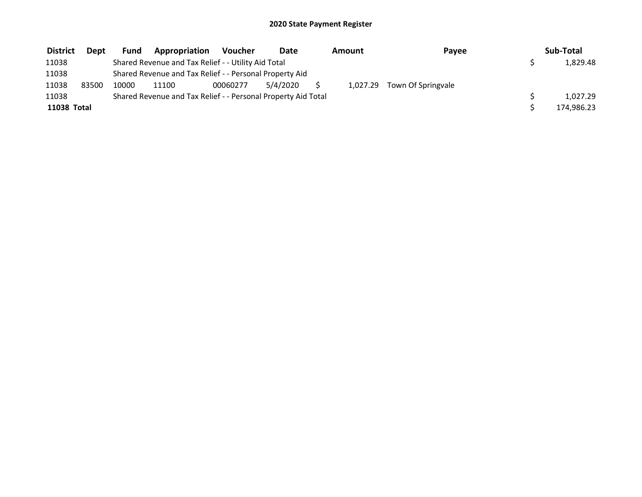| <b>District</b> | <b>Dept</b> | Fund  | Appropriation                                                 | <b>Voucher</b> | Date     | Amount | Payee                       | Sub-Total  |
|-----------------|-------------|-------|---------------------------------------------------------------|----------------|----------|--------|-----------------------------|------------|
| 11038           |             |       | Shared Revenue and Tax Relief - - Utility Aid Total           |                |          |        |                             | 1,829.48   |
| 11038           |             |       | Shared Revenue and Tax Relief - - Personal Property Aid       |                |          |        |                             |            |
| 11038           | 83500       | 10000 | 11100                                                         | 00060277       | 5/4/2020 |        | 1,027.29 Town Of Springvale |            |
| 11038           |             |       | Shared Revenue and Tax Relief - - Personal Property Aid Total |                |          |        |                             | 1.027.29   |
| 11038 Total     |             |       |                                                               |                |          |        |                             | 174,986.23 |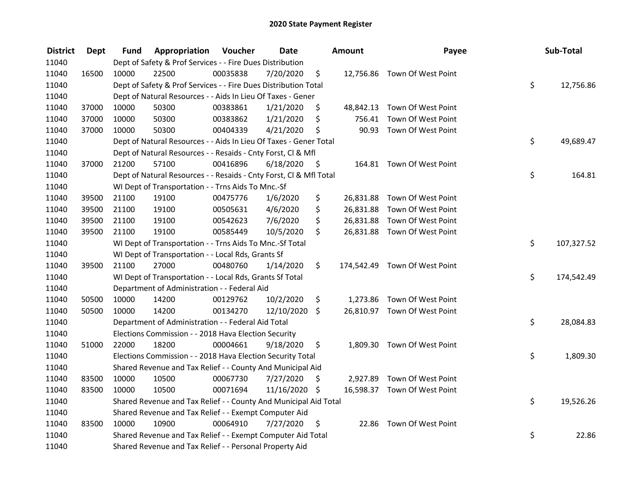| <b>District</b> | <b>Dept</b> | Fund  | Appropriation                                                      | Voucher  | <b>Date</b>   |      | <b>Amount</b> | Payee                         | Sub-Total        |
|-----------------|-------------|-------|--------------------------------------------------------------------|----------|---------------|------|---------------|-------------------------------|------------------|
| 11040           |             |       | Dept of Safety & Prof Services - - Fire Dues Distribution          |          |               |      |               |                               |                  |
| 11040           | 16500       | 10000 | 22500                                                              | 00035838 | 7/20/2020     | \$   |               | 12,756.86 Town Of West Point  |                  |
| 11040           |             |       | Dept of Safety & Prof Services - - Fire Dues Distribution Total    |          |               |      |               |                               | \$<br>12,756.86  |
| 11040           |             |       | Dept of Natural Resources - - Aids In Lieu Of Taxes - Gener        |          |               |      |               |                               |                  |
| 11040           | 37000       | 10000 | 50300                                                              | 00383861 | 1/21/2020     | \$   |               | 48,842.13 Town Of West Point  |                  |
| 11040           | 37000       | 10000 | 50300                                                              | 00383862 | 1/21/2020     | \$   | 756.41        | Town Of West Point            |                  |
| 11040           | 37000       | 10000 | 50300                                                              | 00404339 | 4/21/2020     | \$   |               | 90.93 Town Of West Point      |                  |
| 11040           |             |       | Dept of Natural Resources - - Aids In Lieu Of Taxes - Gener Total  |          |               |      |               |                               | \$<br>49,689.47  |
| 11040           |             |       | Dept of Natural Resources - - Resaids - Cnty Forst, Cl & Mfl       |          |               |      |               |                               |                  |
| 11040           | 37000       | 21200 | 57100                                                              | 00416896 | 6/18/2020     | - \$ |               | 164.81 Town Of West Point     |                  |
| 11040           |             |       | Dept of Natural Resources - - Resaids - Cnty Forst, Cl & Mfl Total |          |               |      |               |                               | \$<br>164.81     |
| 11040           |             |       | WI Dept of Transportation - - Trns Aids To Mnc.-Sf                 |          |               |      |               |                               |                  |
| 11040           | 39500       | 21100 | 19100                                                              | 00475776 | 1/6/2020      | \$   |               | 26,831.88 Town Of West Point  |                  |
| 11040           | 39500       | 21100 | 19100                                                              | 00505631 | 4/6/2020      | \$   |               | 26,831.88 Town Of West Point  |                  |
| 11040           | 39500       | 21100 | 19100                                                              | 00542623 | 7/6/2020      | \$   |               | 26,831.88 Town Of West Point  |                  |
| 11040           | 39500       | 21100 | 19100                                                              | 00585449 | 10/5/2020     | \$   |               | 26,831.88 Town Of West Point  |                  |
| 11040           |             |       | WI Dept of Transportation - - Trns Aids To Mnc.-Sf Total           |          |               |      |               |                               | \$<br>107,327.52 |
| 11040           |             |       | WI Dept of Transportation - - Local Rds, Grants Sf                 |          |               |      |               |                               |                  |
| 11040           | 39500       | 21100 | 27000                                                              | 00480760 | 1/14/2020     | \$   |               | 174,542.49 Town Of West Point |                  |
| 11040           |             |       | WI Dept of Transportation - - Local Rds, Grants Sf Total           |          |               |      |               |                               | \$<br>174,542.49 |
| 11040           |             |       | Department of Administration - - Federal Aid                       |          |               |      |               |                               |                  |
| 11040           | 50500       | 10000 | 14200                                                              | 00129762 | 10/2/2020     | \$   |               | 1,273.86 Town Of West Point   |                  |
| 11040           | 50500       | 10000 | 14200                                                              | 00134270 | 12/10/2020 \$ |      |               | 26,810.97 Town Of West Point  |                  |
| 11040           |             |       | Department of Administration - - Federal Aid Total                 |          |               |      |               |                               | \$<br>28,084.83  |
| 11040           |             |       | Elections Commission - - 2018 Hava Election Security               |          |               |      |               |                               |                  |
| 11040           | 51000       | 22000 | 18200                                                              | 00004661 | 9/18/2020     | \$   |               | 1,809.30 Town Of West Point   |                  |
| 11040           |             |       | Elections Commission - - 2018 Hava Election Security Total         |          |               |      |               |                               | \$<br>1,809.30   |
| 11040           |             |       | Shared Revenue and Tax Relief - - County And Municipal Aid         |          |               |      |               |                               |                  |
| 11040           | 83500       | 10000 | 10500                                                              | 00067730 | 7/27/2020     | \$   |               | 2,927.89 Town Of West Point   |                  |
| 11040           | 83500       | 10000 | 10500                                                              | 00071694 | 11/16/2020 \$ |      |               | 16,598.37 Town Of West Point  |                  |
| 11040           |             |       | Shared Revenue and Tax Relief - - County And Municipal Aid Total   |          |               |      |               |                               | \$<br>19,526.26  |
| 11040           |             |       | Shared Revenue and Tax Relief - - Exempt Computer Aid              |          |               |      |               |                               |                  |
| 11040           | 83500       | 10000 | 10900                                                              | 00064910 | 7/27/2020     | \$   | 22.86         | Town Of West Point            |                  |
| 11040           |             |       | Shared Revenue and Tax Relief - - Exempt Computer Aid Total        |          |               |      |               |                               | \$<br>22.86      |
| 11040           |             |       | Shared Revenue and Tax Relief - - Personal Property Aid            |          |               |      |               |                               |                  |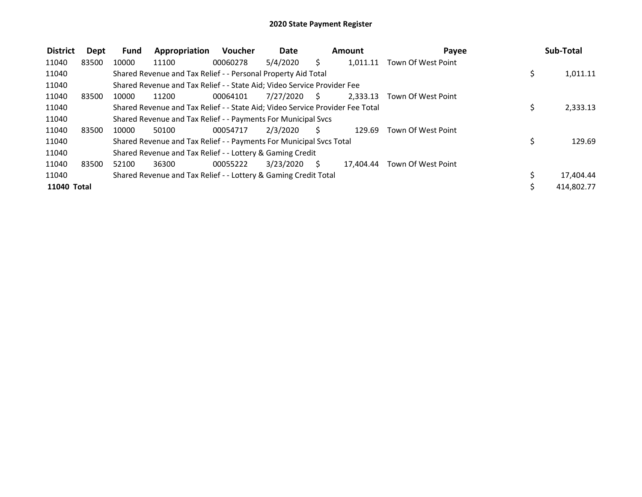| <b>District</b> | Dept  | <b>Fund</b> | Appropriation                                                                 | <b>Voucher</b> | <b>Date</b> |    | Amount    | Payee              |    | Sub-Total  |
|-----------------|-------|-------------|-------------------------------------------------------------------------------|----------------|-------------|----|-----------|--------------------|----|------------|
| 11040           | 83500 | 10000       | 11100                                                                         | 00060278       | 5/4/2020    | S. | 1.011.11  | Town Of West Point |    |            |
| 11040           |       |             | Shared Revenue and Tax Relief - - Personal Property Aid Total                 |                |             |    |           |                    | \$ | 1,011.11   |
| 11040           |       |             | Shared Revenue and Tax Relief - - State Aid; Video Service Provider Fee       |                |             |    |           |                    |    |            |
| 11040           | 83500 | 10000       | 11200                                                                         | 00064101       | 7/27/2020   | S. | 2.333.13  | Town Of West Point |    |            |
| 11040           |       |             | Shared Revenue and Tax Relief - - State Aid; Video Service Provider Fee Total |                |             |    |           |                    | Ś. | 2,333.13   |
| 11040           |       |             | Shared Revenue and Tax Relief - - Payments For Municipal Svcs                 |                |             |    |           |                    |    |            |
| 11040           | 83500 | 10000       | 50100                                                                         | 00054717       | 2/3/2020    | S  | 129.69    | Town Of West Point |    |            |
| 11040           |       |             | Shared Revenue and Tax Relief - - Payments For Municipal Svcs Total           |                |             |    |           |                    | \$ | 129.69     |
| 11040           |       |             | Shared Revenue and Tax Relief - - Lottery & Gaming Credit                     |                |             |    |           |                    |    |            |
| 11040           | 83500 | 52100       | 36300                                                                         | 00055222       | 3/23/2020   | S. | 17.404.44 | Town Of West Point |    |            |
| 11040           |       |             | Shared Revenue and Tax Relief - - Lottery & Gaming Credit Total               |                |             |    |           |                    |    | 17,404.44  |
| 11040 Total     |       |             |                                                                               |                |             |    |           |                    |    | 414,802.77 |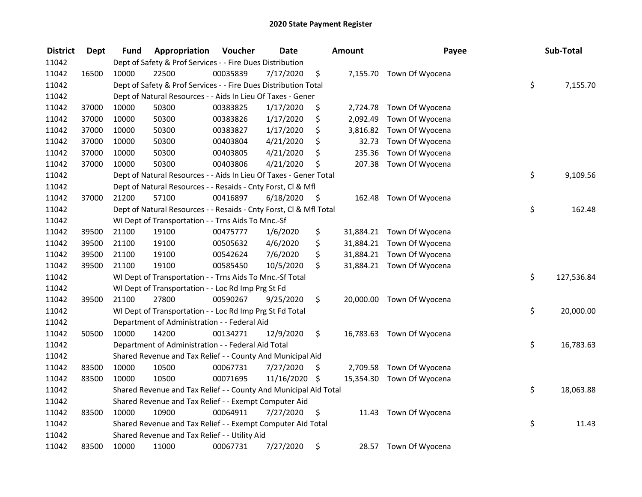| <b>District</b> | <b>Dept</b> | Fund  | Appropriation                                                      | Voucher  | <b>Date</b>   |      | <b>Amount</b> | Payee                     | Sub-Total        |
|-----------------|-------------|-------|--------------------------------------------------------------------|----------|---------------|------|---------------|---------------------------|------------------|
| 11042           |             |       | Dept of Safety & Prof Services - - Fire Dues Distribution          |          |               |      |               |                           |                  |
| 11042           | 16500       | 10000 | 22500                                                              | 00035839 | 7/17/2020     | \$   |               | 7,155.70 Town Of Wyocena  |                  |
| 11042           |             |       | Dept of Safety & Prof Services - - Fire Dues Distribution Total    |          |               |      |               |                           | \$<br>7,155.70   |
| 11042           |             |       | Dept of Natural Resources - - Aids In Lieu Of Taxes - Gener        |          |               |      |               |                           |                  |
| 11042           | 37000       | 10000 | 50300                                                              | 00383825 | 1/17/2020     | \$   | 2,724.78      | Town Of Wyocena           |                  |
| 11042           | 37000       | 10000 | 50300                                                              | 00383826 | 1/17/2020     | \$   | 2,092.49      | Town Of Wyocena           |                  |
| 11042           | 37000       | 10000 | 50300                                                              | 00383827 | 1/17/2020     | \$   | 3,816.82      | Town Of Wyocena           |                  |
| 11042           | 37000       | 10000 | 50300                                                              | 00403804 | 4/21/2020     | \$   | 32.73         | Town Of Wyocena           |                  |
| 11042           | 37000       | 10000 | 50300                                                              | 00403805 | 4/21/2020     | \$   | 235.36        | Town Of Wyocena           |                  |
| 11042           | 37000       | 10000 | 50300                                                              | 00403806 | 4/21/2020     | \$   | 207.38        | Town Of Wyocena           |                  |
| 11042           |             |       | Dept of Natural Resources - - Aids In Lieu Of Taxes - Gener Total  |          |               |      |               |                           | \$<br>9,109.56   |
| 11042           |             |       | Dept of Natural Resources - - Resaids - Cnty Forst, Cl & Mfl       |          |               |      |               |                           |                  |
| 11042           | 37000       | 21200 | 57100                                                              | 00416897 | 6/18/2020     | - \$ | 162.48        | Town Of Wyocena           |                  |
| 11042           |             |       | Dept of Natural Resources - - Resaids - Cnty Forst, Cl & Mfl Total |          |               |      |               |                           | \$<br>162.48     |
| 11042           |             |       | WI Dept of Transportation - - Trns Aids To Mnc.-Sf                 |          |               |      |               |                           |                  |
| 11042           | 39500       | 21100 | 19100                                                              | 00475777 | 1/6/2020      | \$   |               | 31,884.21 Town Of Wyocena |                  |
| 11042           | 39500       | 21100 | 19100                                                              | 00505632 | 4/6/2020      | \$   |               | 31,884.21 Town Of Wyocena |                  |
| 11042           | 39500       | 21100 | 19100                                                              | 00542624 | 7/6/2020      | \$   |               | 31,884.21 Town Of Wyocena |                  |
| 11042           | 39500       | 21100 | 19100                                                              | 00585450 | 10/5/2020     | \$   |               | 31,884.21 Town Of Wyocena |                  |
| 11042           |             |       | WI Dept of Transportation - - Trns Aids To Mnc.-Sf Total           |          |               |      |               |                           | \$<br>127,536.84 |
| 11042           |             |       | WI Dept of Transportation - - Loc Rd Imp Prg St Fd                 |          |               |      |               |                           |                  |
| 11042           | 39500       | 21100 | 27800                                                              | 00590267 | 9/25/2020     | \$.  |               | 20,000.00 Town Of Wyocena |                  |
| 11042           |             |       | WI Dept of Transportation - - Loc Rd Imp Prg St Fd Total           |          |               |      |               |                           | \$<br>20,000.00  |
| 11042           |             |       | Department of Administration - - Federal Aid                       |          |               |      |               |                           |                  |
| 11042           | 50500       | 10000 | 14200                                                              | 00134271 | 12/9/2020     | \$   |               | 16,783.63 Town Of Wyocena |                  |
| 11042           |             |       | Department of Administration - - Federal Aid Total                 |          |               |      |               |                           | \$<br>16,783.63  |
| 11042           |             |       | Shared Revenue and Tax Relief - - County And Municipal Aid         |          |               |      |               |                           |                  |
| 11042           | 83500       | 10000 | 10500                                                              | 00067731 | 7/27/2020     | \$   | 2,709.58      | Town Of Wyocena           |                  |
| 11042           | 83500       | 10000 | 10500                                                              | 00071695 | 11/16/2020 \$ |      |               | 15,354.30 Town Of Wyocena |                  |
| 11042           |             |       | Shared Revenue and Tax Relief - - County And Municipal Aid Total   |          |               |      |               |                           | \$<br>18,063.88  |
| 11042           |             |       | Shared Revenue and Tax Relief - - Exempt Computer Aid              |          |               |      |               |                           |                  |
| 11042           | 83500       | 10000 | 10900                                                              | 00064911 | 7/27/2020     | \$   | 11.43         | Town Of Wyocena           |                  |
| 11042           |             |       | Shared Revenue and Tax Relief - - Exempt Computer Aid Total        |          |               |      |               |                           | \$<br>11.43      |
| 11042           |             |       | Shared Revenue and Tax Relief - - Utility Aid                      |          |               |      |               |                           |                  |
| 11042           | 83500       | 10000 | 11000                                                              | 00067731 | 7/27/2020     | \$   | 28.57         | Town Of Wyocena           |                  |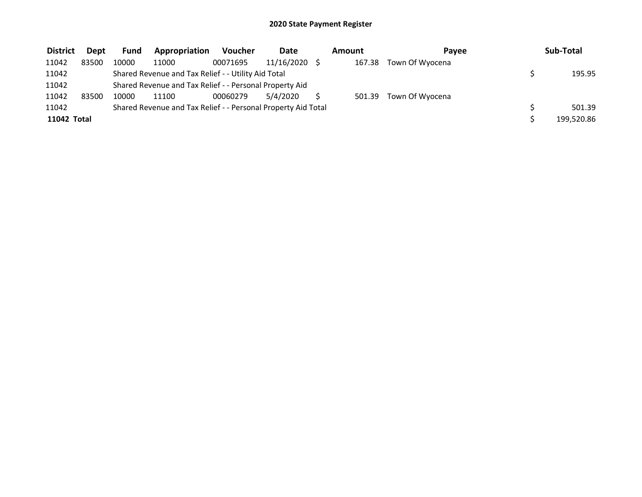| <b>District</b> | <b>Dept</b> | <b>Fund</b> | Appropriation                                                 | <b>Voucher</b> | <b>Date</b> | Amount | Pavee                  | Sub-Total  |
|-----------------|-------------|-------------|---------------------------------------------------------------|----------------|-------------|--------|------------------------|------------|
| 11042           | 83500       | 10000       | 11000                                                         | 00071695       | 11/16/2020  | 167.38 | Town Of Wyocena        |            |
| 11042           |             |             | Shared Revenue and Tax Relief - - Utility Aid Total           |                |             |        |                        | 195.95     |
| 11042           |             |             | Shared Revenue and Tax Relief - - Personal Property Aid       |                |             |        |                        |            |
| 11042           | 83500       | 10000       | 11100                                                         | 00060279       | 5/4/2020    |        | 501.39 Town Of Wyocena |            |
| 11042           |             |             | Shared Revenue and Tax Relief - - Personal Property Aid Total |                |             |        |                        | 501.39     |
| 11042 Total     |             |             |                                                               |                |             |        |                        | 199,520.86 |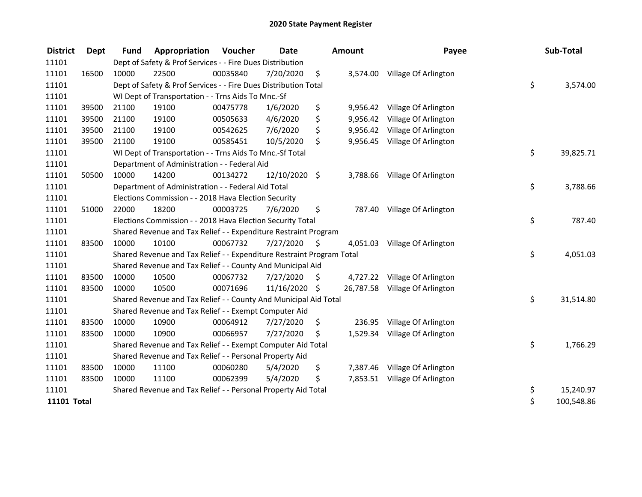| <b>District</b>    | <b>Dept</b> | <b>Fund</b> | Appropriation                                                         | <b>Voucher</b> | <b>Date</b>   | <b>Amount</b>  | Payee                          | Sub-Total        |
|--------------------|-------------|-------------|-----------------------------------------------------------------------|----------------|---------------|----------------|--------------------------------|------------------|
| 11101              |             |             | Dept of Safety & Prof Services - - Fire Dues Distribution             |                |               |                |                                |                  |
| 11101              | 16500       | 10000       | 22500                                                                 | 00035840       | 7/20/2020     | \$             | 3,574.00 Village Of Arlington  |                  |
| 11101              |             |             | Dept of Safety & Prof Services - - Fire Dues Distribution Total       |                |               |                |                                | \$<br>3,574.00   |
| 11101              |             |             | WI Dept of Transportation - - Trns Aids To Mnc.-Sf                    |                |               |                |                                |                  |
| 11101              | 39500       | 21100       | 19100                                                                 | 00475778       | 1/6/2020      | \$<br>9,956.42 | Village Of Arlington           |                  |
| 11101              | 39500       | 21100       | 19100                                                                 | 00505633       | 4/6/2020      | \$<br>9,956.42 | Village Of Arlington           |                  |
| 11101              | 39500       | 21100       | 19100                                                                 | 00542625       | 7/6/2020      | \$<br>9,956.42 | Village Of Arlington           |                  |
| 11101              | 39500       | 21100       | 19100                                                                 | 00585451       | 10/5/2020     | \$<br>9,956.45 | Village Of Arlington           |                  |
| 11101              |             |             | WI Dept of Transportation - - Trns Aids To Mnc.-Sf Total              |                |               |                |                                | \$<br>39,825.71  |
| 11101              |             |             | Department of Administration - - Federal Aid                          |                |               |                |                                |                  |
| 11101              | 50500       | 10000       | 14200                                                                 | 00134272       | 12/10/2020 \$ |                | 3,788.66 Village Of Arlington  |                  |
| 11101              |             |             | Department of Administration - - Federal Aid Total                    |                |               |                |                                | \$<br>3,788.66   |
| 11101              |             |             | Elections Commission - - 2018 Hava Election Security                  |                |               |                |                                |                  |
| 11101              | 51000       | 22000       | 18200                                                                 | 00003725       | 7/6/2020      | \$<br>787.40   | Village Of Arlington           |                  |
| 11101              |             |             | Elections Commission - - 2018 Hava Election Security Total            |                |               |                |                                | \$<br>787.40     |
| 11101              |             |             | Shared Revenue and Tax Relief - - Expenditure Restraint Program       |                |               |                |                                |                  |
| 11101              | 83500       | 10000       | 10100                                                                 | 00067732       | 7/27/2020     | \$<br>4,051.03 | Village Of Arlington           |                  |
| 11101              |             |             | Shared Revenue and Tax Relief - - Expenditure Restraint Program Total |                |               |                |                                | \$<br>4,051.03   |
| 11101              |             |             | Shared Revenue and Tax Relief - - County And Municipal Aid            |                |               |                |                                |                  |
| 11101              | 83500       | 10000       | 10500                                                                 | 00067732       | 7/27/2020     | \$             | 4,727.22 Village Of Arlington  |                  |
| 11101              | 83500       | 10000       | 10500                                                                 | 00071696       | 11/16/2020 \$ |                | 26,787.58 Village Of Arlington |                  |
| 11101              |             |             | Shared Revenue and Tax Relief - - County And Municipal Aid Total      |                |               |                |                                | \$<br>31,514.80  |
| 11101              |             |             | Shared Revenue and Tax Relief - - Exempt Computer Aid                 |                |               |                |                                |                  |
| 11101              | 83500       | 10000       | 10900                                                                 | 00064912       | 7/27/2020     | \$<br>236.95   | Village Of Arlington           |                  |
| 11101              | 83500       | 10000       | 10900                                                                 | 00066957       | 7/27/2020     | \$<br>1,529.34 | Village Of Arlington           |                  |
| 11101              |             |             | Shared Revenue and Tax Relief - - Exempt Computer Aid Total           |                |               |                |                                | \$<br>1,766.29   |
| 11101              |             |             | Shared Revenue and Tax Relief - - Personal Property Aid               |                |               |                |                                |                  |
| 11101              | 83500       | 10000       | 11100                                                                 | 00060280       | 5/4/2020      | \$             | 7,387.46 Village Of Arlington  |                  |
| 11101              | 83500       | 10000       | 11100                                                                 | 00062399       | 5/4/2020      | \$             | 7,853.51 Village Of Arlington  |                  |
| 11101              |             |             | Shared Revenue and Tax Relief - - Personal Property Aid Total         |                |               |                |                                | \$<br>15,240.97  |
| <b>11101 Total</b> |             |             |                                                                       |                |               |                |                                | \$<br>100,548.86 |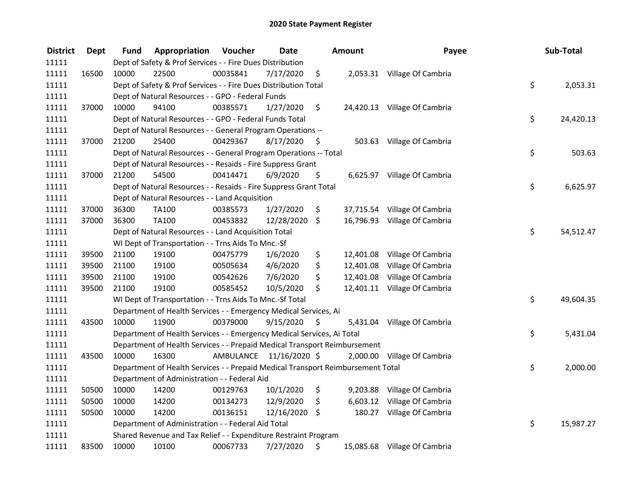| <b>District</b> | <b>Dept</b> | Fund  | Appropriation                                                                   | Voucher                 | <b>Date</b>   |    | <b>Amount</b> | Payee                        | Sub-Total       |
|-----------------|-------------|-------|---------------------------------------------------------------------------------|-------------------------|---------------|----|---------------|------------------------------|-----------------|
| 11111           |             |       | Dept of Safety & Prof Services - - Fire Dues Distribution                       |                         |               |    |               |                              |                 |
| 11111           | 16500       | 10000 | 22500                                                                           | 00035841                | 7/17/2020     | \$ |               | 2,053.31 Village Of Cambria  |                 |
| 11111           |             |       | Dept of Safety & Prof Services - - Fire Dues Distribution Total                 |                         |               |    |               |                              | \$<br>2,053.31  |
| 11111           |             |       | Dept of Natural Resources - - GPO - Federal Funds                               |                         |               |    |               |                              |                 |
| 11111           | 37000       | 10000 | 94100                                                                           | 00385571                | 1/27/2020     | \$ |               | 24,420.13 Village Of Cambria |                 |
| 11111           |             |       | Dept of Natural Resources - - GPO - Federal Funds Total                         |                         |               |    |               |                              | \$<br>24,420.13 |
| 11111           |             |       | Dept of Natural Resources - - General Program Operations --                     |                         |               |    |               |                              |                 |
| 11111           | 37000       | 21200 | 25400                                                                           | 00429367                | 8/17/2020     | S  |               | 503.63 Village Of Cambria    |                 |
| 11111           |             |       | Dept of Natural Resources - - General Program Operations -- Total               |                         |               |    |               |                              | \$<br>503.63    |
| 11111           |             |       | Dept of Natural Resources - - Resaids - Fire Suppress Grant                     |                         |               |    |               |                              |                 |
| 11111           | 37000       | 21200 | 54500                                                                           | 00414471                | 6/9/2020      | \$ |               | 6,625.97 Village Of Cambria  |                 |
| 11111           |             |       | Dept of Natural Resources - - Resaids - Fire Suppress Grant Total               |                         |               |    |               |                              | \$<br>6,625.97  |
| 11111           |             |       | Dept of Natural Resources - - Land Acquisition                                  |                         |               |    |               |                              |                 |
| 11111           | 37000       | 36300 | TA100                                                                           | 00385573                | 1/27/2020     | \$ |               | 37,715.54 Village Of Cambria |                 |
| 11111           | 37000       | 36300 | TA100                                                                           | 00453832                | 12/28/2020    | \$ |               | 16,796.93 Village Of Cambria |                 |
| 11111           |             |       | Dept of Natural Resources - - Land Acquisition Total                            |                         |               |    |               |                              | \$<br>54,512.47 |
| 11111           |             |       | WI Dept of Transportation - - Trns Aids To Mnc.-Sf                              |                         |               |    |               |                              |                 |
| 11111           | 39500       | 21100 | 19100                                                                           | 00475779                | 1/6/2020      | \$ |               | 12,401.08 Village Of Cambria |                 |
| 11111           | 39500       | 21100 | 19100                                                                           | 00505634                | 4/6/2020      | \$ |               | 12,401.08 Village Of Cambria |                 |
| 11111           | 39500       | 21100 | 19100                                                                           | 00542626                | 7/6/2020      | \$ | 12,401.08     | Village Of Cambria           |                 |
| 11111           | 39500       | 21100 | 19100                                                                           | 00585452                | 10/5/2020     | \$ |               | 12,401.11 Village Of Cambria |                 |
| 11111           |             |       | WI Dept of Transportation - - Trns Aids To Mnc.-Sf Total                        |                         |               |    |               |                              | \$<br>49,604.35 |
| 11111           |             |       | Department of Health Services - - Emergency Medical Services, Ai                |                         |               |    |               |                              |                 |
| 11111           | 43500       | 10000 | 11900                                                                           | 00379000                | 9/15/2020     | \$ |               | 5,431.04 Village Of Cambria  |                 |
| 11111           |             |       | Department of Health Services - - Emergency Medical Services, Ai Total          |                         |               |    |               |                              | \$<br>5,431.04  |
| 11111           |             |       | Department of Health Services - - Prepaid Medical Transport Reimbursement       |                         |               |    |               |                              |                 |
| 11111           | 43500       | 10000 | 16300                                                                           | AMBULANCE 11/16/2020 \$ |               |    |               | 2,000.00 Village Of Cambria  |                 |
| 11111           |             |       | Department of Health Services - - Prepaid Medical Transport Reimbursement Total |                         |               |    |               |                              | \$<br>2,000.00  |
| 11111           |             |       | Department of Administration - - Federal Aid                                    |                         |               |    |               |                              |                 |
| 11111           | 50500       | 10000 | 14200                                                                           | 00129763                | 10/1/2020     | \$ |               | 9,203.88 Village Of Cambria  |                 |
| 11111           | 50500       | 10000 | 14200                                                                           | 00134273                | 12/9/2020     | \$ |               | 6,603.12 Village Of Cambria  |                 |
| 11111           | 50500       | 10000 | 14200                                                                           | 00136151                | 12/16/2020 \$ |    |               | 180.27 Village Of Cambria    |                 |
| 11111           |             |       | Department of Administration - - Federal Aid Total                              |                         |               |    |               |                              | \$<br>15,987.27 |
| 11111           |             |       | Shared Revenue and Tax Relief - - Expenditure Restraint Program                 |                         |               |    |               |                              |                 |
| 11111           | 83500       | 10000 | 10100                                                                           | 00067733                | 7/27/2020     | \$ |               | 15,085.68 Village Of Cambria |                 |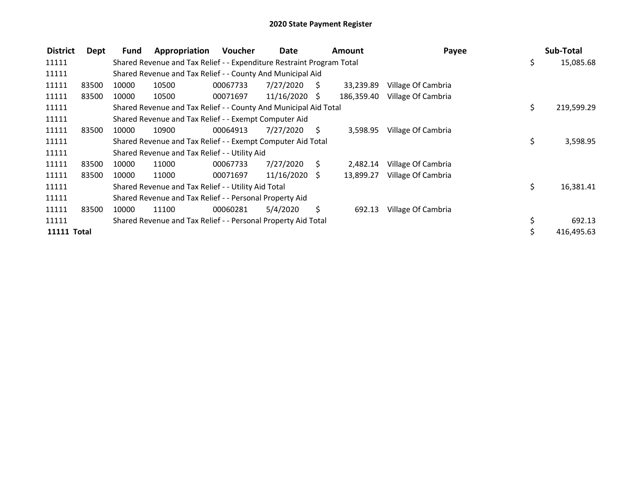| <b>District</b> | Dept  | <b>Fund</b> | Appropriation                                                         | <b>Voucher</b> | Date            |      | <b>Amount</b> | Payee              | Sub-Total        |
|-----------------|-------|-------------|-----------------------------------------------------------------------|----------------|-----------------|------|---------------|--------------------|------------------|
| 11111           |       |             | Shared Revenue and Tax Relief - - Expenditure Restraint Program Total |                |                 |      |               |                    | \$<br>15,085.68  |
| 11111           |       |             | Shared Revenue and Tax Relief - - County And Municipal Aid            |                |                 |      |               |                    |                  |
| 11111           | 83500 | 10000       | 10500                                                                 | 00067733       | 7/27/2020       | - \$ | 33,239.89     | Village Of Cambria |                  |
| 11111           | 83500 | 10000       | 10500                                                                 | 00071697       | $11/16/2020$ \$ |      | 186,359.40    | Village Of Cambria |                  |
| 11111           |       |             | Shared Revenue and Tax Relief - - County And Municipal Aid Total      |                |                 |      |               |                    | \$<br>219,599.29 |
| 11111           |       |             | Shared Revenue and Tax Relief - - Exempt Computer Aid                 |                |                 |      |               |                    |                  |
| 11111           | 83500 | 10000       | 10900                                                                 | 00064913       | 7/27/2020       | S.   | 3,598.95      | Village Of Cambria |                  |
| 11111           |       |             | Shared Revenue and Tax Relief - - Exempt Computer Aid Total           |                |                 |      |               |                    | \$<br>3,598.95   |
| 11111           |       |             | Shared Revenue and Tax Relief - - Utility Aid                         |                |                 |      |               |                    |                  |
| 11111           | 83500 | 10000       | 11000                                                                 | 00067733       | 7/27/2020       | S.   | 2,482.14      | Village Of Cambria |                  |
| 11111           | 83500 | 10000       | 11000                                                                 | 00071697       | 11/16/2020 \$   |      | 13,899.27     | Village Of Cambria |                  |
| 11111           |       |             | Shared Revenue and Tax Relief - - Utility Aid Total                   |                |                 |      |               |                    | \$<br>16,381.41  |
| 11111           |       |             | Shared Revenue and Tax Relief - - Personal Property Aid               |                |                 |      |               |                    |                  |
| 11111           | 83500 | 10000       | 11100                                                                 | 00060281       | 5/4/2020        | S.   | 692.13        | Village Of Cambria |                  |
| 11111           |       |             | Shared Revenue and Tax Relief - - Personal Property Aid Total         |                |                 |      |               |                    | \$<br>692.13     |
| 11111 Total     |       |             |                                                                       |                |                 |      |               |                    | 416,495.63       |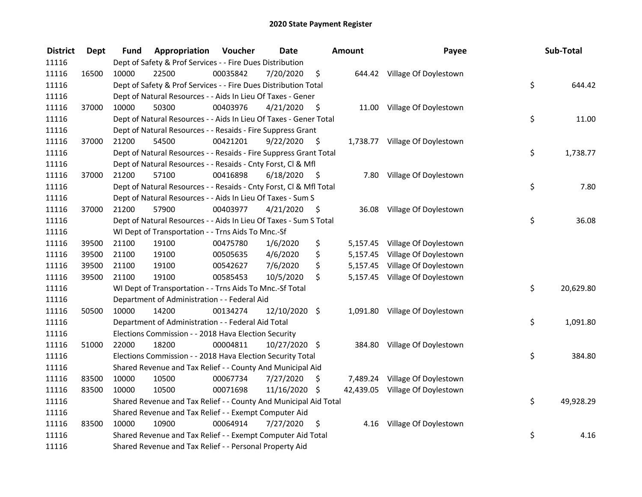| <b>District</b> | <b>Dept</b> | Fund  | Appropriation                                                      | Voucher  | <b>Date</b>     |      | <b>Amount</b> | Payee                           | Sub-Total       |
|-----------------|-------------|-------|--------------------------------------------------------------------|----------|-----------------|------|---------------|---------------------------------|-----------------|
| 11116           |             |       | Dept of Safety & Prof Services - - Fire Dues Distribution          |          |                 |      |               |                                 |                 |
| 11116           | 16500       | 10000 | 22500                                                              | 00035842 | 7/20/2020       | \$   |               | 644.42 Village Of Doylestown    |                 |
| 11116           |             |       | Dept of Safety & Prof Services - - Fire Dues Distribution Total    |          |                 |      |               |                                 | \$<br>644.42    |
| 11116           |             |       | Dept of Natural Resources - - Aids In Lieu Of Taxes - Gener        |          |                 |      |               |                                 |                 |
| 11116           | 37000       | 10000 | 50300                                                              | 00403976 | 4/21/2020       | - \$ |               | 11.00 Village Of Doylestown     |                 |
| 11116           |             |       | Dept of Natural Resources - - Aids In Lieu Of Taxes - Gener Total  |          |                 |      |               |                                 | \$<br>11.00     |
| 11116           |             |       | Dept of Natural Resources - - Resaids - Fire Suppress Grant        |          |                 |      |               |                                 |                 |
| 11116           | 37000       | 21200 | 54500                                                              | 00421201 | 9/22/2020       | - \$ |               | 1,738.77 Village Of Doylestown  |                 |
| 11116           |             |       | Dept of Natural Resources - - Resaids - Fire Suppress Grant Total  |          |                 |      |               |                                 | \$<br>1,738.77  |
| 11116           |             |       | Dept of Natural Resources - - Resaids - Cnty Forst, Cl & Mfl       |          |                 |      |               |                                 |                 |
| 11116           | 37000       | 21200 | 57100                                                              | 00416898 | 6/18/2020       | - \$ |               | 7.80 Village Of Doylestown      |                 |
| 11116           |             |       | Dept of Natural Resources - - Resaids - Cnty Forst, Cl & Mfl Total |          |                 |      |               |                                 | \$<br>7.80      |
| 11116           |             |       | Dept of Natural Resources - - Aids In Lieu Of Taxes - Sum S        |          |                 |      |               |                                 |                 |
| 11116           | 37000       | 21200 | 57900                                                              | 00403977 | 4/21/2020       | \$.  |               | 36.08 Village Of Doylestown     |                 |
| 11116           |             |       | Dept of Natural Resources - - Aids In Lieu Of Taxes - Sum S Total  |          |                 |      |               |                                 | \$<br>36.08     |
| 11116           |             |       | WI Dept of Transportation - - Trns Aids To Mnc.-Sf                 |          |                 |      |               |                                 |                 |
| 11116           | 39500       | 21100 | 19100                                                              | 00475780 | 1/6/2020        | \$   | 5,157.45      | Village Of Doylestown           |                 |
| 11116           | 39500       | 21100 | 19100                                                              | 00505635 | 4/6/2020        | \$   |               | 5,157.45 Village Of Doylestown  |                 |
| 11116           | 39500       | 21100 | 19100                                                              | 00542627 | 7/6/2020        | \$   |               | 5,157.45 Village Of Doylestown  |                 |
| 11116           | 39500       | 21100 | 19100                                                              | 00585453 | 10/5/2020       | \$   |               | 5,157.45 Village Of Doylestown  |                 |
| 11116           |             |       | WI Dept of Transportation - - Trns Aids To Mnc.-Sf Total           |          |                 |      |               |                                 | \$<br>20,629.80 |
| 11116           |             |       | Department of Administration - - Federal Aid                       |          |                 |      |               |                                 |                 |
| 11116           | 50500       | 10000 | 14200                                                              | 00134274 | $12/10/2020$ \$ |      |               | 1,091.80 Village Of Doylestown  |                 |
| 11116           |             |       | Department of Administration - - Federal Aid Total                 |          |                 |      |               |                                 | \$<br>1,091.80  |
| 11116           |             |       | Elections Commission - - 2018 Hava Election Security               |          |                 |      |               |                                 |                 |
| 11116           | 51000       | 22000 | 18200                                                              | 00004811 | 10/27/2020 \$   |      |               | 384.80 Village Of Doylestown    |                 |
| 11116           |             |       | Elections Commission - - 2018 Hava Election Security Total         |          |                 |      |               |                                 | \$<br>384.80    |
| 11116           |             |       | Shared Revenue and Tax Relief - - County And Municipal Aid         |          |                 |      |               |                                 |                 |
| 11116           | 83500       | 10000 | 10500                                                              | 00067734 | 7/27/2020       | \$   |               | 7,489.24 Village Of Doylestown  |                 |
| 11116           | 83500       | 10000 | 10500                                                              | 00071698 | 11/16/2020 \$   |      |               | 42,439.05 Village Of Doylestown |                 |
| 11116           |             |       | Shared Revenue and Tax Relief - - County And Municipal Aid Total   |          |                 |      |               |                                 | \$<br>49,928.29 |
| 11116           |             |       | Shared Revenue and Tax Relief - - Exempt Computer Aid              |          |                 |      |               |                                 |                 |
| 11116           | 83500       | 10000 | 10900                                                              | 00064914 | 7/27/2020       | \$   |               | 4.16 Village Of Doylestown      |                 |
| 11116           |             |       | Shared Revenue and Tax Relief - - Exempt Computer Aid Total        |          |                 |      |               |                                 | \$<br>4.16      |
| 11116           |             |       | Shared Revenue and Tax Relief - - Personal Property Aid            |          |                 |      |               |                                 |                 |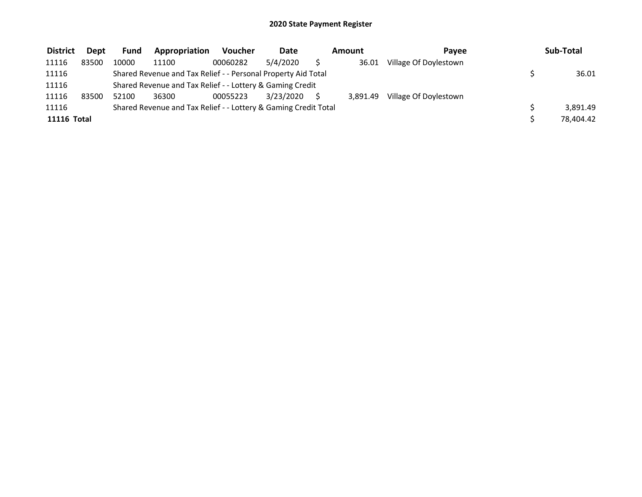| <b>District</b> | <b>Dept</b> | <b>Fund</b> | Appropriation                                                   | Voucher  | <b>Date</b> | Amount   | Pavee                 | Sub-Total |
|-----------------|-------------|-------------|-----------------------------------------------------------------|----------|-------------|----------|-----------------------|-----------|
| 11116           | 83500       | 10000       | 11100                                                           | 00060282 | 5/4/2020    | 36.01    | Village Of Doylestown |           |
| 11116           |             |             | Shared Revenue and Tax Relief - - Personal Property Aid Total   |          |             |          |                       | 36.01     |
| 11116           |             |             | Shared Revenue and Tax Relief - - Lottery & Gaming Credit       |          |             |          |                       |           |
| 11116           | 83500       | 52100       | 36300                                                           | 00055223 | 3/23/2020   | 3.891.49 | Village Of Doylestown |           |
| 11116           |             |             | Shared Revenue and Tax Relief - - Lottery & Gaming Credit Total |          |             |          |                       | 3.891.49  |
| 11116 Total     |             |             |                                                                 |          |             |          |                       | 78.404.42 |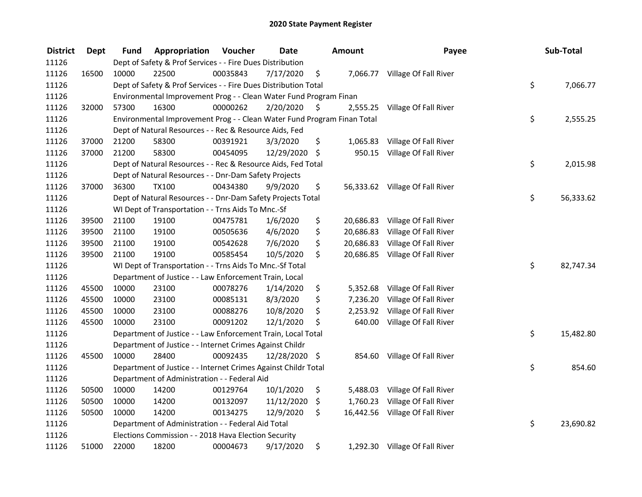| <b>District</b> | Dept  | Fund  | Appropriation                                                           | Voucher  | <b>Date</b>   | <b>Amount</b>   | Payee                           | Sub-Total       |
|-----------------|-------|-------|-------------------------------------------------------------------------|----------|---------------|-----------------|---------------------------------|-----------------|
| 11126           |       |       | Dept of Safety & Prof Services - - Fire Dues Distribution               |          |               |                 |                                 |                 |
| 11126           | 16500 | 10000 | 22500                                                                   | 00035843 | 7/17/2020     | \$              | 7,066.77 Village Of Fall River  |                 |
| 11126           |       |       | Dept of Safety & Prof Services - - Fire Dues Distribution Total         |          |               |                 |                                 | \$<br>7,066.77  |
| 11126           |       |       | Environmental Improvement Prog - - Clean Water Fund Program Finan       |          |               |                 |                                 |                 |
| 11126           | 32000 | 57300 | 16300                                                                   | 00000262 | 2/20/2020     | \$              | 2,555.25 Village Of Fall River  |                 |
| 11126           |       |       | Environmental Improvement Prog - - Clean Water Fund Program Finan Total |          |               |                 |                                 | \$<br>2,555.25  |
| 11126           |       |       | Dept of Natural Resources - - Rec & Resource Aids, Fed                  |          |               |                 |                                 |                 |
| 11126           | 37000 | 21200 | 58300                                                                   | 00391921 | 3/3/2020      | \$              | 1,065.83 Village Of Fall River  |                 |
| 11126           | 37000 | 21200 | 58300                                                                   | 00454095 | 12/29/2020 \$ |                 | 950.15 Village Of Fall River    |                 |
| 11126           |       |       | Dept of Natural Resources - - Rec & Resource Aids, Fed Total            |          |               |                 |                                 | \$<br>2,015.98  |
| 11126           |       |       | Dept of Natural Resources - - Dnr-Dam Safety Projects                   |          |               |                 |                                 |                 |
| 11126           | 37000 | 36300 | TX100                                                                   | 00434380 | 9/9/2020      | \$              | 56,333.62 Village Of Fall River |                 |
| 11126           |       |       | Dept of Natural Resources - - Dnr-Dam Safety Projects Total             |          |               |                 |                                 | \$<br>56,333.62 |
| 11126           |       |       | WI Dept of Transportation - - Trns Aids To Mnc.-Sf                      |          |               |                 |                                 |                 |
| 11126           | 39500 | 21100 | 19100                                                                   | 00475781 | 1/6/2020      | \$<br>20,686.83 | Village Of Fall River           |                 |
| 11126           | 39500 | 21100 | 19100                                                                   | 00505636 | 4/6/2020      | \$<br>20,686.83 | Village Of Fall River           |                 |
| 11126           | 39500 | 21100 | 19100                                                                   | 00542628 | 7/6/2020      | \$<br>20,686.83 | Village Of Fall River           |                 |
| 11126           | 39500 | 21100 | 19100                                                                   | 00585454 | 10/5/2020     | \$              | 20,686.85 Village Of Fall River |                 |
| 11126           |       |       | WI Dept of Transportation - - Trns Aids To Mnc.-Sf Total                |          |               |                 |                                 | \$<br>82,747.34 |
| 11126           |       |       | Department of Justice - - Law Enforcement Train, Local                  |          |               |                 |                                 |                 |
| 11126           | 45500 | 10000 | 23100                                                                   | 00078276 | 1/14/2020     | \$<br>5,352.68  | Village Of Fall River           |                 |
| 11126           | 45500 | 10000 | 23100                                                                   | 00085131 | 8/3/2020      | \$<br>7,236.20  | Village Of Fall River           |                 |
| 11126           | 45500 | 10000 | 23100                                                                   | 00088276 | 10/8/2020     | \$<br>2,253.92  | Village Of Fall River           |                 |
| 11126           | 45500 | 10000 | 23100                                                                   | 00091202 | 12/1/2020     | \$<br>640.00    | Village Of Fall River           |                 |
| 11126           |       |       | Department of Justice - - Law Enforcement Train, Local Total            |          |               |                 |                                 | \$<br>15,482.80 |
| 11126           |       |       | Department of Justice - - Internet Crimes Against Childr                |          |               |                 |                                 |                 |
| 11126           | 45500 | 10000 | 28400                                                                   | 00092435 | 12/28/2020 \$ |                 | 854.60 Village Of Fall River    |                 |
| 11126           |       |       | Department of Justice - - Internet Crimes Against Childr Total          |          |               |                 |                                 | \$<br>854.60    |
| 11126           |       |       | Department of Administration - - Federal Aid                            |          |               |                 |                                 |                 |
| 11126           | 50500 | 10000 | 14200                                                                   | 00129764 | 10/1/2020     | \$<br>5,488.03  | Village Of Fall River           |                 |
| 11126           | 50500 | 10000 | 14200                                                                   | 00132097 | 11/12/2020    | \$<br>1,760.23  | Village Of Fall River           |                 |
| 11126           | 50500 | 10000 | 14200                                                                   | 00134275 | 12/9/2020     | \$              | 16,442.56 Village Of Fall River |                 |
| 11126           |       |       | Department of Administration - - Federal Aid Total                      |          |               |                 |                                 | \$<br>23,690.82 |
| 11126           |       |       | Elections Commission - - 2018 Hava Election Security                    |          |               |                 |                                 |                 |
| 11126           | 51000 | 22000 | 18200                                                                   | 00004673 | 9/17/2020     | \$              | 1,292.30 Village Of Fall River  |                 |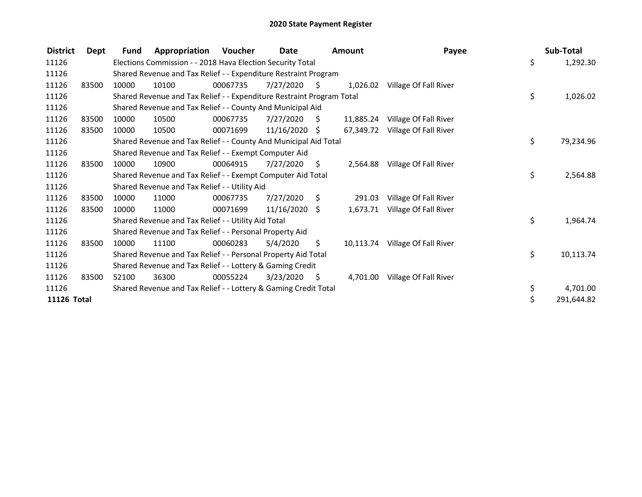| <b>District</b> | Dept  | Fund  | Appropriation                                                         | <b>Voucher</b> | Date            |                | Amount    | Payee                           | Sub-Total        |
|-----------------|-------|-------|-----------------------------------------------------------------------|----------------|-----------------|----------------|-----------|---------------------------------|------------------|
| 11126           |       |       | Elections Commission - - 2018 Hava Election Security Total            |                |                 |                |           |                                 | \$<br>1,292.30   |
| 11126           |       |       | Shared Revenue and Tax Relief - - Expenditure Restraint Program       |                |                 |                |           |                                 |                  |
| 11126           | 83500 | 10000 | 10100                                                                 | 00067735       | 7/27/2020       | S.             | 1,026.02  | Village Of Fall River           |                  |
| 11126           |       |       | Shared Revenue and Tax Relief - - Expenditure Restraint Program Total |                |                 |                |           |                                 | \$<br>1,026.02   |
| 11126           |       |       | Shared Revenue and Tax Relief - - County And Municipal Aid            |                |                 |                |           |                                 |                  |
| 11126           | 83500 | 10000 | 10500                                                                 | 00067735       | 7/27/2020       | - \$           | 11,885.24 | Village Of Fall River           |                  |
| 11126           | 83500 | 10000 | 10500                                                                 | 00071699       | $11/16/2020$ \$ |                |           | 67,349.72 Village Of Fall River |                  |
| 11126           |       |       | Shared Revenue and Tax Relief - - County And Municipal Aid Total      |                |                 |                |           |                                 | \$<br>79,234.96  |
| 11126           |       |       | Shared Revenue and Tax Relief - - Exempt Computer Aid                 |                |                 |                |           |                                 |                  |
| 11126           | 83500 | 10000 | 10900                                                                 | 00064915       | 7/27/2020       | \$             | 2,564.88  | Village Of Fall River           |                  |
| 11126           |       |       | Shared Revenue and Tax Relief - - Exempt Computer Aid Total           |                |                 |                |           |                                 | \$<br>2,564.88   |
| 11126           |       |       | Shared Revenue and Tax Relief - - Utility Aid                         |                |                 |                |           |                                 |                  |
| 11126           | 83500 | 10000 | 11000                                                                 | 00067735       | 7/27/2020       | $\ddot{\zeta}$ | 291.03    | Village Of Fall River           |                  |
| 11126           | 83500 | 10000 | 11000                                                                 | 00071699       | $11/16/2020$ \$ |                | 1,673.71  | Village Of Fall River           |                  |
| 11126           |       |       | Shared Revenue and Tax Relief - - Utility Aid Total                   |                |                 |                |           |                                 | \$<br>1,964.74   |
| 11126           |       |       | Shared Revenue and Tax Relief - - Personal Property Aid               |                |                 |                |           |                                 |                  |
| 11126           | 83500 | 10000 | 11100                                                                 | 00060283       | 5/4/2020        | \$.            | 10,113.74 | Village Of Fall River           |                  |
| 11126           |       |       | Shared Revenue and Tax Relief - - Personal Property Aid Total         |                |                 |                |           |                                 | \$<br>10,113.74  |
| 11126           |       |       | Shared Revenue and Tax Relief - - Lottery & Gaming Credit             |                |                 |                |           |                                 |                  |
| 11126           | 83500 | 52100 | 36300                                                                 | 00055224       | 3/23/2020       | - \$           | 4,701.00  | Village Of Fall River           |                  |
| 11126           |       |       | Shared Revenue and Tax Relief - - Lottery & Gaming Credit Total       |                |                 |                |           |                                 | \$<br>4,701.00   |
| 11126 Total     |       |       |                                                                       |                |                 |                |           |                                 | \$<br>291,644.82 |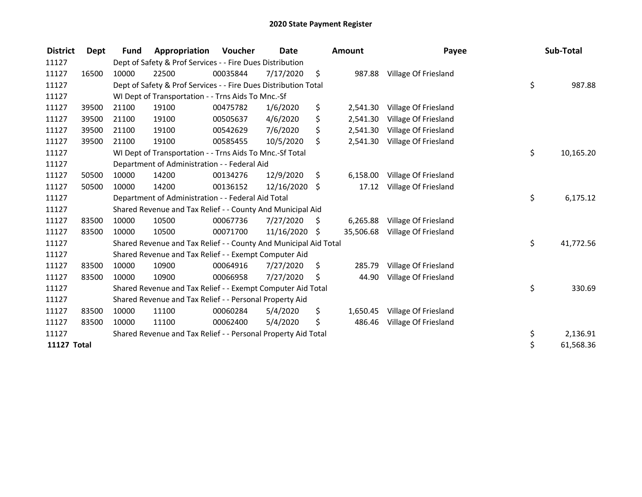| <b>District</b>    | <b>Dept</b> | <b>Fund</b> | Appropriation                                                    | Voucher  | <b>Date</b>   | <b>Amount</b>  | Payee                | Sub-Total       |
|--------------------|-------------|-------------|------------------------------------------------------------------|----------|---------------|----------------|----------------------|-----------------|
| 11127              |             |             | Dept of Safety & Prof Services - - Fire Dues Distribution        |          |               |                |                      |                 |
| 11127              | 16500       | 10000       | 22500                                                            | 00035844 | 7/17/2020     | \$<br>987.88   | Village Of Friesland |                 |
| 11127              |             |             | Dept of Safety & Prof Services - - Fire Dues Distribution Total  |          |               |                |                      | \$<br>987.88    |
| 11127              |             |             | WI Dept of Transportation - - Trns Aids To Mnc.-Sf               |          |               |                |                      |                 |
| 11127              | 39500       | 21100       | 19100                                                            | 00475782 | 1/6/2020      | \$<br>2,541.30 | Village Of Friesland |                 |
| 11127              | 39500       | 21100       | 19100                                                            | 00505637 | 4/6/2020      | \$<br>2,541.30 | Village Of Friesland |                 |
| 11127              | 39500       | 21100       | 19100                                                            | 00542629 | 7/6/2020      | \$<br>2,541.30 | Village Of Friesland |                 |
| 11127              | 39500       | 21100       | 19100                                                            | 00585455 | 10/5/2020     | \$<br>2,541.30 | Village Of Friesland |                 |
| 11127              |             |             | WI Dept of Transportation - - Trns Aids To Mnc.-Sf Total         |          |               |                |                      | \$<br>10,165.20 |
| 11127              |             |             | Department of Administration - - Federal Aid                     |          |               |                |                      |                 |
| 11127              | 50500       | 10000       | 14200                                                            | 00134276 | 12/9/2020     | \$<br>6,158.00 | Village Of Friesland |                 |
| 11127              | 50500       | 10000       | 14200                                                            | 00136152 | 12/16/2020 \$ | 17.12          | Village Of Friesland |                 |
| 11127              |             |             | Department of Administration - - Federal Aid Total               |          |               |                |                      | \$<br>6,175.12  |
| 11127              |             |             | Shared Revenue and Tax Relief - - County And Municipal Aid       |          |               |                |                      |                 |
| 11127              | 83500       | 10000       | 10500                                                            | 00067736 | 7/27/2020     | \$<br>6,265.88 | Village Of Friesland |                 |
| 11127              | 83500       | 10000       | 10500                                                            | 00071700 | 11/16/2020 \$ | 35,506.68      | Village Of Friesland |                 |
| 11127              |             |             | Shared Revenue and Tax Relief - - County And Municipal Aid Total |          |               |                |                      | \$<br>41,772.56 |
| 11127              |             |             | Shared Revenue and Tax Relief - - Exempt Computer Aid            |          |               |                |                      |                 |
| 11127              | 83500       | 10000       | 10900                                                            | 00064916 | 7/27/2020     | \$<br>285.79   | Village Of Friesland |                 |
| 11127              | 83500       | 10000       | 10900                                                            | 00066958 | 7/27/2020     | \$<br>44.90    | Village Of Friesland |                 |
| 11127              |             |             | Shared Revenue and Tax Relief - - Exempt Computer Aid Total      |          |               |                |                      | \$<br>330.69    |
| 11127              |             |             | Shared Revenue and Tax Relief - - Personal Property Aid          |          |               |                |                      |                 |
| 11127              | 83500       | 10000       | 11100                                                            | 00060284 | 5/4/2020      | \$<br>1,650.45 | Village Of Friesland |                 |
| 11127              | 83500       | 10000       | 11100                                                            | 00062400 | 5/4/2020      | \$<br>486.46   | Village Of Friesland |                 |
| 11127              |             |             | Shared Revenue and Tax Relief - - Personal Property Aid Total    |          |               |                |                      | \$<br>2,136.91  |
| <b>11127 Total</b> |             |             |                                                                  |          |               |                |                      | \$<br>61,568.36 |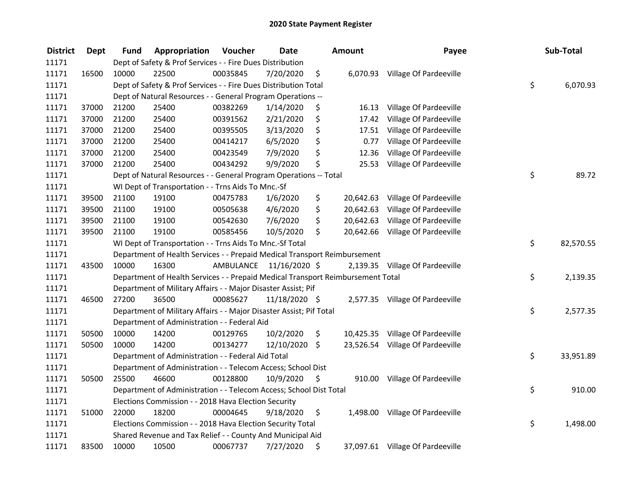| <b>District</b> | <b>Dept</b> | Fund  | Appropriation                                                                   | Voucher  | <b>Date</b>             | <b>Amount</b>   | Payee                            | Sub-Total       |
|-----------------|-------------|-------|---------------------------------------------------------------------------------|----------|-------------------------|-----------------|----------------------------------|-----------------|
| 11171           |             |       | Dept of Safety & Prof Services - - Fire Dues Distribution                       |          |                         |                 |                                  |                 |
| 11171           | 16500       | 10000 | 22500                                                                           | 00035845 | 7/20/2020               | \$              | 6,070.93 Village Of Pardeeville  |                 |
| 11171           |             |       | Dept of Safety & Prof Services - - Fire Dues Distribution Total                 |          |                         |                 |                                  | \$<br>6,070.93  |
| 11171           |             |       | Dept of Natural Resources - - General Program Operations --                     |          |                         |                 |                                  |                 |
| 11171           | 37000       | 21200 | 25400                                                                           | 00382269 | 1/14/2020               | \$<br>16.13     | Village Of Pardeeville           |                 |
| 11171           | 37000       | 21200 | 25400                                                                           | 00391562 | 2/21/2020               | \$<br>17.42     | Village Of Pardeeville           |                 |
| 11171           | 37000       | 21200 | 25400                                                                           | 00395505 | 3/13/2020               | \$<br>17.51     | Village Of Pardeeville           |                 |
| 11171           | 37000       | 21200 | 25400                                                                           | 00414217 | 6/5/2020                | \$<br>0.77      | Village Of Pardeeville           |                 |
| 11171           | 37000       | 21200 | 25400                                                                           | 00423549 | 7/9/2020                | \$<br>12.36     | Village Of Pardeeville           |                 |
| 11171           | 37000       | 21200 | 25400                                                                           | 00434292 | 9/9/2020                | \$<br>25.53     | Village Of Pardeeville           |                 |
| 11171           |             |       | Dept of Natural Resources - - General Program Operations -- Total               |          |                         |                 |                                  | \$<br>89.72     |
| 11171           |             |       | WI Dept of Transportation - - Trns Aids To Mnc.-Sf                              |          |                         |                 |                                  |                 |
| 11171           | 39500       | 21100 | 19100                                                                           | 00475783 | 1/6/2020                | \$<br>20,642.63 | Village Of Pardeeville           |                 |
| 11171           | 39500       | 21100 | 19100                                                                           | 00505638 | 4/6/2020                | \$<br>20,642.63 | Village Of Pardeeville           |                 |
| 11171           | 39500       | 21100 | 19100                                                                           | 00542630 | 7/6/2020                | \$<br>20,642.63 | Village Of Pardeeville           |                 |
| 11171           | 39500       | 21100 | 19100                                                                           | 00585456 | 10/5/2020               | \$              | 20,642.66 Village Of Pardeeville |                 |
| 11171           |             |       | WI Dept of Transportation - - Trns Aids To Mnc.-Sf Total                        |          |                         |                 |                                  | \$<br>82,570.55 |
| 11171           |             |       | Department of Health Services - - Prepaid Medical Transport Reimbursement       |          |                         |                 |                                  |                 |
| 11171           | 43500       | 10000 | 16300                                                                           |          | AMBULANCE 11/16/2020 \$ |                 | 2,139.35 Village Of Pardeeville  |                 |
| 11171           |             |       | Department of Health Services - - Prepaid Medical Transport Reimbursement Total |          |                         |                 |                                  | \$<br>2,139.35  |
| 11171           |             |       | Department of Military Affairs - - Major Disaster Assist; Pif                   |          |                         |                 |                                  |                 |
| 11171           | 46500       | 27200 | 36500                                                                           | 00085627 | 11/18/2020 \$           |                 | 2,577.35 Village Of Pardeeville  |                 |
| 11171           |             |       | Department of Military Affairs - - Major Disaster Assist; Pif Total             |          |                         |                 |                                  | \$<br>2,577.35  |
| 11171           |             |       | Department of Administration - - Federal Aid                                    |          |                         |                 |                                  |                 |
| 11171           | 50500       | 10000 | 14200                                                                           | 00129765 | 10/2/2020               | \$              | 10,425.35 Village Of Pardeeville |                 |
| 11171           | 50500       | 10000 | 14200                                                                           | 00134277 | 12/10/2020              | \$              | 23,526.54 Village Of Pardeeville |                 |
| 11171           |             |       | Department of Administration - - Federal Aid Total                              |          |                         |                 |                                  | \$<br>33,951.89 |
| 11171           |             |       | Department of Administration - - Telecom Access; School Dist                    |          |                         |                 |                                  |                 |
| 11171           | 50500       | 25500 | 46600                                                                           | 00128800 | 10/9/2020               | \$              | 910.00 Village Of Pardeeville    |                 |
| 11171           |             |       | Department of Administration - - Telecom Access; School Dist Total              |          |                         |                 |                                  | \$<br>910.00    |
| 11171           |             |       | Elections Commission - - 2018 Hava Election Security                            |          |                         |                 |                                  |                 |
| 11171           | 51000       | 22000 | 18200                                                                           | 00004645 | 9/18/2020               | \$              | 1,498.00 Village Of Pardeeville  |                 |
| 11171           |             |       | Elections Commission - - 2018 Hava Election Security Total                      |          |                         |                 |                                  | \$<br>1,498.00  |
| 11171           |             |       | Shared Revenue and Tax Relief - - County And Municipal Aid                      |          |                         |                 |                                  |                 |
| 11171           | 83500       | 10000 | 10500                                                                           | 00067737 | 7/27/2020               | \$              | 37,097.61 Village Of Pardeeville |                 |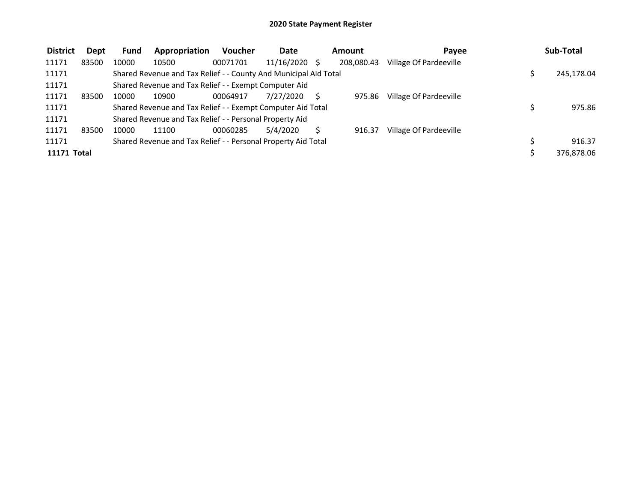| <b>District</b>    | Dept  | <b>Fund</b> | Appropriation                                                    | <b>Voucher</b> | <b>Date</b>     | Amount     | Payee                  | Sub-Total  |
|--------------------|-------|-------------|------------------------------------------------------------------|----------------|-----------------|------------|------------------------|------------|
| 11171              | 83500 | 10000       | 10500                                                            | 00071701       | $11/16/2020$ \$ | 208.080.43 | Village Of Pardeeville |            |
| 11171              |       |             | Shared Revenue and Tax Relief - - County And Municipal Aid Total |                |                 |            |                        | 245,178.04 |
| 11171              |       |             | Shared Revenue and Tax Relief - - Exempt Computer Aid            |                |                 |            |                        |            |
| 11171              | 83500 | 10000       | 10900                                                            | 00064917       | 7/27/2020       | 975.86     | Village Of Pardeeville |            |
| 11171              |       |             | Shared Revenue and Tax Relief - - Exempt Computer Aid Total      |                |                 |            |                        | 975.86     |
| 11171              |       |             | Shared Revenue and Tax Relief - - Personal Property Aid          |                |                 |            |                        |            |
| 11171              | 83500 | 10000       | 11100                                                            | 00060285       | 5/4/2020        | 916.37     | Village Of Pardeeville |            |
| 11171              |       |             | Shared Revenue and Tax Relief - - Personal Property Aid Total    |                |                 |            |                        | 916.37     |
| <b>11171 Total</b> |       |             |                                                                  |                |                 |            |                        | 376,878.06 |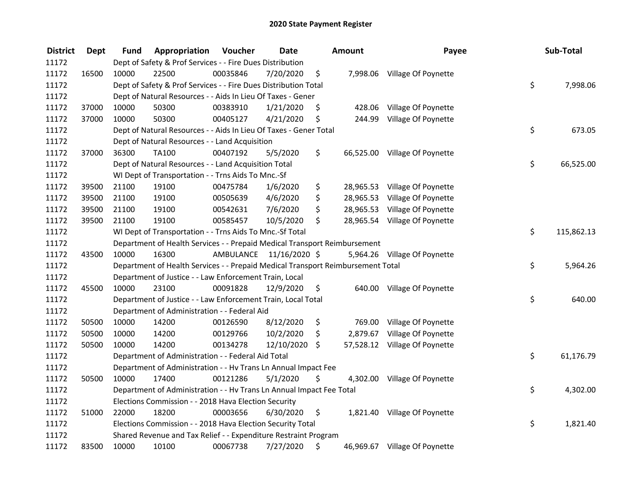| <b>District</b> | Dept  | Fund  | Appropriation                                                                   | Voucher  | <b>Date</b>             | <b>Amount</b> | Payee                         | Sub-Total        |
|-----------------|-------|-------|---------------------------------------------------------------------------------|----------|-------------------------|---------------|-------------------------------|------------------|
| 11172           |       |       | Dept of Safety & Prof Services - - Fire Dues Distribution                       |          |                         |               |                               |                  |
| 11172           | 16500 | 10000 | 22500                                                                           | 00035846 | 7/20/2020               | \$            | 7,998.06 Village Of Poynette  |                  |
| 11172           |       |       | Dept of Safety & Prof Services - - Fire Dues Distribution Total                 |          |                         |               |                               | \$<br>7,998.06   |
| 11172           |       |       | Dept of Natural Resources - - Aids In Lieu Of Taxes - Gener                     |          |                         |               |                               |                  |
| 11172           | 37000 | 10000 | 50300                                                                           | 00383910 | 1/21/2020               | \$<br>428.06  | Village Of Poynette           |                  |
| 11172           | 37000 | 10000 | 50300                                                                           | 00405127 | 4/21/2020               | \$<br>244.99  | Village Of Poynette           |                  |
| 11172           |       |       | Dept of Natural Resources - - Aids In Lieu Of Taxes - Gener Total               |          |                         |               |                               | \$<br>673.05     |
| 11172           |       |       | Dept of Natural Resources - - Land Acquisition                                  |          |                         |               |                               |                  |
| 11172           | 37000 | 36300 | TA100                                                                           | 00407192 | 5/5/2020                | \$            | 66,525.00 Village Of Poynette |                  |
| 11172           |       |       | Dept of Natural Resources - - Land Acquisition Total                            |          |                         |               |                               | \$<br>66,525.00  |
| 11172           |       |       | WI Dept of Transportation - - Trns Aids To Mnc.-Sf                              |          |                         |               |                               |                  |
| 11172           | 39500 | 21100 | 19100                                                                           | 00475784 | 1/6/2020                | \$            | 28,965.53 Village Of Poynette |                  |
| 11172           | 39500 | 21100 | 19100                                                                           | 00505639 | 4/6/2020                | \$            | 28,965.53 Village Of Poynette |                  |
| 11172           | 39500 | 21100 | 19100                                                                           | 00542631 | 7/6/2020                | \$            | 28,965.53 Village Of Poynette |                  |
| 11172           | 39500 | 21100 | 19100                                                                           | 00585457 | 10/5/2020               | \$            | 28,965.54 Village Of Poynette |                  |
| 11172           |       |       | WI Dept of Transportation - - Trns Aids To Mnc.-Sf Total                        |          |                         |               |                               | \$<br>115,862.13 |
| 11172           |       |       | Department of Health Services - - Prepaid Medical Transport Reimbursement       |          |                         |               |                               |                  |
| 11172           | 43500 | 10000 | 16300                                                                           |          | AMBULANCE 11/16/2020 \$ | 5,964.26      | Village Of Poynette           |                  |
| 11172           |       |       | Department of Health Services - - Prepaid Medical Transport Reimbursement Total |          |                         |               |                               | \$<br>5,964.26   |
| 11172           |       |       | Department of Justice - - Law Enforcement Train, Local                          |          |                         |               |                               |                  |
| 11172           | 45500 | 10000 | 23100                                                                           | 00091828 | 12/9/2020               | \$            | 640.00 Village Of Poynette    |                  |
| 11172           |       |       | Department of Justice - - Law Enforcement Train, Local Total                    |          |                         |               |                               | \$<br>640.00     |
| 11172           |       |       | Department of Administration - - Federal Aid                                    |          |                         |               |                               |                  |
| 11172           | 50500 | 10000 | 14200                                                                           | 00126590 | 8/12/2020               | \$<br>769.00  | Village Of Poynette           |                  |
| 11172           | 50500 | 10000 | 14200                                                                           | 00129766 | 10/2/2020               | \$            | 2,879.67 Village Of Poynette  |                  |
| 11172           | 50500 | 10000 | 14200                                                                           | 00134278 | 12/10/2020              | \$            | 57,528.12 Village Of Poynette |                  |
| 11172           |       |       | Department of Administration - - Federal Aid Total                              |          |                         |               |                               | \$<br>61,176.79  |
| 11172           |       |       | Department of Administration - - Hv Trans Ln Annual Impact Fee                  |          |                         |               |                               |                  |
| 11172           | 50500 | 10000 | 17400                                                                           | 00121286 | 5/1/2020                | \$            | 4,302.00 Village Of Poynette  |                  |
| 11172           |       |       | Department of Administration - - Hv Trans Ln Annual Impact Fee Total            |          |                         |               |                               | \$<br>4,302.00   |
| 11172           |       |       | Elections Commission - - 2018 Hava Election Security                            |          |                         |               |                               |                  |
| 11172           | 51000 | 22000 | 18200                                                                           | 00003656 | 6/30/2020               | \$            | 1,821.40 Village Of Poynette  |                  |
| 11172           |       |       | Elections Commission - - 2018 Hava Election Security Total                      |          |                         |               |                               | \$<br>1,821.40   |
| 11172           |       |       | Shared Revenue and Tax Relief - - Expenditure Restraint Program                 |          |                         |               |                               |                  |
| 11172           | 83500 | 10000 | 10100                                                                           | 00067738 | 7/27/2020               | \$            | 46,969.67 Village Of Poynette |                  |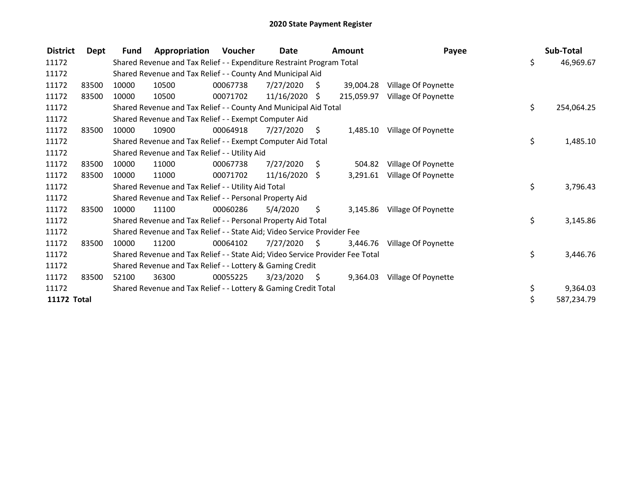| <b>District</b>    | Dept  | <b>Fund</b> | Appropriation                                                                 | Voucher  | Date            |      | <b>Amount</b> | Payee               | Sub-Total        |
|--------------------|-------|-------------|-------------------------------------------------------------------------------|----------|-----------------|------|---------------|---------------------|------------------|
| 11172              |       |             | Shared Revenue and Tax Relief - - Expenditure Restraint Program Total         |          |                 |      |               |                     | \$<br>46,969.67  |
| 11172              |       |             | Shared Revenue and Tax Relief - - County And Municipal Aid                    |          |                 |      |               |                     |                  |
| 11172              | 83500 | 10000       | 10500                                                                         | 00067738 | 7/27/2020       | - \$ | 39,004.28     | Village Of Poynette |                  |
| 11172              | 83500 | 10000       | 10500                                                                         | 00071702 | $11/16/2020$ \$ |      | 215,059.97    | Village Of Poynette |                  |
| 11172              |       |             | Shared Revenue and Tax Relief - - County And Municipal Aid Total              |          |                 |      |               |                     | \$<br>254,064.25 |
| 11172              |       |             | Shared Revenue and Tax Relief - - Exempt Computer Aid                         |          |                 |      |               |                     |                  |
| 11172              | 83500 | 10000       | 10900                                                                         | 00064918 | 7/27/2020       | S.   | 1,485.10      | Village Of Poynette |                  |
| 11172              |       |             | Shared Revenue and Tax Relief - - Exempt Computer Aid Total                   |          |                 |      |               |                     | \$<br>1,485.10   |
| 11172              |       |             | Shared Revenue and Tax Relief - - Utility Aid                                 |          |                 |      |               |                     |                  |
| 11172              | 83500 | 10000       | 11000                                                                         | 00067738 | 7/27/2020       | S.   | 504.82        | Village Of Poynette |                  |
| 11172              | 83500 | 10000       | 11000                                                                         | 00071702 | 11/16/2020 \$   |      | 3,291.61      | Village Of Poynette |                  |
| 11172              |       |             | Shared Revenue and Tax Relief - - Utility Aid Total                           |          |                 |      |               |                     | \$<br>3,796.43   |
| 11172              |       |             | Shared Revenue and Tax Relief - - Personal Property Aid                       |          |                 |      |               |                     |                  |
| 11172              | 83500 | 10000       | 11100                                                                         | 00060286 | 5/4/2020        | \$   | 3,145.86      | Village Of Poynette |                  |
| 11172              |       |             | Shared Revenue and Tax Relief - - Personal Property Aid Total                 |          |                 |      |               |                     | \$<br>3,145.86   |
| 11172              |       |             | Shared Revenue and Tax Relief - - State Aid; Video Service Provider Fee       |          |                 |      |               |                     |                  |
| 11172              | 83500 | 10000       | 11200                                                                         | 00064102 | 7/27/2020       | S.   | 3,446.76      | Village Of Poynette |                  |
| 11172              |       |             | Shared Revenue and Tax Relief - - State Aid; Video Service Provider Fee Total |          |                 |      |               |                     | \$<br>3,446.76   |
| 11172              |       |             | Shared Revenue and Tax Relief - - Lottery & Gaming Credit                     |          |                 |      |               |                     |                  |
| 11172              | 83500 | 52100       | 36300                                                                         | 00055225 | 3/23/2020       | - \$ | 9,364.03      | Village Of Poynette |                  |
| 11172              |       |             | Shared Revenue and Tax Relief - - Lottery & Gaming Credit Total               |          |                 |      |               |                     | \$<br>9,364.03   |
| <b>11172 Total</b> |       |             |                                                                               |          |                 |      |               |                     | \$<br>587,234.79 |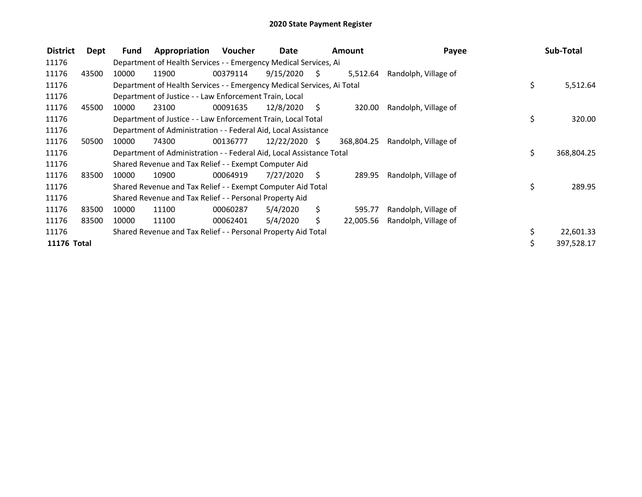| <b>District</b> | Dept  | Fund  | Appropriation                                                          | Voucher  | Date          |      | <b>Amount</b> | Payee                |     | Sub-Total  |
|-----------------|-------|-------|------------------------------------------------------------------------|----------|---------------|------|---------------|----------------------|-----|------------|
| 11176           |       |       | Department of Health Services - - Emergency Medical Services, Ai       |          |               |      |               |                      |     |            |
| 11176           | 43500 | 10000 | 11900                                                                  | 00379114 | 9/15/2020     | S.   | 5,512.64      | Randolph, Village of |     |            |
| 11176           |       |       | Department of Health Services - - Emergency Medical Services, Ai Total |          |               |      |               |                      | \$  | 5,512.64   |
| 11176           |       |       | Department of Justice - - Law Enforcement Train, Local                 |          |               |      |               |                      |     |            |
| 11176           | 45500 | 10000 | 23100                                                                  | 00091635 | 12/8/2020     | - \$ | 320.00        | Randolph, Village of |     |            |
| 11176           |       |       | Department of Justice - - Law Enforcement Train, Local Total           |          |               |      |               |                      | \$  | 320.00     |
| 11176           |       |       | Department of Administration - - Federal Aid, Local Assistance         |          |               |      |               |                      |     |            |
| 11176           | 50500 | 10000 | 74300                                                                  | 00136777 | 12/22/2020 \$ |      | 368.804.25    | Randolph, Village of |     |            |
| 11176           |       |       | Department of Administration - - Federal Aid, Local Assistance Total   |          |               |      |               |                      | \$. | 368,804.25 |
| 11176           |       |       | Shared Revenue and Tax Relief - - Exempt Computer Aid                  |          |               |      |               |                      |     |            |
| 11176           | 83500 | 10000 | 10900                                                                  | 00064919 | 7/27/2020     | S    | 289.95        | Randolph, Village of |     |            |
| 11176           |       |       | Shared Revenue and Tax Relief - - Exempt Computer Aid Total            |          |               |      |               |                      | \$  | 289.95     |
| 11176           |       |       | Shared Revenue and Tax Relief - - Personal Property Aid                |          |               |      |               |                      |     |            |
| 11176           | 83500 | 10000 | 11100                                                                  | 00060287 | 5/4/2020      | Ś.   | 595.77        | Randolph, Village of |     |            |
| 11176           | 83500 | 10000 | 11100                                                                  | 00062401 | 5/4/2020      |      | 22,005.56     | Randolph, Village of |     |            |
| 11176           |       |       | Shared Revenue and Tax Relief - - Personal Property Aid Total          |          |               |      |               |                      |     | 22,601.33  |
| 11176 Total     |       |       |                                                                        |          |               |      |               |                      |     | 397,528.17 |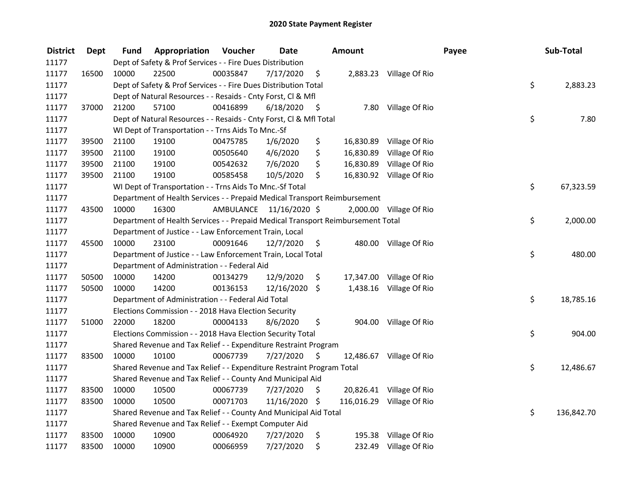| <b>District</b> | <b>Dept</b> | Fund  | Appropriation                                                                   | Voucher   | <b>Date</b>   |      | <b>Amount</b> |                           | Payee | Sub-Total        |
|-----------------|-------------|-------|---------------------------------------------------------------------------------|-----------|---------------|------|---------------|---------------------------|-------|------------------|
| 11177           |             |       | Dept of Safety & Prof Services - - Fire Dues Distribution                       |           |               |      |               |                           |       |                  |
| 11177           | 16500       | 10000 | 22500                                                                           | 00035847  | 7/17/2020     | \$   |               | 2,883.23 Village Of Rio   |       |                  |
| 11177           |             |       | Dept of Safety & Prof Services - - Fire Dues Distribution Total                 |           |               |      |               |                           |       | \$<br>2,883.23   |
| 11177           |             |       | Dept of Natural Resources - - Resaids - Cnty Forst, Cl & Mfl                    |           |               |      |               |                           |       |                  |
| 11177           | 37000       | 21200 | 57100                                                                           | 00416899  | 6/18/2020     | - \$ |               | 7.80 Village Of Rio       |       |                  |
| 11177           |             |       | Dept of Natural Resources - - Resaids - Cnty Forst, Cl & Mfl Total              |           |               |      |               |                           |       | \$<br>7.80       |
| 11177           |             |       | WI Dept of Transportation - - Trns Aids To Mnc.-Sf                              |           |               |      |               |                           |       |                  |
| 11177           | 39500       | 21100 | 19100                                                                           | 00475785  | 1/6/2020      | \$   |               | 16,830.89 Village Of Rio  |       |                  |
| 11177           | 39500       | 21100 | 19100                                                                           | 00505640  | 4/6/2020      | \$   |               | 16,830.89 Village Of Rio  |       |                  |
| 11177           | 39500       | 21100 | 19100                                                                           | 00542632  | 7/6/2020      | \$   |               | 16,830.89 Village Of Rio  |       |                  |
| 11177           | 39500       | 21100 | 19100                                                                           | 00585458  | 10/5/2020     | \$   |               | 16,830.92 Village Of Rio  |       |                  |
| 11177           |             |       | WI Dept of Transportation - - Trns Aids To Mnc.-Sf Total                        |           |               |      |               |                           |       | \$<br>67,323.59  |
| 11177           |             |       | Department of Health Services - - Prepaid Medical Transport Reimbursement       |           |               |      |               |                           |       |                  |
| 11177           | 43500       | 10000 | 16300                                                                           | AMBULANCE | 11/16/2020 \$ |      |               | 2,000.00 Village Of Rio   |       |                  |
| 11177           |             |       | Department of Health Services - - Prepaid Medical Transport Reimbursement Total |           |               |      |               |                           |       | \$<br>2,000.00   |
| 11177           |             |       | Department of Justice - - Law Enforcement Train, Local                          |           |               |      |               |                           |       |                  |
| 11177           | 45500       | 10000 | 23100                                                                           | 00091646  | 12/7/2020     | \$   |               | 480.00 Village Of Rio     |       |                  |
| 11177           |             |       | Department of Justice - - Law Enforcement Train, Local Total                    |           |               |      |               |                           |       | \$<br>480.00     |
| 11177           |             |       | Department of Administration - - Federal Aid                                    |           |               |      |               |                           |       |                  |
| 11177           | 50500       | 10000 | 14200                                                                           | 00134279  | 12/9/2020     | \$   |               | 17,347.00 Village Of Rio  |       |                  |
| 11177           | 50500       | 10000 | 14200                                                                           | 00136153  | 12/16/2020 \$ |      |               | 1,438.16 Village Of Rio   |       |                  |
| 11177           |             |       | Department of Administration - - Federal Aid Total                              |           |               |      |               |                           |       | \$<br>18,785.16  |
| 11177           |             |       | Elections Commission - - 2018 Hava Election Security                            |           |               |      |               |                           |       |                  |
| 11177           | 51000       | 22000 | 18200                                                                           | 00004133  | 8/6/2020      | \$   |               | 904.00 Village Of Rio     |       |                  |
| 11177           |             |       | Elections Commission - - 2018 Hava Election Security Total                      |           |               |      |               |                           |       | \$<br>904.00     |
| 11177           |             |       | Shared Revenue and Tax Relief - - Expenditure Restraint Program                 |           |               |      |               |                           |       |                  |
| 11177           | 83500       | 10000 | 10100                                                                           | 00067739  | 7/27/2020     | -S   |               | 12,486.67 Village Of Rio  |       |                  |
| 11177           |             |       | Shared Revenue and Tax Relief - - Expenditure Restraint Program Total           |           |               |      |               |                           |       | \$<br>12,486.67  |
| 11177           |             |       | Shared Revenue and Tax Relief - - County And Municipal Aid                      |           |               |      |               |                           |       |                  |
| 11177           | 83500       | 10000 | 10500                                                                           | 00067739  | 7/27/2020     | \$   |               | 20,826.41 Village Of Rio  |       |                  |
| 11177           | 83500       | 10000 | 10500                                                                           | 00071703  | 11/16/2020 \$ |      |               | 116,016.29 Village Of Rio |       |                  |
| 11177           |             |       | Shared Revenue and Tax Relief - - County And Municipal Aid Total                |           |               |      |               |                           |       | \$<br>136,842.70 |
| 11177           |             |       | Shared Revenue and Tax Relief - - Exempt Computer Aid                           |           |               |      |               |                           |       |                  |
| 11177           | 83500       | 10000 | 10900                                                                           | 00064920  | 7/27/2020     | \$   |               | 195.38 Village Of Rio     |       |                  |
| 11177           | 83500       | 10000 | 10900                                                                           | 00066959  | 7/27/2020     | \$   |               | 232.49 Village Of Rio     |       |                  |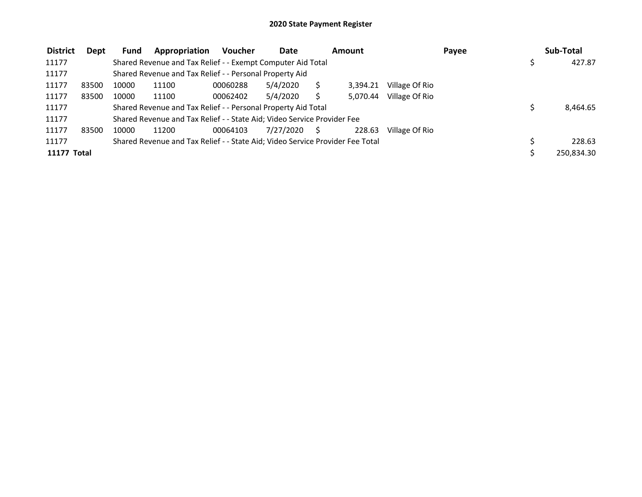| <b>District</b> | <b>Dept</b> | Fund  | Appropriation                                                                 | <b>Voucher</b> | Date      | Amount   |                | Payee | Sub-Total  |
|-----------------|-------------|-------|-------------------------------------------------------------------------------|----------------|-----------|----------|----------------|-------|------------|
| 11177           |             |       | Shared Revenue and Tax Relief - - Exempt Computer Aid Total                   |                |           |          |                |       | 427.87     |
| 11177           |             |       | Shared Revenue and Tax Relief - - Personal Property Aid                       |                |           |          |                |       |            |
| 11177           | 83500       | 10000 | 11100                                                                         | 00060288       | 5/4/2020  | 3,394.21 | Village Of Rio |       |            |
| 11177           | 83500       | 10000 | 11100                                                                         | 00062402       | 5/4/2020  | 5.070.44 | Village Of Rio |       |            |
| 11177           |             |       | Shared Revenue and Tax Relief - - Personal Property Aid Total                 |                |           |          |                |       | 8,464.65   |
| 11177           |             |       | Shared Revenue and Tax Relief - - State Aid; Video Service Provider Fee       |                |           |          |                |       |            |
| 11177           | 83500       | 10000 | 11200                                                                         | 00064103       | 7/27/2020 | 228.63   | Village Of Rio |       |            |
| 11177           |             |       | Shared Revenue and Tax Relief - - State Aid; Video Service Provider Fee Total |                |           |          |                |       | 228.63     |
| 11177 Total     |             |       |                                                                               |                |           |          |                |       | 250,834.30 |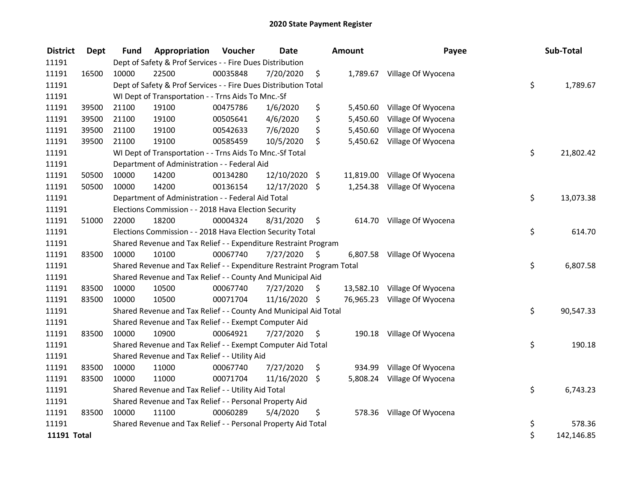| <b>District</b>    | Dept  | <b>Fund</b> | Appropriation                                                         | Voucher  | <b>Date</b>   |     | <b>Amount</b> | Payee                        | Sub-Total        |
|--------------------|-------|-------------|-----------------------------------------------------------------------|----------|---------------|-----|---------------|------------------------------|------------------|
| 11191              |       |             | Dept of Safety & Prof Services - - Fire Dues Distribution             |          |               |     |               |                              |                  |
| 11191              | 16500 | 10000       | 22500                                                                 | 00035848 | 7/20/2020     | \$  |               | 1,789.67 Village Of Wyocena  |                  |
| 11191              |       |             | Dept of Safety & Prof Services - - Fire Dues Distribution Total       |          |               |     |               |                              | \$<br>1,789.67   |
| 11191              |       |             | WI Dept of Transportation - - Trns Aids To Mnc.-Sf                    |          |               |     |               |                              |                  |
| 11191              | 39500 | 21100       | 19100                                                                 | 00475786 | 1/6/2020      | \$  | 5,450.60      | Village Of Wyocena           |                  |
| 11191              | 39500 | 21100       | 19100                                                                 | 00505641 | 4/6/2020      | \$  | 5,450.60      | Village Of Wyocena           |                  |
| 11191              | 39500 | 21100       | 19100                                                                 | 00542633 | 7/6/2020      | \$  | 5,450.60      | Village Of Wyocena           |                  |
| 11191              | 39500 | 21100       | 19100                                                                 | 00585459 | 10/5/2020     | \$  | 5,450.62      | Village Of Wyocena           |                  |
| 11191              |       |             | WI Dept of Transportation - - Trns Aids To Mnc.-Sf Total              |          |               |     |               |                              | \$<br>21,802.42  |
| 11191              |       |             | Department of Administration - - Federal Aid                          |          |               |     |               |                              |                  |
| 11191              | 50500 | 10000       | 14200                                                                 | 00134280 | 12/10/2020 \$ |     |               | 11,819.00 Village Of Wyocena |                  |
| 11191              | 50500 | 10000       | 14200                                                                 | 00136154 | 12/17/2020 \$ |     | 1,254.38      | Village Of Wyocena           |                  |
| 11191              |       |             | Department of Administration - - Federal Aid Total                    |          |               |     |               |                              | \$<br>13,073.38  |
| 11191              |       |             | Elections Commission - - 2018 Hava Election Security                  |          |               |     |               |                              |                  |
| 11191              | 51000 | 22000       | 18200                                                                 | 00004324 | 8/31/2020     | \$  |               | 614.70 Village Of Wyocena    |                  |
| 11191              |       |             | Elections Commission - - 2018 Hava Election Security Total            |          |               |     |               |                              | \$<br>614.70     |
| 11191              |       |             | Shared Revenue and Tax Relief - - Expenditure Restraint Program       |          |               |     |               |                              |                  |
| 11191              | 83500 | 10000       | 10100                                                                 | 00067740 | 7/27/2020     | -\$ | 6,807.58      | Village Of Wyocena           |                  |
| 11191              |       |             | Shared Revenue and Tax Relief - - Expenditure Restraint Program Total |          |               |     |               |                              | \$<br>6,807.58   |
| 11191              |       |             | Shared Revenue and Tax Relief - - County And Municipal Aid            |          |               |     |               |                              |                  |
| 11191              | 83500 | 10000       | 10500                                                                 | 00067740 | 7/27/2020     | \$  |               | 13,582.10 Village Of Wyocena |                  |
| 11191              | 83500 | 10000       | 10500                                                                 | 00071704 | 11/16/2020    | \$  |               | 76,965.23 Village Of Wyocena |                  |
| 11191              |       |             | Shared Revenue and Tax Relief - - County And Municipal Aid Total      |          |               |     |               |                              | \$<br>90,547.33  |
| 11191              |       |             | Shared Revenue and Tax Relief - - Exempt Computer Aid                 |          |               |     |               |                              |                  |
| 11191              | 83500 | 10000       | 10900                                                                 | 00064921 | 7/27/2020     | \$  | 190.18        | Village Of Wyocena           |                  |
| 11191              |       |             | Shared Revenue and Tax Relief - - Exempt Computer Aid Total           |          |               |     |               |                              | \$<br>190.18     |
| 11191              |       |             | Shared Revenue and Tax Relief - - Utility Aid                         |          |               |     |               |                              |                  |
| 11191              | 83500 | 10000       | 11000                                                                 | 00067740 | 7/27/2020     | \$  | 934.99        | Village Of Wyocena           |                  |
| 11191              | 83500 | 10000       | 11000                                                                 | 00071704 | 11/16/2020    | \$  | 5,808.24      | Village Of Wyocena           |                  |
| 11191              |       |             | Shared Revenue and Tax Relief - - Utility Aid Total                   |          |               |     |               |                              | \$<br>6,743.23   |
| 11191              |       |             | Shared Revenue and Tax Relief - - Personal Property Aid               |          |               |     |               |                              |                  |
| 11191              | 83500 | 10000       | 11100                                                                 | 00060289 | 5/4/2020      | \$  | 578.36        | Village Of Wyocena           |                  |
| 11191              |       |             | Shared Revenue and Tax Relief - - Personal Property Aid Total         |          |               |     |               |                              | \$<br>578.36     |
| <b>11191 Total</b> |       |             |                                                                       |          |               |     |               |                              | \$<br>142,146.85 |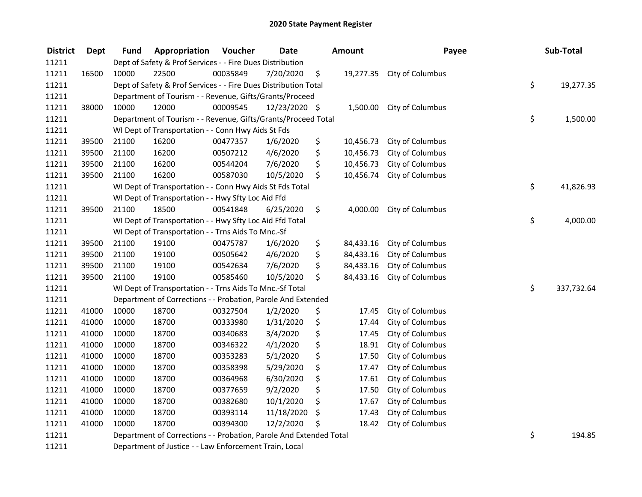| <b>District</b> | Dept  | <b>Fund</b> | Appropriation                                                      | Voucher  | <b>Date</b>   | <b>Amount</b>   | Payee                      | Sub-Total        |
|-----------------|-------|-------------|--------------------------------------------------------------------|----------|---------------|-----------------|----------------------------|------------------|
| 11211           |       |             | Dept of Safety & Prof Services - - Fire Dues Distribution          |          |               |                 |                            |                  |
| 11211           | 16500 | 10000       | 22500                                                              | 00035849 | 7/20/2020     | \$              | 19,277.35 City of Columbus |                  |
| 11211           |       |             | Dept of Safety & Prof Services - - Fire Dues Distribution Total    |          |               |                 |                            | \$<br>19,277.35  |
| 11211           |       |             | Department of Tourism - - Revenue, Gifts/Grants/Proceed            |          |               |                 |                            |                  |
| 11211           | 38000 | 10000       | 12000                                                              | 00009545 | 12/23/2020 \$ |                 | 1,500.00 City of Columbus  |                  |
| 11211           |       |             | Department of Tourism - - Revenue, Gifts/Grants/Proceed Total      |          |               |                 |                            | \$<br>1,500.00   |
| 11211           |       |             | WI Dept of Transportation - - Conn Hwy Aids St Fds                 |          |               |                 |                            |                  |
| 11211           | 39500 | 21100       | 16200                                                              | 00477357 | 1/6/2020      | \$<br>10,456.73 | City of Columbus           |                  |
| 11211           | 39500 | 21100       | 16200                                                              | 00507212 | 4/6/2020      | \$<br>10,456.73 | City of Columbus           |                  |
| 11211           | 39500 | 21100       | 16200                                                              | 00544204 | 7/6/2020      | \$<br>10,456.73 | City of Columbus           |                  |
| 11211           | 39500 | 21100       | 16200                                                              | 00587030 | 10/5/2020     | \$<br>10,456.74 | City of Columbus           |                  |
| 11211           |       |             | WI Dept of Transportation - - Conn Hwy Aids St Fds Total           |          |               |                 |                            | \$<br>41,826.93  |
| 11211           |       |             | WI Dept of Transportation - - Hwy Sfty Loc Aid Ffd                 |          |               |                 |                            |                  |
| 11211           | 39500 | 21100       | 18500                                                              | 00541848 | 6/25/2020     | \$<br>4,000.00  | City of Columbus           |                  |
| 11211           |       |             | WI Dept of Transportation - - Hwy Sfty Loc Aid Ffd Total           |          |               |                 |                            | \$<br>4,000.00   |
| 11211           |       |             | WI Dept of Transportation - - Trns Aids To Mnc.-Sf                 |          |               |                 |                            |                  |
| 11211           | 39500 | 21100       | 19100                                                              | 00475787 | 1/6/2020      | \$<br>84,433.16 | City of Columbus           |                  |
| 11211           | 39500 | 21100       | 19100                                                              | 00505642 | 4/6/2020      | \$<br>84,433.16 | City of Columbus           |                  |
| 11211           | 39500 | 21100       | 19100                                                              | 00542634 | 7/6/2020      | \$<br>84,433.16 | City of Columbus           |                  |
| 11211           | 39500 | 21100       | 19100                                                              | 00585460 | 10/5/2020     | \$<br>84,433.16 | City of Columbus           |                  |
| 11211           |       |             | WI Dept of Transportation - - Trns Aids To Mnc.-Sf Total           |          |               |                 |                            | \$<br>337,732.64 |
| 11211           |       |             | Department of Corrections - - Probation, Parole And Extended       |          |               |                 |                            |                  |
| 11211           | 41000 | 10000       | 18700                                                              | 00327504 | 1/2/2020      | \$<br>17.45     | City of Columbus           |                  |
| 11211           | 41000 | 10000       | 18700                                                              | 00333980 | 1/31/2020     | \$<br>17.44     | City of Columbus           |                  |
| 11211           | 41000 | 10000       | 18700                                                              | 00340683 | 3/4/2020      | \$<br>17.45     | City of Columbus           |                  |
| 11211           | 41000 | 10000       | 18700                                                              | 00346322 | 4/1/2020      | \$<br>18.91     | City of Columbus           |                  |
| 11211           | 41000 | 10000       | 18700                                                              | 00353283 | 5/1/2020      | \$<br>17.50     | City of Columbus           |                  |
| 11211           | 41000 | 10000       | 18700                                                              | 00358398 | 5/29/2020     | \$<br>17.47     | City of Columbus           |                  |
| 11211           | 41000 | 10000       | 18700                                                              | 00364968 | 6/30/2020     | \$<br>17.61     | City of Columbus           |                  |
| 11211           | 41000 | 10000       | 18700                                                              | 00377659 | 9/2/2020      | \$<br>17.50     | City of Columbus           |                  |
| 11211           | 41000 | 10000       | 18700                                                              | 00382680 | 10/1/2020     | \$<br>17.67     | City of Columbus           |                  |
| 11211           | 41000 | 10000       | 18700                                                              | 00393114 | 11/18/2020    | \$<br>17.43     | City of Columbus           |                  |
| 11211           | 41000 | 10000       | 18700                                                              | 00394300 | 12/2/2020     | \$<br>18.42     | City of Columbus           |                  |
| 11211           |       |             | Department of Corrections - - Probation, Parole And Extended Total |          |               |                 |                            | \$<br>194.85     |

Department of Justice - - Law Enforcement Train, Local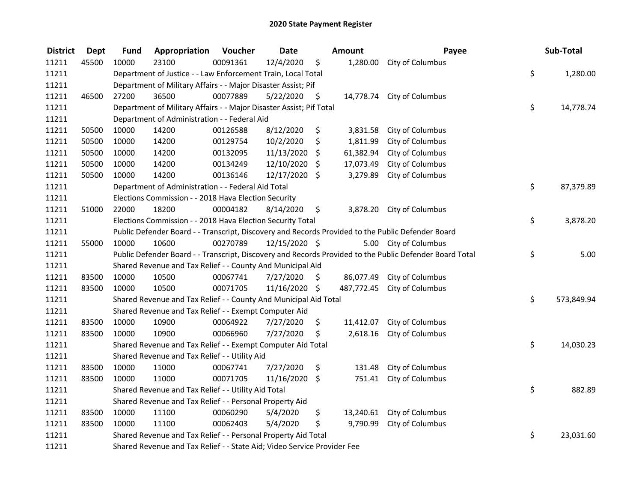| <b>District</b> | <b>Dept</b> | <b>Fund</b> | Appropriation                                                           | Voucher  | <b>Date</b>   |      | <b>Amount</b> | Payee                                                                                                   | Sub-Total        |
|-----------------|-------------|-------------|-------------------------------------------------------------------------|----------|---------------|------|---------------|---------------------------------------------------------------------------------------------------------|------------------|
| 11211           | 45500       | 10000       | 23100                                                                   | 00091361 | 12/4/2020     | \$   |               | 1,280.00 City of Columbus                                                                               |                  |
| 11211           |             |             | Department of Justice - - Law Enforcement Train, Local Total            |          |               |      |               |                                                                                                         | \$<br>1,280.00   |
| 11211           |             |             | Department of Military Affairs - - Major Disaster Assist; Pif           |          |               |      |               |                                                                                                         |                  |
| 11211           | 46500       | 27200       | 36500                                                                   | 00077889 | 5/22/2020     | - \$ |               | 14,778.74 City of Columbus                                                                              |                  |
| 11211           |             |             | Department of Military Affairs - - Major Disaster Assist; Pif Total     |          |               |      |               |                                                                                                         | \$<br>14,778.74  |
| 11211           |             |             | Department of Administration - - Federal Aid                            |          |               |      |               |                                                                                                         |                  |
| 11211           | 50500       | 10000       | 14200                                                                   | 00126588 | 8/12/2020     | \$   | 3,831.58      | City of Columbus                                                                                        |                  |
| 11211           | 50500       | 10000       | 14200                                                                   | 00129754 | 10/2/2020     | \$   | 1,811.99      | City of Columbus                                                                                        |                  |
| 11211           | 50500       | 10000       | 14200                                                                   | 00132095 | 11/13/2020    | \$   | 61,382.94     | City of Columbus                                                                                        |                  |
| 11211           | 50500       | 10000       | 14200                                                                   | 00134249 | 12/10/2020    | \$   | 17,073.49     | City of Columbus                                                                                        |                  |
| 11211           | 50500       | 10000       | 14200                                                                   | 00136146 | 12/17/2020 \$ |      | 3,279.89      | City of Columbus                                                                                        |                  |
| 11211           |             |             | Department of Administration - - Federal Aid Total                      |          |               |      |               |                                                                                                         | \$<br>87,379.89  |
| 11211           |             |             | Elections Commission - - 2018 Hava Election Security                    |          |               |      |               |                                                                                                         |                  |
| 11211           | 51000       | 22000       | 18200                                                                   | 00004182 | 8/14/2020     | \$   | 3,878.20      | City of Columbus                                                                                        |                  |
| 11211           |             |             | Elections Commission - - 2018 Hava Election Security Total              |          |               |      |               |                                                                                                         | \$<br>3,878.20   |
| 11211           |             |             |                                                                         |          |               |      |               | Public Defender Board - - Transcript, Discovery and Records Provided to the Public Defender Board       |                  |
| 11211           | 55000       | 10000       | 10600                                                                   | 00270789 | 12/15/2020 \$ |      |               | 5.00 City of Columbus                                                                                   |                  |
| 11211           |             |             |                                                                         |          |               |      |               | Public Defender Board - - Transcript, Discovery and Records Provided to the Public Defender Board Total | \$<br>5.00       |
| 11211           |             |             | Shared Revenue and Tax Relief - - County And Municipal Aid              |          |               |      |               |                                                                                                         |                  |
| 11211           | 83500       | 10000       | 10500                                                                   | 00067741 | 7/27/2020     | \$   | 86,077.49     | City of Columbus                                                                                        |                  |
| 11211           | 83500       | 10000       | 10500                                                                   | 00071705 | 11/16/2020 \$ |      |               | 487,772.45 City of Columbus                                                                             |                  |
| 11211           |             |             | Shared Revenue and Tax Relief - - County And Municipal Aid Total        |          |               |      |               |                                                                                                         | \$<br>573,849.94 |
| 11211           |             |             | Shared Revenue and Tax Relief - - Exempt Computer Aid                   |          |               |      |               |                                                                                                         |                  |
| 11211           | 83500       | 10000       | 10900                                                                   | 00064922 | 7/27/2020     | \$   | 11,412.07     | City of Columbus                                                                                        |                  |
| 11211           | 83500       | 10000       | 10900                                                                   | 00066960 | 7/27/2020     | \$   | 2,618.16      | City of Columbus                                                                                        |                  |
| 11211           |             |             | Shared Revenue and Tax Relief - - Exempt Computer Aid Total             |          |               |      |               |                                                                                                         | \$<br>14,030.23  |
| 11211           |             |             | Shared Revenue and Tax Relief - - Utility Aid                           |          |               |      |               |                                                                                                         |                  |
| 11211           | 83500       | 10000       | 11000                                                                   | 00067741 | 7/27/2020     | \$   | 131.48        | City of Columbus                                                                                        |                  |
| 11211           | 83500       | 10000       | 11000                                                                   | 00071705 | 11/16/2020 \$ |      | 751.41        | City of Columbus                                                                                        |                  |
| 11211           |             |             | Shared Revenue and Tax Relief - - Utility Aid Total                     |          |               |      |               |                                                                                                         | \$<br>882.89     |
| 11211           |             |             | Shared Revenue and Tax Relief - - Personal Property Aid                 |          |               |      |               |                                                                                                         |                  |
| 11211           | 83500       | 10000       | 11100                                                                   | 00060290 | 5/4/2020      | \$   |               | 13,240.61 City of Columbus                                                                              |                  |
| 11211           | 83500       | 10000       | 11100                                                                   | 00062403 | 5/4/2020      | \$   | 9,790.99      | City of Columbus                                                                                        |                  |
| 11211           |             |             | Shared Revenue and Tax Relief - - Personal Property Aid Total           |          |               |      |               |                                                                                                         | \$<br>23,031.60  |
| 11211           |             |             | Shared Revenue and Tax Relief - - State Aid; Video Service Provider Fee |          |               |      |               |                                                                                                         |                  |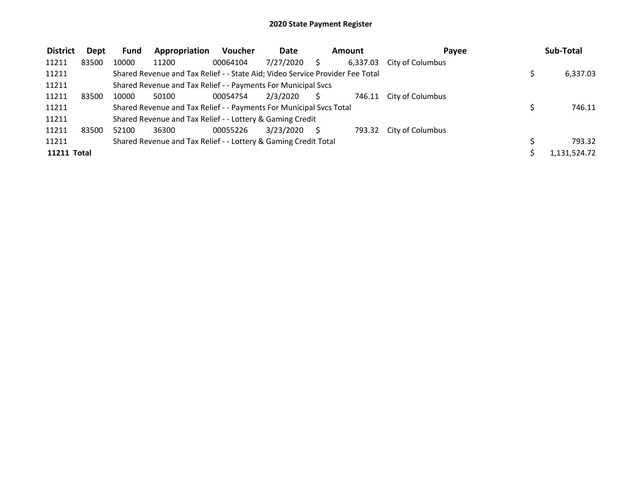## 2020 State Payment Register

| <b>District</b> | Dept  | <b>Fund</b> | Appropriation                                                                 | <b>Voucher</b> | <b>Date</b> |  | Amount<br>Pavee |                  | Sub-Total |              |
|-----------------|-------|-------------|-------------------------------------------------------------------------------|----------------|-------------|--|-----------------|------------------|-----------|--------------|
| 11211           | 83500 | 10000       | 11200                                                                         | 00064104       | 7/27/2020   |  | 6,337.03        | City of Columbus |           |              |
| 11211           |       |             | Shared Revenue and Tax Relief - - State Aid; Video Service Provider Fee Total |                |             |  |                 |                  |           | 6,337.03     |
| 11211           |       |             | Shared Revenue and Tax Relief - - Payments For Municipal Svcs                 |                |             |  |                 |                  |           |              |
| 11211           | 83500 | 10000       | 50100                                                                         | 00054754       | 2/3/2020    |  | 746.11          | City of Columbus |           |              |
| 11211           |       |             | Shared Revenue and Tax Relief - - Payments For Municipal Svcs Total           |                |             |  |                 |                  |           | 746.11       |
| 11211           |       |             | Shared Revenue and Tax Relief - - Lottery & Gaming Credit                     |                |             |  |                 |                  |           |              |
| 11211           | 83500 | 52100       | 36300                                                                         | 00055226       | 3/23/2020   |  | 793.32          | City of Columbus |           |              |
| 11211           |       |             | Shared Revenue and Tax Relief - - Lottery & Gaming Credit Total               |                |             |  |                 |                  |           | 793.32       |
| 11211 Total     |       |             |                                                                               |                |             |  |                 |                  |           | 1,131,524.72 |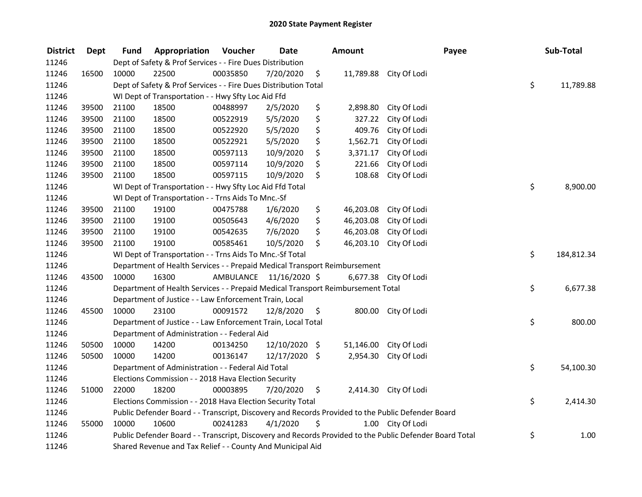| <b>District</b> | <b>Dept</b> | Fund                                                                                              | Appropriation                                                                   | Voucher  | <b>Date</b>             |    | <b>Amount</b> |                                                                                                         | Payee |    | Sub-Total  |
|-----------------|-------------|---------------------------------------------------------------------------------------------------|---------------------------------------------------------------------------------|----------|-------------------------|----|---------------|---------------------------------------------------------------------------------------------------------|-------|----|------------|
| 11246           |             |                                                                                                   | Dept of Safety & Prof Services - - Fire Dues Distribution                       |          |                         |    |               |                                                                                                         |       |    |            |
| 11246           | 16500       | 10000                                                                                             | 22500                                                                           | 00035850 | 7/20/2020               | \$ |               | 11,789.88 City Of Lodi                                                                                  |       |    |            |
| 11246           |             |                                                                                                   | Dept of Safety & Prof Services - - Fire Dues Distribution Total                 |          |                         |    |               |                                                                                                         |       | \$ | 11,789.88  |
| 11246           |             |                                                                                                   | WI Dept of Transportation - - Hwy Sfty Loc Aid Ffd                              |          |                         |    |               |                                                                                                         |       |    |            |
| 11246           | 39500       | 21100                                                                                             | 18500                                                                           | 00488997 | 2/5/2020                | \$ | 2,898.80      | City Of Lodi                                                                                            |       |    |            |
| 11246           | 39500       | 21100                                                                                             | 18500                                                                           | 00522919 | 5/5/2020                | \$ | 327.22        | City Of Lodi                                                                                            |       |    |            |
| 11246           | 39500       | 21100                                                                                             | 18500                                                                           | 00522920 | 5/5/2020                | \$ | 409.76        | City Of Lodi                                                                                            |       |    |            |
| 11246           | 39500       | 21100                                                                                             | 18500                                                                           | 00522921 | 5/5/2020                | \$ | 1,562.71      | City Of Lodi                                                                                            |       |    |            |
| 11246           | 39500       | 21100                                                                                             | 18500                                                                           | 00597113 | 10/9/2020               | \$ | 3,371.17      | City Of Lodi                                                                                            |       |    |            |
| 11246           | 39500       | 21100                                                                                             | 18500                                                                           | 00597114 | 10/9/2020               | \$ | 221.66        | City Of Lodi                                                                                            |       |    |            |
| 11246           | 39500       | 21100                                                                                             | 18500                                                                           | 00597115 | 10/9/2020               | \$ | 108.68        | City Of Lodi                                                                                            |       |    |            |
| 11246           |             |                                                                                                   | WI Dept of Transportation - - Hwy Sfty Loc Aid Ffd Total                        |          |                         |    |               |                                                                                                         |       | \$ | 8,900.00   |
| 11246           |             |                                                                                                   | WI Dept of Transportation - - Trns Aids To Mnc.-Sf                              |          |                         |    |               |                                                                                                         |       |    |            |
| 11246           | 39500       | 21100                                                                                             | 19100                                                                           | 00475788 | 1/6/2020                | \$ | 46,203.08     | City Of Lodi                                                                                            |       |    |            |
| 11246           | 39500       | 21100                                                                                             | 19100                                                                           | 00505643 | 4/6/2020                | \$ | 46,203.08     | City Of Lodi                                                                                            |       |    |            |
| 11246           | 39500       | 21100                                                                                             | 19100                                                                           | 00542635 | 7/6/2020                | \$ | 46,203.08     | City Of Lodi                                                                                            |       |    |            |
| 11246           | 39500       | 21100                                                                                             | 19100                                                                           | 00585461 | 10/5/2020               | \$ | 46,203.10     | City Of Lodi                                                                                            |       |    |            |
| 11246           |             |                                                                                                   | WI Dept of Transportation - - Trns Aids To Mnc.-Sf Total                        |          |                         |    |               |                                                                                                         |       | \$ | 184,812.34 |
| 11246           |             |                                                                                                   | Department of Health Services - - Prepaid Medical Transport Reimbursement       |          |                         |    |               |                                                                                                         |       |    |            |
| 11246           | 43500       | 10000                                                                                             | 16300                                                                           |          | AMBULANCE 11/16/2020 \$ |    |               | 6,677.38 City Of Lodi                                                                                   |       |    |            |
| 11246           |             |                                                                                                   | Department of Health Services - - Prepaid Medical Transport Reimbursement Total |          |                         |    |               |                                                                                                         |       | \$ | 6,677.38   |
| 11246           |             |                                                                                                   | Department of Justice - - Law Enforcement Train, Local                          |          |                         |    |               |                                                                                                         |       |    |            |
| 11246           | 45500       | 10000                                                                                             | 23100                                                                           | 00091572 | 12/8/2020               | \$ |               | 800.00 City Of Lodi                                                                                     |       |    |            |
| 11246           |             |                                                                                                   | Department of Justice - - Law Enforcement Train, Local Total                    |          |                         |    |               |                                                                                                         |       | \$ | 800.00     |
| 11246           |             |                                                                                                   | Department of Administration - - Federal Aid                                    |          |                         |    |               |                                                                                                         |       |    |            |
| 11246           | 50500       | 10000                                                                                             | 14200                                                                           | 00134250 | 12/10/2020 \$           |    | 51,146.00     | City Of Lodi                                                                                            |       |    |            |
| 11246           | 50500       | 10000                                                                                             | 14200                                                                           | 00136147 | 12/17/2020 \$           |    | 2,954.30      | City Of Lodi                                                                                            |       |    |            |
| 11246           |             |                                                                                                   | Department of Administration - - Federal Aid Total                              |          |                         |    |               |                                                                                                         |       | \$ | 54,100.30  |
| 11246           |             |                                                                                                   | Elections Commission - - 2018 Hava Election Security                            |          |                         |    |               |                                                                                                         |       |    |            |
| 11246           | 51000       | 22000                                                                                             | 18200                                                                           | 00003895 | 7/20/2020               | \$ |               | 2,414.30 City Of Lodi                                                                                   |       |    |            |
| 11246           |             |                                                                                                   | Elections Commission - - 2018 Hava Election Security Total                      |          |                         |    |               |                                                                                                         |       | \$ | 2,414.30   |
| 11246           |             | Public Defender Board - - Transcript, Discovery and Records Provided to the Public Defender Board |                                                                                 |          |                         |    |               |                                                                                                         |       |    |            |
| 11246           | 55000       | 10000                                                                                             | 10600                                                                           | 00241283 | 4/1/2020                | \$ |               | 1.00 City Of Lodi                                                                                       |       |    |            |
| 11246           |             |                                                                                                   |                                                                                 |          |                         |    |               | Public Defender Board - - Transcript, Discovery and Records Provided to the Public Defender Board Total |       | \$ | 1.00       |
| 11246           |             |                                                                                                   | Shared Revenue and Tax Relief - - County And Municipal Aid                      |          |                         |    |               |                                                                                                         |       |    |            |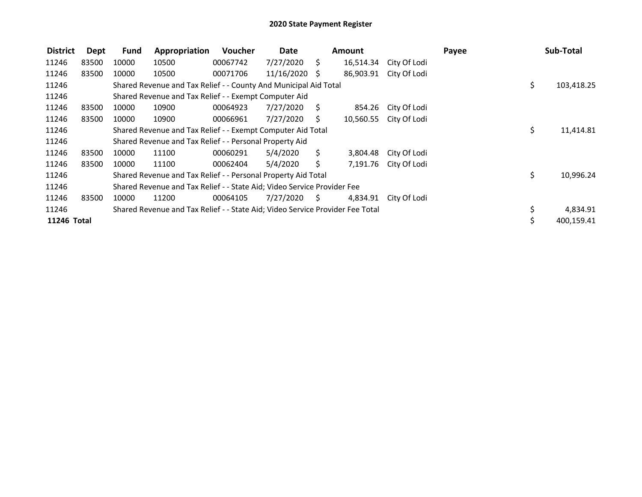| <b>District</b> | Dept  | <b>Fund</b>                                                             | Appropriation                                                                 | Voucher  | Date            |     | Amount    | Payee        |  |     | Sub-Total  |  |
|-----------------|-------|-------------------------------------------------------------------------|-------------------------------------------------------------------------------|----------|-----------------|-----|-----------|--------------|--|-----|------------|--|
| 11246           | 83500 | 10000                                                                   | 10500                                                                         | 00067742 | 7/27/2020       | S.  | 16,514.34 | City Of Lodi |  |     |            |  |
| 11246           | 83500 | 10000                                                                   | 10500                                                                         | 00071706 | $11/16/2020$ \$ |     | 86,903.91 | City Of Lodi |  |     |            |  |
| 11246           |       |                                                                         | Shared Revenue and Tax Relief - - County And Municipal Aid Total              |          |                 |     |           |              |  | \$. | 103,418.25 |  |
| 11246           |       |                                                                         | Shared Revenue and Tax Relief - - Exempt Computer Aid                         |          |                 |     |           |              |  |     |            |  |
| 11246           | 83500 | 10000                                                                   | 10900                                                                         | 00064923 | 7/27/2020       | - S | 854.26    | City Of Lodi |  |     |            |  |
| 11246           | 83500 | 10000                                                                   | 10900                                                                         | 00066961 | 7/27/2020       | S.  | 10,560.55 | City Of Lodi |  |     |            |  |
| 11246           |       |                                                                         | Shared Revenue and Tax Relief - - Exempt Computer Aid Total                   |          |                 |     |           |              |  | \$  | 11,414.81  |  |
| 11246           |       |                                                                         | Shared Revenue and Tax Relief - - Personal Property Aid                       |          |                 |     |           |              |  |     |            |  |
| 11246           | 83500 | 10000                                                                   | 11100                                                                         | 00060291 | 5/4/2020        | Ś.  | 3,804.48  | City Of Lodi |  |     |            |  |
| 11246           | 83500 | 10000                                                                   | 11100                                                                         | 00062404 | 5/4/2020        | S.  | 7,191.76  | City Of Lodi |  |     |            |  |
| 11246           |       |                                                                         | Shared Revenue and Tax Relief - - Personal Property Aid Total                 |          |                 |     |           |              |  | \$. | 10,996.24  |  |
| 11246           |       | Shared Revenue and Tax Relief - - State Aid; Video Service Provider Fee |                                                                               |          |                 |     |           |              |  |     |            |  |
| 11246           | 83500 | 10000                                                                   | 11200                                                                         | 00064105 | 7/27/2020       | - S | 4,834.91  | City Of Lodi |  |     |            |  |
| 11246           |       |                                                                         | Shared Revenue and Tax Relief - - State Aid; Video Service Provider Fee Total |          |                 |     |           |              |  | \$  | 4,834.91   |  |
| 11246 Total     |       |                                                                         |                                                                               |          |                 |     |           |              |  |     | 400,159.41 |  |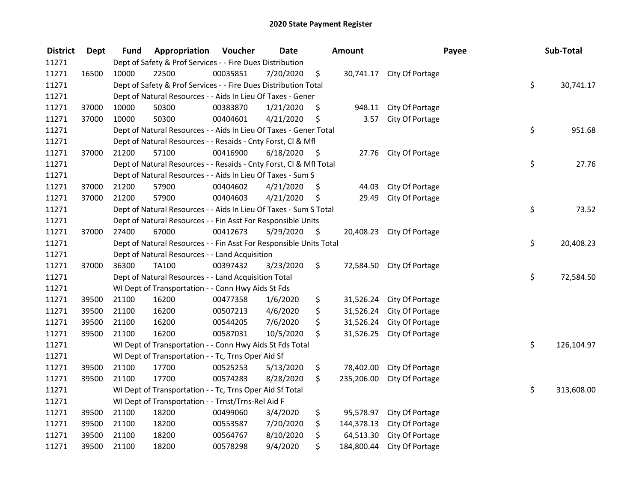## 2020 State Payment Register

| <b>District</b> | <b>Dept</b> | Fund  | Appropriation                                                      | Voucher  | <b>Date</b> |      | <b>Amount</b> | Payee                     | Sub-Total        |
|-----------------|-------------|-------|--------------------------------------------------------------------|----------|-------------|------|---------------|---------------------------|------------------|
| 11271           |             |       | Dept of Safety & Prof Services - - Fire Dues Distribution          |          |             |      |               |                           |                  |
| 11271           | 16500       | 10000 | 22500                                                              | 00035851 | 7/20/2020   | \$   |               | 30,741.17 City Of Portage |                  |
| 11271           |             |       | Dept of Safety & Prof Services - - Fire Dues Distribution Total    |          |             |      |               |                           | \$<br>30,741.17  |
| 11271           |             |       | Dept of Natural Resources - - Aids In Lieu Of Taxes - Gener        |          |             |      |               |                           |                  |
| 11271           | 37000       | 10000 | 50300                                                              | 00383870 | 1/21/2020   | \$   | 948.11        | City Of Portage           |                  |
| 11271           | 37000       | 10000 | 50300                                                              | 00404601 | 4/21/2020   | \$   | 3.57          | City Of Portage           |                  |
| 11271           |             |       | Dept of Natural Resources - - Aids In Lieu Of Taxes - Gener Total  |          |             |      |               |                           | \$<br>951.68     |
| 11271           |             |       | Dept of Natural Resources - - Resaids - Cnty Forst, Cl & Mfl       |          |             |      |               |                           |                  |
| 11271           | 37000       | 21200 | 57100                                                              | 00416900 | 6/18/2020   | - \$ |               | 27.76 City Of Portage     |                  |
| 11271           |             |       | Dept of Natural Resources - - Resaids - Cnty Forst, Cl & Mfl Total |          |             |      |               |                           | \$<br>27.76      |
| 11271           |             |       | Dept of Natural Resources - - Aids In Lieu Of Taxes - Sum S        |          |             |      |               |                           |                  |
| 11271           | 37000       | 21200 | 57900                                                              | 00404602 | 4/21/2020   | \$   | 44.03         | City Of Portage           |                  |
| 11271           | 37000       | 21200 | 57900                                                              | 00404603 | 4/21/2020   | \$   | 29.49         | City Of Portage           |                  |
| 11271           |             |       | Dept of Natural Resources - - Aids In Lieu Of Taxes - Sum S Total  |          |             |      |               |                           | \$<br>73.52      |
| 11271           |             |       | Dept of Natural Resources - - Fin Asst For Responsible Units       |          |             |      |               |                           |                  |
| 11271           | 37000       | 27400 | 67000                                                              | 00412673 | 5/29/2020   | \$   |               | 20,408.23 City Of Portage |                  |
| 11271           |             |       | Dept of Natural Resources - - Fin Asst For Responsible Units Total |          |             |      |               |                           | \$<br>20,408.23  |
| 11271           |             |       | Dept of Natural Resources - - Land Acquisition                     |          |             |      |               |                           |                  |
| 11271           | 37000       | 36300 | <b>TA100</b>                                                       | 00397432 | 3/23/2020   | \$   | 72,584.50     | City Of Portage           |                  |
| 11271           |             |       | Dept of Natural Resources - - Land Acquisition Total               |          |             |      |               |                           | \$<br>72,584.50  |
| 11271           |             |       | WI Dept of Transportation - - Conn Hwy Aids St Fds                 |          |             |      |               |                           |                  |
| 11271           | 39500       | 21100 | 16200                                                              | 00477358 | 1/6/2020    | \$   |               | 31,526.24 City Of Portage |                  |
| 11271           | 39500       | 21100 | 16200                                                              | 00507213 | 4/6/2020    | \$   |               | 31,526.24 City Of Portage |                  |
| 11271           | 39500       | 21100 | 16200                                                              | 00544205 | 7/6/2020    | \$   | 31,526.24     | City Of Portage           |                  |
| 11271           | 39500       | 21100 | 16200                                                              | 00587031 | 10/5/2020   | \$   | 31,526.25     | City Of Portage           |                  |
| 11271           |             |       | WI Dept of Transportation - - Conn Hwy Aids St Fds Total           |          |             |      |               |                           | \$<br>126,104.97 |
| 11271           |             |       | WI Dept of Transportation - - Tc, Trns Oper Aid Sf                 |          |             |      |               |                           |                  |
| 11271           | 39500       | 21100 | 17700                                                              | 00525253 | 5/13/2020   | \$   | 78,402.00     | City Of Portage           |                  |
| 11271           | 39500       | 21100 | 17700                                                              | 00574283 | 8/28/2020   | \$   | 235,206.00    | City Of Portage           |                  |
| 11271           |             |       | WI Dept of Transportation - - Tc, Trns Oper Aid Sf Total           |          |             |      |               |                           | \$<br>313,608.00 |
| 11271           |             |       | WI Dept of Transportation - - Trnst/Trns-Rel Aid F                 |          |             |      |               |                           |                  |
| 11271           | 39500       | 21100 | 18200                                                              | 00499060 | 3/4/2020    | \$   | 95,578.97     | City Of Portage           |                  |
| 11271           | 39500       | 21100 | 18200                                                              | 00553587 | 7/20/2020   | \$   | 144,378.13    | City Of Portage           |                  |
| 11271           | 39500       | 21100 | 18200                                                              | 00564767 | 8/10/2020   | \$   | 64,513.30     | City Of Portage           |                  |
| 11271           | 39500       | 21100 | 18200                                                              | 00578298 | 9/4/2020    | \$   | 184,800.44    | City Of Portage           |                  |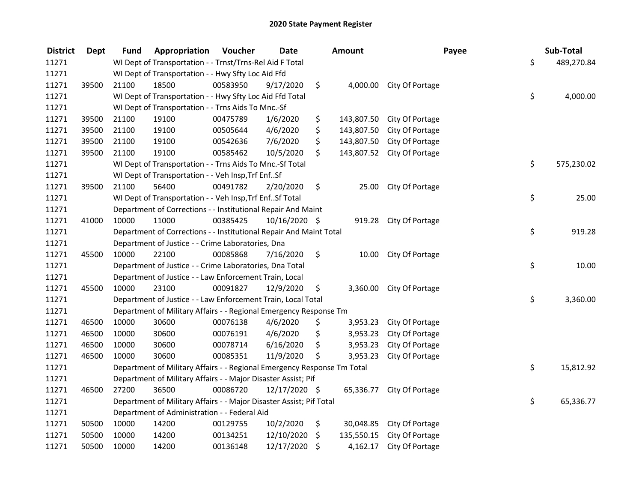| <b>District</b> | <b>Dept</b> | <b>Fund</b> | Appropriation                                                           | Voucher  | <b>Date</b>   | Amount           |                            | Payee | Sub-Total  |
|-----------------|-------------|-------------|-------------------------------------------------------------------------|----------|---------------|------------------|----------------------------|-------|------------|
| 11271           |             |             | WI Dept of Transportation - - Trnst/Trns-Rel Aid F Total                |          |               |                  |                            | \$    | 489,270.84 |
| 11271           |             |             | WI Dept of Transportation - - Hwy Sfty Loc Aid Ffd                      |          |               |                  |                            |       |            |
| 11271           | 39500       | 21100       | 18500                                                                   | 00583950 | 9/17/2020     | \$               | 4,000.00 City Of Portage   |       |            |
| 11271           |             |             | WI Dept of Transportation - - Hwy Sfty Loc Aid Ffd Total                |          |               |                  |                            | \$    | 4,000.00   |
| 11271           |             |             | WI Dept of Transportation - - Trns Aids To Mnc.-Sf                      |          |               |                  |                            |       |            |
| 11271           | 39500       | 21100       | 19100                                                                   | 00475789 | 1/6/2020      | \$<br>143,807.50 | City Of Portage            |       |            |
| 11271           | 39500       | 21100       | 19100                                                                   | 00505644 | 4/6/2020      | \$<br>143,807.50 | City Of Portage            |       |            |
| 11271           | 39500       | 21100       | 19100                                                                   | 00542636 | 7/6/2020      | \$<br>143,807.50 | City Of Portage            |       |            |
| 11271           | 39500       | 21100       | 19100                                                                   | 00585462 | 10/5/2020     | \$               | 143,807.52 City Of Portage |       |            |
| 11271           |             |             | WI Dept of Transportation - - Trns Aids To Mnc.-Sf Total                |          |               |                  |                            | \$    | 575,230.02 |
| 11271           |             |             | WI Dept of Transportation - - Veh Insp, Trf EnfSf                       |          |               |                  |                            |       |            |
| 11271           | 39500       | 21100       | 56400                                                                   | 00491782 | 2/20/2020     | \$<br>25.00      | City Of Portage            |       |            |
| 11271           |             |             | WI Dept of Transportation - - Veh Insp, Trf Enf Sf Total                |          |               |                  |                            | \$    | 25.00      |
| 11271           |             |             | Department of Corrections - - Institutional Repair And Maint            |          |               |                  |                            |       |            |
| 11271           | 41000       | 10000       | 11000                                                                   | 00385425 | 10/16/2020 \$ | 919.28           | City Of Portage            |       |            |
| 11271           |             |             | Department of Corrections - - Institutional Repair And Maint Total      |          |               |                  |                            | \$    | 919.28     |
| 11271           |             |             | Department of Justice - - Crime Laboratories, Dna                       |          |               |                  |                            |       |            |
| 11271           | 45500       | 10000       | 22100                                                                   | 00085868 | 7/16/2020     | \$<br>10.00      | City Of Portage            |       |            |
| 11271           |             |             | Department of Justice - - Crime Laboratories, Dna Total                 |          |               |                  |                            | \$    | 10.00      |
| 11271           |             |             | Department of Justice - - Law Enforcement Train, Local                  |          |               |                  |                            |       |            |
| 11271           | 45500       | 10000       | 23100                                                                   | 00091827 | 12/9/2020     | \$               | 3,360.00 City Of Portage   |       |            |
| 11271           |             |             | Department of Justice - - Law Enforcement Train, Local Total            |          |               |                  |                            | \$    | 3,360.00   |
| 11271           |             |             | Department of Military Affairs - - Regional Emergency Response Tm       |          |               |                  |                            |       |            |
| 11271           | 46500       | 10000       | 30600                                                                   | 00076138 | 4/6/2020      | \$<br>3,953.23   | City Of Portage            |       |            |
| 11271           | 46500       | 10000       | 30600                                                                   | 00076191 | 4/6/2020      | \$<br>3,953.23   | City Of Portage            |       |            |
| 11271           | 46500       | 10000       | 30600                                                                   | 00078714 | 6/16/2020     | \$<br>3,953.23   | City Of Portage            |       |            |
| 11271           | 46500       | 10000       | 30600                                                                   | 00085351 | 11/9/2020     | \$<br>3,953.23   | City Of Portage            |       |            |
| 11271           |             |             | Department of Military Affairs - - Regional Emergency Response Tm Total |          |               |                  |                            | \$    | 15,812.92  |
| 11271           |             |             | Department of Military Affairs - - Major Disaster Assist; Pif           |          |               |                  |                            |       |            |
| 11271           | 46500       | 27200       | 36500                                                                   | 00086720 | 12/17/2020 \$ | 65,336.77        | City Of Portage            |       |            |
| 11271           |             |             | Department of Military Affairs - - Major Disaster Assist; Pif Total     |          |               |                  |                            | \$    | 65,336.77  |
| 11271           |             |             | Department of Administration - - Federal Aid                            |          |               |                  |                            |       |            |
| 11271           | 50500       | 10000       | 14200                                                                   | 00129755 | 10/2/2020     | \$               | 30,048.85 City Of Portage  |       |            |
| 11271           | 50500       | 10000       | 14200                                                                   | 00134251 | 12/10/2020    | \$<br>135,550.15 | City Of Portage            |       |            |
| 11271           | 50500       | 10000       | 14200                                                                   | 00136148 | 12/17/2020    | \$<br>4,162.17   | City Of Portage            |       |            |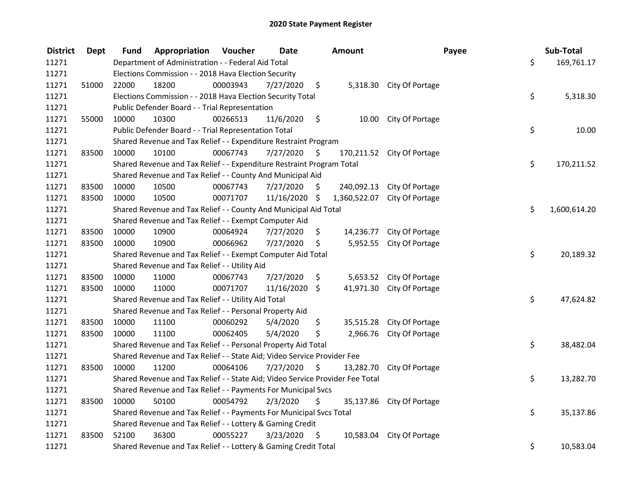| <b>District</b> | <b>Dept</b> | Fund  | Appropriation                                                                 | Voucher  | <b>Date</b>   |      | Amount     |                              | Payee | Sub-Total    |
|-----------------|-------------|-------|-------------------------------------------------------------------------------|----------|---------------|------|------------|------------------------------|-------|--------------|
| 11271           |             |       | Department of Administration - - Federal Aid Total                            |          |               |      |            |                              | \$    | 169,761.17   |
| 11271           |             |       | Elections Commission - - 2018 Hava Election Security                          |          |               |      |            |                              |       |              |
| 11271           | 51000       | 22000 | 18200                                                                         | 00003943 | 7/27/2020     | \$   |            | 5,318.30 City Of Portage     |       |              |
| 11271           |             |       | Elections Commission - - 2018 Hava Election Security Total                    |          |               |      |            |                              | \$    | 5,318.30     |
| 11271           |             |       | Public Defender Board - - Trial Representation                                |          |               |      |            |                              |       |              |
| 11271           | 55000       | 10000 | 10300                                                                         | 00266513 | 11/6/2020     | \$   |            | 10.00 City Of Portage        |       |              |
| 11271           |             |       | Public Defender Board - - Trial Representation Total                          |          |               |      |            |                              | \$    | 10.00        |
| 11271           |             |       | Shared Revenue and Tax Relief - - Expenditure Restraint Program               |          |               |      |            |                              |       |              |
| 11271           | 83500       | 10000 | 10100                                                                         | 00067743 | 7/27/2020     | - \$ |            | 170,211.52 City Of Portage   |       |              |
| 11271           |             |       | Shared Revenue and Tax Relief - - Expenditure Restraint Program Total         |          |               |      |            |                              | \$    | 170,211.52   |
| 11271           |             |       | Shared Revenue and Tax Relief - - County And Municipal Aid                    |          |               |      |            |                              |       |              |
| 11271           | 83500       | 10000 | 10500                                                                         | 00067743 | 7/27/2020     | \$   | 240,092.13 | City Of Portage              |       |              |
| 11271           | 83500       | 10000 | 10500                                                                         | 00071707 | 11/16/2020    | \$   |            | 1,360,522.07 City Of Portage |       |              |
| 11271           |             |       | Shared Revenue and Tax Relief - - County And Municipal Aid Total              |          |               |      |            |                              | \$    | 1,600,614.20 |
| 11271           |             |       | Shared Revenue and Tax Relief - - Exempt Computer Aid                         |          |               |      |            |                              |       |              |
| 11271           | 83500       | 10000 | 10900                                                                         | 00064924 | 7/27/2020     | \$   |            | 14,236.77 City Of Portage    |       |              |
| 11271           | 83500       | 10000 | 10900                                                                         | 00066962 | 7/27/2020     | \$   | 5,952.55   | City Of Portage              |       |              |
| 11271           |             |       | Shared Revenue and Tax Relief - - Exempt Computer Aid Total                   |          |               |      |            |                              | \$    | 20,189.32    |
| 11271           |             |       | Shared Revenue and Tax Relief - - Utility Aid                                 |          |               |      |            |                              |       |              |
| 11271           | 83500       | 10000 | 11000                                                                         | 00067743 | 7/27/2020     | \$   |            | 5,653.52 City Of Portage     |       |              |
| 11271           | 83500       | 10000 | 11000                                                                         | 00071707 | 11/16/2020 \$ |      |            | 41,971.30 City Of Portage    |       |              |
| 11271           |             |       | Shared Revenue and Tax Relief - - Utility Aid Total                           |          |               |      |            |                              | \$    | 47,624.82    |
| 11271           |             |       | Shared Revenue and Tax Relief - - Personal Property Aid                       |          |               |      |            |                              |       |              |
| 11271           | 83500       | 10000 | 11100                                                                         | 00060292 | 5/4/2020      | \$   |            | 35,515.28 City Of Portage    |       |              |
| 11271           | 83500       | 10000 | 11100                                                                         | 00062405 | 5/4/2020      | \$   | 2,966.76   | City Of Portage              |       |              |
| 11271           |             |       | Shared Revenue and Tax Relief - - Personal Property Aid Total                 |          |               |      |            |                              | \$    | 38,482.04    |
| 11271           |             |       | Shared Revenue and Tax Relief - - State Aid; Video Service Provider Fee       |          |               |      |            |                              |       |              |
| 11271           | 83500       | 10000 | 11200                                                                         | 00064106 | 7/27/2020     | \$   | 13,282.70  | City Of Portage              |       |              |
| 11271           |             |       | Shared Revenue and Tax Relief - - State Aid; Video Service Provider Fee Total |          |               |      |            |                              | \$    | 13,282.70    |
| 11271           |             |       | Shared Revenue and Tax Relief - - Payments For Municipal Svcs                 |          |               |      |            |                              |       |              |
| 11271           | 83500       | 10000 | 50100                                                                         | 00054792 | 2/3/2020      | \$   |            | 35,137.86 City Of Portage    |       |              |
| 11271           |             |       | Shared Revenue and Tax Relief - - Payments For Municipal Svcs Total           |          |               |      |            |                              | \$    | 35,137.86    |
| 11271           |             |       | Shared Revenue and Tax Relief - - Lottery & Gaming Credit                     |          |               |      |            |                              |       |              |
| 11271           | 83500       | 52100 | 36300                                                                         | 00055227 | 3/23/2020     | \$.  |            | 10,583.04 City Of Portage    |       |              |
| 11271           |             |       | Shared Revenue and Tax Relief - - Lottery & Gaming Credit Total               |          |               |      |            |                              | \$    | 10,583.04    |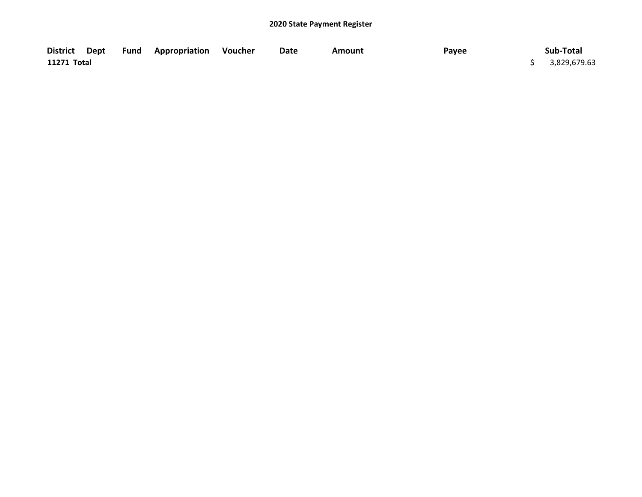## 2020 State Payment Register

|             |  | District Dept Fund Appropriation Voucher | Date | Amount | Payee | Sub-Total      |
|-------------|--|------------------------------------------|------|--------|-------|----------------|
| 11271 Total |  |                                          |      |        |       | \$3,829,679.63 |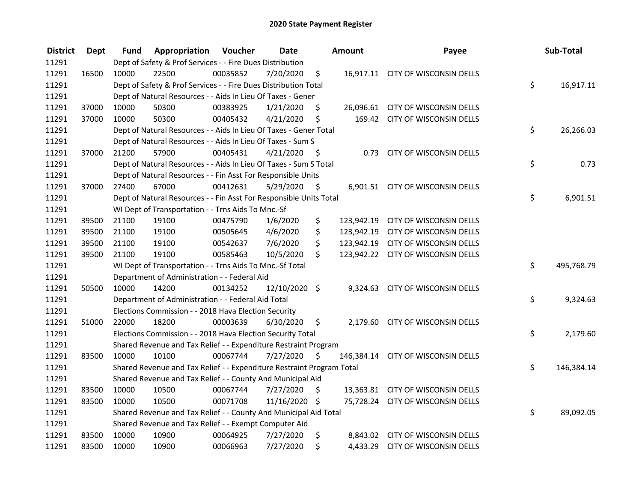| <b>District</b> | <b>Dept</b> | <b>Fund</b> | Appropriation                                                         | Voucher  | <b>Date</b>   | <b>Amount</b> |            | Payee                              | Sub-Total        |
|-----------------|-------------|-------------|-----------------------------------------------------------------------|----------|---------------|---------------|------------|------------------------------------|------------------|
| 11291           |             |             | Dept of Safety & Prof Services - - Fire Dues Distribution             |          |               |               |            |                                    |                  |
| 11291           | 16500       | 10000       | 22500                                                                 | 00035852 | 7/20/2020     | \$            |            | 16,917.11 CITY OF WISCONSIN DELLS  |                  |
| 11291           |             |             | Dept of Safety & Prof Services - - Fire Dues Distribution Total       |          |               |               |            |                                    | \$<br>16,917.11  |
| 11291           |             |             | Dept of Natural Resources - - Aids In Lieu Of Taxes - Gener           |          |               |               |            |                                    |                  |
| 11291           | 37000       | 10000       | 50300                                                                 | 00383925 | 1/21/2020     | \$            |            | 26,096.61 CITY OF WISCONSIN DELLS  |                  |
| 11291           | 37000       | 10000       | 50300                                                                 | 00405432 | 4/21/2020     | \$            |            | 169.42 CITY OF WISCONSIN DELLS     |                  |
| 11291           |             |             | Dept of Natural Resources - - Aids In Lieu Of Taxes - Gener Total     |          |               |               |            |                                    | \$<br>26,266.03  |
| 11291           |             |             | Dept of Natural Resources - - Aids In Lieu Of Taxes - Sum S           |          |               |               |            |                                    |                  |
| 11291           | 37000       | 21200       | 57900                                                                 | 00405431 | 4/21/2020     | - \$          |            | 0.73 CITY OF WISCONSIN DELLS       |                  |
| 11291           |             |             | Dept of Natural Resources - - Aids In Lieu Of Taxes - Sum S Total     |          |               |               |            |                                    | \$<br>0.73       |
| 11291           |             |             | Dept of Natural Resources - - Fin Asst For Responsible Units          |          |               |               |            |                                    |                  |
| 11291           | 37000       | 27400       | 67000                                                                 | 00412631 | 5/29/2020     | - \$          |            | 6,901.51 CITY OF WISCONSIN DELLS   |                  |
| 11291           |             |             | Dept of Natural Resources - - Fin Asst For Responsible Units Total    |          |               |               |            |                                    | \$<br>6,901.51   |
| 11291           |             |             | WI Dept of Transportation - - Trns Aids To Mnc.-Sf                    |          |               |               |            |                                    |                  |
| 11291           | 39500       | 21100       | 19100                                                                 | 00475790 | 1/6/2020      | \$            |            | 123,942.19 CITY OF WISCONSIN DELLS |                  |
| 11291           | 39500       | 21100       | 19100                                                                 | 00505645 | 4/6/2020      | \$            | 123,942.19 | CITY OF WISCONSIN DELLS            |                  |
| 11291           | 39500       | 21100       | 19100                                                                 | 00542637 | 7/6/2020      | \$            |            | 123,942.19 CITY OF WISCONSIN DELLS |                  |
| 11291           | 39500       | 21100       | 19100                                                                 | 00585463 | 10/5/2020     | \$.           |            | 123,942.22 CITY OF WISCONSIN DELLS |                  |
| 11291           |             |             | WI Dept of Transportation - - Trns Aids To Mnc.-Sf Total              |          |               |               |            |                                    | \$<br>495,768.79 |
| 11291           |             |             | Department of Administration - - Federal Aid                          |          |               |               |            |                                    |                  |
| 11291           | 50500       | 10000       | 14200                                                                 | 00134252 | 12/10/2020 \$ |               |            | 9,324.63 CITY OF WISCONSIN DELLS   |                  |
| 11291           |             |             | Department of Administration - - Federal Aid Total                    |          |               |               |            |                                    | \$<br>9,324.63   |
| 11291           |             |             | Elections Commission - - 2018 Hava Election Security                  |          |               |               |            |                                    |                  |
| 11291           | 51000       | 22000       | 18200                                                                 | 00003639 | 6/30/2020     | \$            |            | 2,179.60 CITY OF WISCONSIN DELLS   |                  |
| 11291           |             |             | Elections Commission - - 2018 Hava Election Security Total            |          |               |               |            |                                    | \$<br>2,179.60   |
| 11291           |             |             | Shared Revenue and Tax Relief - - Expenditure Restraint Program       |          |               |               |            |                                    |                  |
| 11291           | 83500       | 10000       | 10100                                                                 | 00067744 | 7/27/2020     | Ŝ.            |            | 146,384.14 CITY OF WISCONSIN DELLS |                  |
| 11291           |             |             | Shared Revenue and Tax Relief - - Expenditure Restraint Program Total |          |               |               |            |                                    | \$<br>146,384.14 |
| 11291           |             |             | Shared Revenue and Tax Relief - - County And Municipal Aid            |          |               |               |            |                                    |                  |
| 11291           | 83500       | 10000       | 10500                                                                 | 00067744 | 7/27/2020     | $\zeta$       |            | 13,363.81 CITY OF WISCONSIN DELLS  |                  |
| 11291           | 83500       | 10000       | 10500                                                                 | 00071708 | 11/16/2020 \$ |               |            | 75,728.24 CITY OF WISCONSIN DELLS  |                  |
| 11291           |             |             | Shared Revenue and Tax Relief - - County And Municipal Aid Total      |          |               |               |            |                                    | \$<br>89,092.05  |
| 11291           |             |             | Shared Revenue and Tax Relief - - Exempt Computer Aid                 |          |               |               |            |                                    |                  |
| 11291           | 83500       | 10000       | 10900                                                                 | 00064925 | 7/27/2020     | \$            |            | 8,843.02 CITY OF WISCONSIN DELLS   |                  |
| 11291           | 83500       | 10000       | 10900                                                                 | 00066963 | 7/27/2020     | \$            |            | 4,433.29 CITY OF WISCONSIN DELLS   |                  |